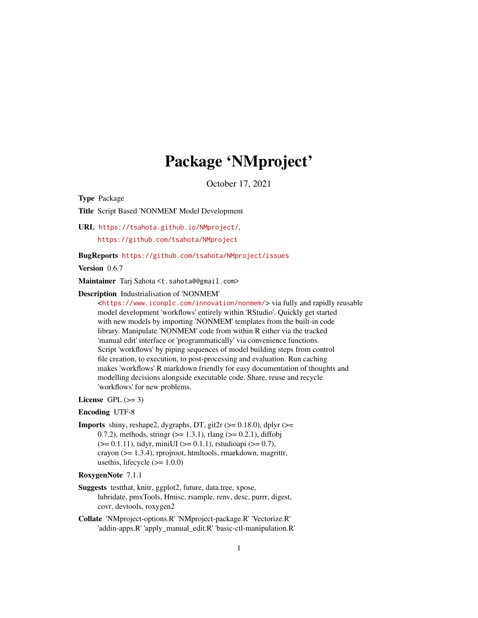# Package 'NMproject'

October 17, 2021

<span id="page-0-0"></span>Type Package

Title Script Based 'NONMEM' Model Development

URL <https://tsahota.github.io/NMproject/>,

<https://github.com/tsahota/NMproject>

#### BugReports <https://github.com/tsahota/NMproject/issues>

Version 0.6.7

Maintainer Tarj Sahota <t.sahota0@gmail.com>

#### Description Industrialisation of 'NONMEM'

<<https://www.iconplc.com/innovation/nonmem/>> via fully and rapidly reusable model development 'workflows' entirely within 'RStudio'. Quickly get started with new models by importing 'NONMEM' templates from the built-in code library. Manipulate 'NONMEM' code from within R either via the tracked 'manual edit' interface or 'programmatically' via convenience functions. Script 'workflows' by piping sequences of model building steps from control file creation, to execution, to post-processing and evaluation. Run caching makes 'workflows' R markdown friendly for easy documentation of thoughts and modelling decisions alongside executable code. Share, reuse and recycle 'workflows' for new problems.

# License GPL  $(>= 3)$

# Encoding UTF-8

**Imports** shiny, reshape2, dygraphs, DT, git2r ( $> = 0.18.0$ ), dplyr ( $> =$ 0.7.2), methods, stringr  $(>= 1.3.1)$ , rlang  $(>= 0.2.1)$ , diffobj  $(>= 0.1.11)$ , tidyr, miniUI ( $>= 0.1.1$ ), rstudioapi ( $>= 0.7$ ), crayon (>= 1.3.4), rprojroot, htmltools, rmarkdown, magrittr, usethis, lifecycle  $(>= 1.0.0)$ 

# RoxygenNote 7.1.1

- Suggests testthat, knitr, ggplot2, future, data.tree, xpose, lubridate, pmxTools, Hmisc, rsample, renv, desc, purrr, digest, covr, devtools, roxygen2
- Collate 'NMproject-options.R' 'NMproject-package.R' 'Vectorize.R' 'addin-apps.R' 'apply\_manual\_edit.R' 'basic-ctl-manipulation.R'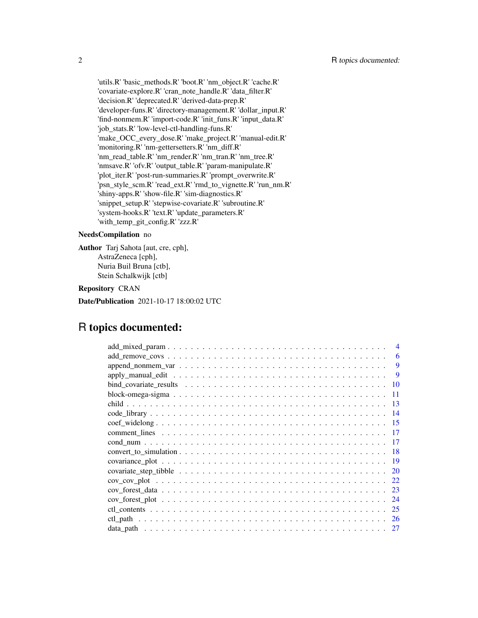'utils.R' 'basic\_methods.R' 'boot.R' 'nm\_object.R' 'cache.R' 'covariate-explore.R' 'cran\_note\_handle.R' 'data\_filter.R' 'decision.R' 'deprecated.R' 'derived-data-prep.R' 'developer-funs.R' 'directory-management.R' 'dollar\_input.R' 'find-nonmem.R' 'import-code.R' 'init\_funs.R' 'input\_data.R' 'job\_stats.R' 'low-level-ctl-handling-funs.R' 'make\_OCC\_every\_dose.R' 'make\_project.R' 'manual-edit.R' 'monitoring.R' 'nm-gettersetters.R' 'nm\_diff.R' 'nm\_read\_table.R' 'nm\_render.R' 'nm\_tran.R' 'nm\_tree.R' 'nmsave.R' 'ofv.R' 'output\_table.R' 'param-manipulate.R' 'plot\_iter.R' 'post-run-summaries.R' 'prompt\_overwrite.R' 'psn\_style\_scm.R' 'read\_ext.R' 'rmd\_to\_vignette.R' 'run\_nm.R' 'shiny-apps.R' 'show-file.R' 'sim-diagnostics.R' 'snippet\_setup.R' 'stepwise-covariate.R' 'subroutine.R' 'system-hooks.R' 'text.R' 'update\_parameters.R' 'with\_temp\_git\_config.R' 'zzz.R'

#### NeedsCompilation no

Author Tarj Sahota [aut, cre, cph], AstraZeneca [cph], Nuria Buil Bruna [ctb], Stein Schalkwijk [ctb]

# Repository CRAN

Date/Publication 2021-10-17 18:00:02 UTC

# R topics documented:

|                              | 6    |
|------------------------------|------|
|                              | 9    |
|                              | 9    |
|                              | 10   |
|                              | 11   |
|                              | -13  |
|                              | - 14 |
|                              | -15  |
|                              | -17  |
|                              |      |
| $convert\_to\_simulation$ 18 |      |
|                              |      |
|                              | 20   |
|                              | 22   |
|                              | 23   |
|                              | 24   |
|                              | 25   |
|                              |      |
|                              |      |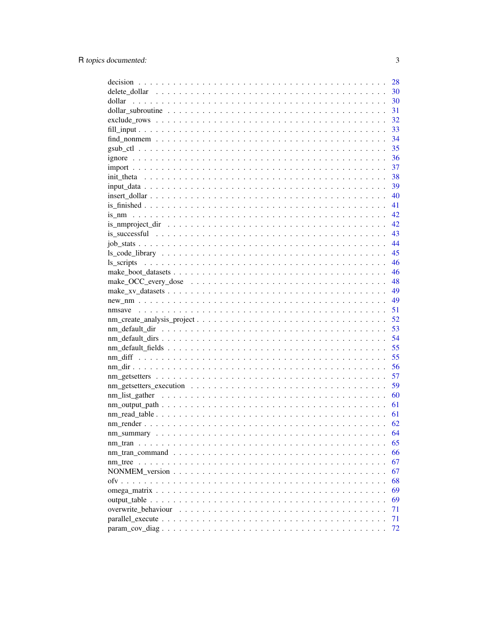|                     | 28 |
|---------------------|----|
|                     | 30 |
| dollar              | 30 |
|                     | 31 |
|                     | 32 |
|                     | 33 |
|                     | 34 |
|                     | 35 |
|                     | 36 |
|                     | 37 |
|                     | 38 |
|                     | 39 |
|                     | 40 |
|                     | 41 |
|                     | 42 |
|                     | 42 |
|                     | 43 |
|                     | 44 |
|                     | 45 |
|                     | 46 |
|                     | 46 |
|                     | 48 |
|                     | 49 |
|                     | 49 |
|                     | 51 |
|                     | 52 |
|                     | 53 |
|                     | 54 |
|                     | 55 |
|                     | 55 |
|                     | 56 |
|                     | 57 |
|                     | 59 |
|                     | 60 |
|                     | 61 |
|                     | 61 |
|                     | 62 |
|                     | 64 |
|                     | 65 |
|                     | 66 |
|                     | 67 |
|                     | 67 |
|                     | 68 |
|                     | 69 |
|                     | 69 |
| overwrite_behaviour | 71 |
|                     | 71 |
|                     | 72 |
|                     |    |

 $\overline{3}$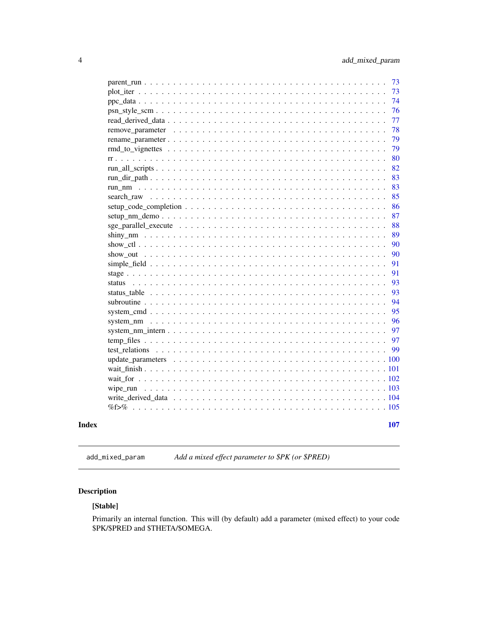<span id="page-3-0"></span>

|          | 73  |
|----------|-----|
|          | 73  |
|          | 74  |
|          | 76  |
|          | 77  |
|          | 78  |
|          | 79  |
|          | 79  |
|          | 80  |
|          | 82  |
|          | 83  |
|          | 83  |
|          | 85  |
|          | 86  |
|          | 87  |
|          | 88  |
|          | 89  |
|          | 90  |
|          | 90  |
|          |     |
|          | 91  |
|          | 91  |
|          | 93  |
|          | 93  |
|          | 94  |
|          | 95  |
|          | 96  |
|          | 97  |
|          | 97  |
|          | 99  |
|          |     |
|          |     |
|          |     |
| wipe run |     |
|          |     |
|          |     |
|          |     |
|          | 107 |
|          |     |

# **Index**

Add a mixed effect parameter to \$PK (or \$PRED) add\_mixed\_param

# $\begin{minipage}{.4\linewidth} \textbf{Description} \end{minipage} \vspace{-0.5em}$

# [Stable]

Primarily an internal function. This will (by default) add a parameter (mixed effect) to your code \$PK/\$PRED and \$THETA/\$OMEGA.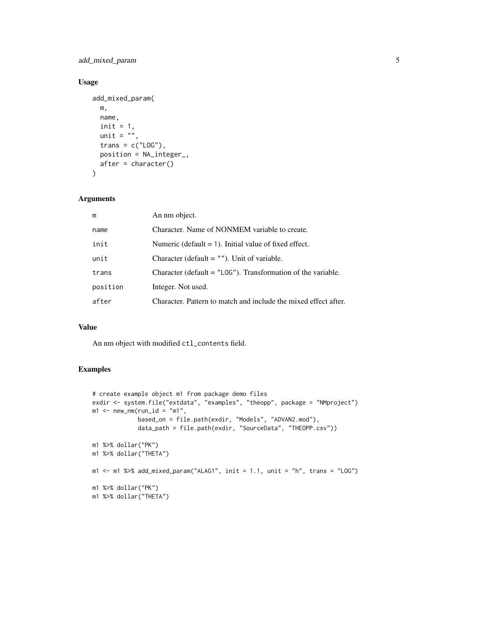add\_mixed\_param 5

# Usage

```
add_mixed_param(
 m,
 name,
 init = 1,unit = ",
 trans = c("LOG"),
 position = NA_integer_,
 after = character()
\lambda
```
# Arguments

| m        | An nm object.                                                   |
|----------|-----------------------------------------------------------------|
| name     | Character. Name of NONMEM variable to create.                   |
| init     | Numeric (default $= 1$ ). Initial value of fixed effect.        |
| unit     | Character (default $=$ ""). Unit of variable.                   |
| trans    | Character (default $=$ "LOG"). Transformation of the variable.  |
| position | Integer. Not used.                                              |
| after    | Character. Pattern to match and include the mixed effect after. |
|          |                                                                 |

# Value

An nm object with modified ctl\_contents field.

```
# create example object m1 from package demo files
exdir <- system.file("extdata", "examples", "theopp", package = "NMproject")
m1 <- new_nm(run_id = "m1",
             based_on = file.path(exdir, "Models", "ADVAN2.mod"),
             data_path = file.path(exdir, "SourceData", "THEOPP.csv"))
m1 %>% dollar("PK")
m1 %>% dollar("THETA")
m1 <- m1 %>% add_mixed_param("ALAG1", init = 1.1, unit = "h", trans = "LOG")
m1 %>% dollar("PK")
m1 %>% dollar("THETA")
```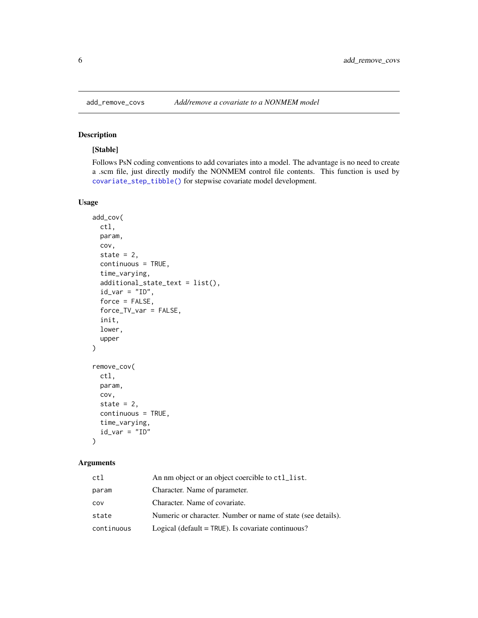# <span id="page-5-1"></span>Description

# [Stable]

Follows PsN coding conventions to add covariates into a model. The advantage is no need to create a .scm file, just directly modify the NONMEM control file contents. This function is used by [covariate\\_step\\_tibble\(\)](#page-19-1) for stepwise covariate model development.

# Usage

```
add_cov(
 ctl,
 param,
 cov,
  state = 2,
  continuous = TRUE,
  time_varying,
  additional_state_text = list(),
  id\_var = "ID",force = FALSE,
  force_TV_var = FALSE,
  init,
  lower,
  upper
)
remove_cov(
 ctl,
 param,
 cov,
  state = 2,
  continuous = TRUE,
  time_varying,
  id\_var = "ID")
```
# Arguments

| ct1        | An nm object or an object coercible to ctl_list.             |
|------------|--------------------------------------------------------------|
| param      | Character. Name of parameter.                                |
| COV        | Character. Name of covariate.                                |
| state      | Numeric or character. Number or name of state (see details). |
| continuous | Logical (default = $TRUE$ ). Is covariate continuous?        |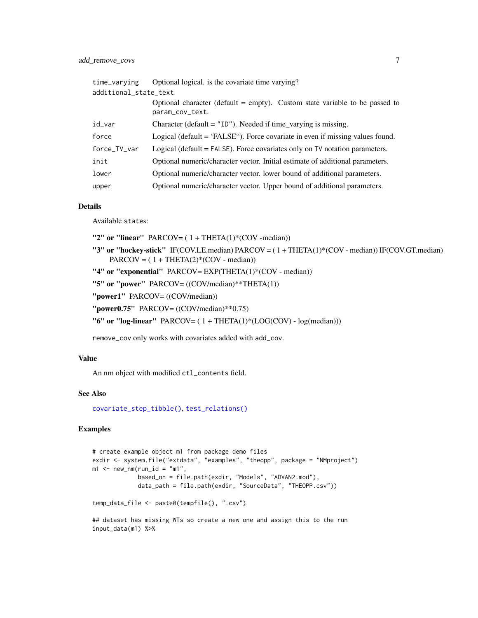| time_varying          | Optional logical, is the covariate time varying?                                               |  |
|-----------------------|------------------------------------------------------------------------------------------------|--|
| additional_state_text |                                                                                                |  |
|                       | Optional character (default = empty). Custom state variable to be passed to<br>param_cov_text. |  |
| id_var                | Character (default = $"1D"$ ). Needed if time_varying is missing.                              |  |
| force                 | Logical (default = 'FALSE''). Force covariate in even if missing values found.                 |  |
| force_TV_var          | Logical (default = FALSE). Force covariates only on TV notation parameters.                    |  |
| init                  | Optional numeric/character vector. Initial estimate of additional parameters.                  |  |
| lower                 | Optional numeric/character vector. lower bound of additional parameters.                       |  |
| upper                 | Optional numeric/character vector. Upper bound of additional parameters.                       |  |

# Details

Available states:

"2" or "linear" PARCOV= $(1 + \text{THETA}(1) * (\text{COV - median}))$ 

- "3" or "hockey-stick" IF(COV.LE.median) PARCOV = ( 1 + THETA(1)\*(COV median)) IF(COV.GT.median)  $PARCOV = (1 + THER(2)*(COV - median))$
- "4" or "exponential" PARCOV= EXP(THETA(1)\*(COV median))

"5" or "power" PARCOV= ((COV/median)\*\*THETA(1))

"power1" PARCOV= ((COV/median))

"power0.75" PARCOV= ((COV/median)\*\*0.75)

"6" or "log-linear" PARCOV= $(1 + \text{THETA}(1) * (\text{LOG(COV)} - \text{log(median})))$ 

remove\_cov only works with covariates added with add\_cov.

#### Value

An nm object with modified ctl\_contents field.

#### See Also

[covariate\\_step\\_tibble\(\)](#page-19-1), [test\\_relations\(\)](#page-98-1)

```
# create example object m1 from package demo files
exdir <- system.file("extdata", "examples", "theopp", package = "NMproject")
m1 <- new_nm(run_id = "m1",
            based_on = file.path(exdir, "Models", "ADVAN2.mod"),
             data_path = file.path(exdir, "SourceData", "THEOPP.csv"))
temp_data_file <- paste0(tempfile(), ".csv")
## dataset has missing WTs so create a new one and assign this to the run
input_data(m1) %>%
```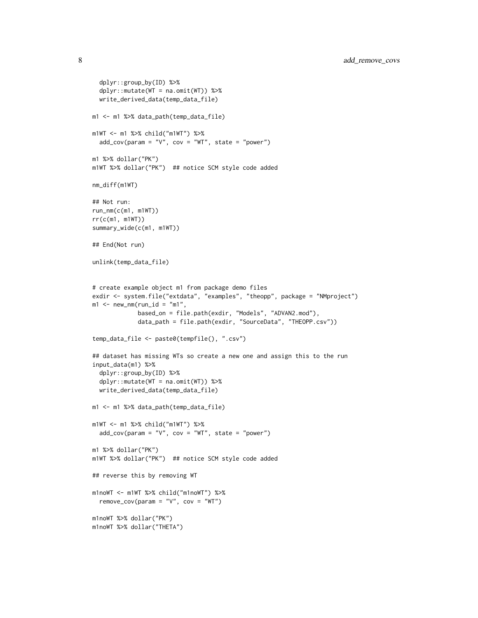```
dplyr::group_by(ID) %>%
  dplyr::mutate(WT = na.omit(WT)) %>%
  write_derived_data(temp_data_file)
m1 <- m1 %>% data_path(temp_data_file)
m1WT <- m1 %>% child("m1WT") %>%
  add\_cov(param = "V", cov = "WT", state = "power")m1 %>% dollar("PK")
m1WT %>% dollar("PK") ## notice SCM style code added
nm_diff(m1WT)
## Not run:
run_nm(c(m1, m1WT))
rr(c(m1, m1WT))
summary_wide(c(m1, m1WT))
## End(Not run)
unlink(temp_data_file)
# create example object m1 from package demo files
exdir <- system.file("extdata", "examples", "theopp", package = "NMproject")
m1 <- new_nm(run_id = "m1",
             based_on = file.path(exdir, "Models", "ADVAN2.mod"),
             data_path = file.path(exdir, "SourceData", "THEOPP.csv"))
temp_data_file <- paste0(tempfile(), ".csv")
## dataset has missing WTs so create a new one and assign this to the run
input_data(m1) %>%
  dplyr::group_by(ID) %>%
  dplyr::mutate(WT = na.omit(WT)) %>%
  write_derived_data(temp_data_file)
m1 <- m1 %>% data_path(temp_data_file)
m1WT <- m1 %>% child("m1WT") %>%
  add_cov(param = "V", cov = "WT", state = "power")
m1 %>% dollar("PK")
m1WT %>% dollar("PK") ## notice SCM style code added
## reverse this by removing WT
m1noWT <- m1WT %>% child("m1noWT") %>%
  remove_{cov(param = "V", cov = "WT")}m1noWT %>% dollar("PK")
m1noWT %>% dollar("THETA")
```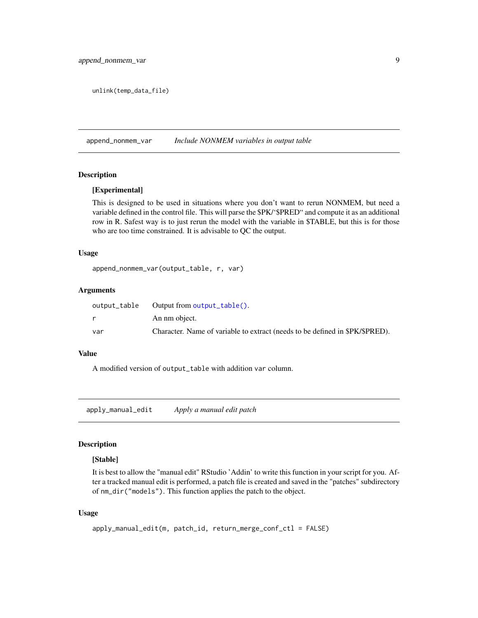<span id="page-8-0"></span>unlink(temp\_data\_file)

append\_nonmem\_var *Include NONMEM variables in output table*

#### Description

# [Experimental]

This is designed to be used in situations where you don't want to rerun NONMEM, but need a variable defined in the control file. This will parse the \$PK/'\$PRED" and compute it as an additional row in R. Safest way is to just rerun the model with the variable in \$TABLE, but this is for those who are too time constrained. It is advisable to QC the output.

#### Usage

append\_nonmem\_var(output\_table, r, var)

# Arguments

| output_table | Output from $output_table()$ .                                               |
|--------------|------------------------------------------------------------------------------|
|              | An nm object.                                                                |
| var          | Character. Name of variable to extract (needs to be defined in \$PK/\$PRED). |

# Value

A modified version of output\_table with addition var column.

<span id="page-8-1"></span>apply\_manual\_edit *Apply a manual edit patch*

#### Description

#### [Stable]

It is best to allow the "manual edit" RStudio 'Addin' to write this function in your script for you. After a tracked manual edit is performed, a patch file is created and saved in the "patches" subdirectory of nm\_dir("models"). This function applies the patch to the object.

#### Usage

```
apply_manual_edit(m, patch_id, return_merge_conf_ctl = FALSE)
```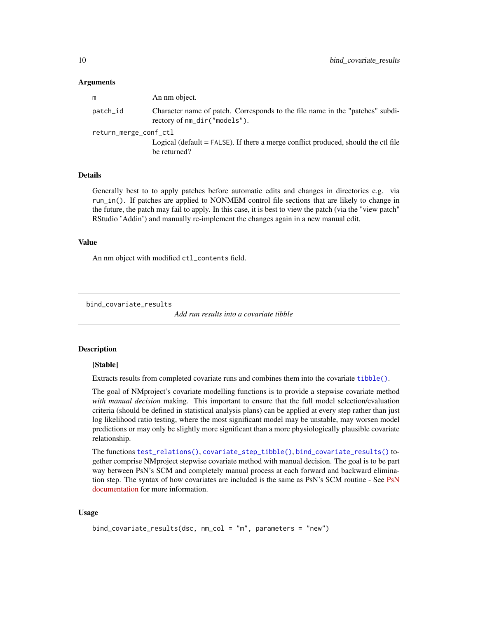#### <span id="page-9-0"></span>Arguments

| m                     | An nm object.                                                                                                 |  |
|-----------------------|---------------------------------------------------------------------------------------------------------------|--|
| patch_id              | Character name of patch. Corresponds to the file name in the "patches" subdi-<br>rectory of nm_dir("models"). |  |
| return_merge_conf_ctl |                                                                                                               |  |
|                       | Logical (default $=$ FALSE). If there a merge conflict produced, should the ctl file<br>be returned?          |  |

## Details

Generally best to to apply patches before automatic edits and changes in directories e.g. via run\_in(). If patches are applied to NONMEM control file sections that are likely to change in the future, the patch may fail to apply. In this case, it is best to view the patch (via the "view patch" RStudio 'Addin') and manually re-implement the changes again in a new manual edit.

#### Value

An nm object with modified ctl\_contents field.

```
bind_covariate_results
```
*Add run results into a covariate tibble*

#### Description

#### [Stable]

Extracts results from completed covariate runs and combines them into the covariate [tibble\(\)](#page-0-0).

The goal of NMproject's covariate modelling functions is to provide a stepwise covariate method *with manual decision* making. This important to ensure that the full model selection/evaluation criteria (should be defined in statistical analysis plans) can be applied at every step rather than just log likelihood ratio testing, where the most significant model may be unstable, may worsen model predictions or may only be slightly more significant than a more physiologically plausible covariate relationship.

The functions [test\\_relations\(\)](#page-98-1), [covariate\\_step\\_tibble\(\)](#page-19-1), [bind\\_covariate\\_results\(\)](#page-9-1) together comprise NMproject stepwise covariate method with manual decision. The goal is to be part way between PsN's SCM and completely manual process at each forward and backward elimination step. The syntax of how covariates are included is the same as PsN's SCM routine - See [PsN](https://uupharmacometrics.github.io/PsN/docs.html) [documentation](https://uupharmacometrics.github.io/PsN/docs.html) for more information.

#### Usage

```
bind_covariate_results(dsc, nm_col = "m", parameters = "new")
```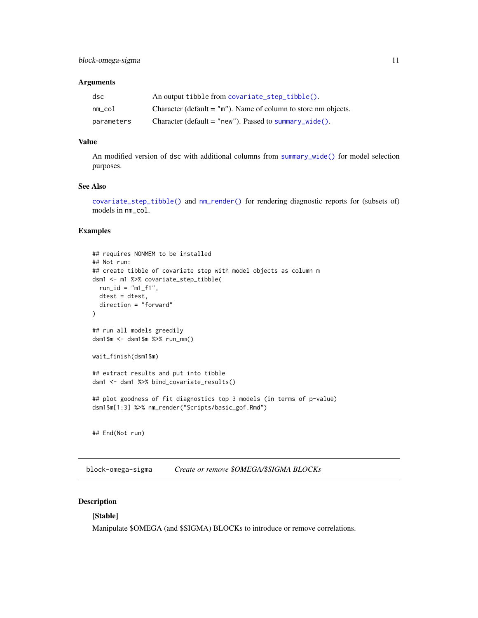## <span id="page-10-0"></span>Arguments

| dsc        | An output tibble from covariate_step_tibble().                   |
|------------|------------------------------------------------------------------|
| $nm\_col$  | Character (default $=$ "m"). Name of column to store nm objects. |
| parameters | Character (default = "new"). Passed to summary_wide().           |

#### Value

An modified version of dsc with additional columns from [summary\\_wide\(\)](#page-63-1) for model selection purposes.

# See Also

[covariate\\_step\\_tibble\(\)](#page-19-1) and [nm\\_render\(\)](#page-61-1) for rendering diagnostic reports for (subsets of) models in nm\_col.

# Examples

```
## requires NONMEM to be installed
## Not run:
## create tibble of covariate step with model objects as column m
dsm1 <- m1 %>% covariate_step_tibble(
  run_id = "m1_f1",dtest = dtest,
  direction = "forward"
\lambda## run all models greedily
dsm1$m <- dsm1$m %>% run_nm()
wait_finish(dsm1$m)
## extract results and put into tibble
dsm1 <- dsm1 %>% bind_covariate_results()
## plot goodness of fit diagnostics top 3 models (in terms of p-value)
dsm1$m[1:3] %>% nm_render("Scripts/basic_gof.Rmd")
## End(Not run)
```
block-omega-sigma *Create or remove \$OMEGA/\$SIGMA BLOCKs*

# Description

# [Stable]

Manipulate \$OMEGA (and \$SIGMA) BLOCKs to introduce or remove correlations.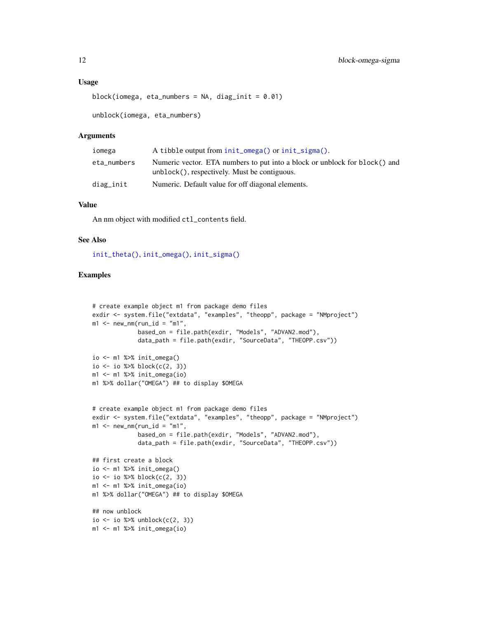#### Usage

```
block(iomega, eta_numbers = NA, diag_init = 0.01)
```
unblock(iomega, eta\_numbers)

#### Arguments

| iomega      | A tibble output from init_omega() or init_sigma().                                                                         |
|-------------|----------------------------------------------------------------------------------------------------------------------------|
| eta_numbers | Numeric vector. ETA numbers to put into a block or unblock for block() and<br>unblock(), respectively. Must be contiguous. |
| diag_init   | Numeric. Default value for off diagonal elements.                                                                          |

# Value

An nm object with modified ctl\_contents field.

# See Also

[init\\_theta\(\)](#page-37-2), [init\\_omega\(\)](#page-37-1), [init\\_sigma\(\)](#page-37-1)

```
# create example object m1 from package demo files
exdir <- system.file("extdata", "examples", "theopp", package = "NMproject")
m1 <- new_nm(run_id = "m1",
             based_on = file.path(exdir, "Models", "ADVAN2.mod"),
             data_path = file.path(exdir, "SourceData", "THEOPP.csv"))
io \leq m1 %>% init_omega()
io <- io %>% block(c(2, 3))
m1 <- m1 %>% init_omega(io)
m1 %>% dollar("OMEGA") ## to display $OMEGA
# create example object m1 from package demo files
exdir <- system.file("extdata", "examples", "theopp", package = "NMproject")
m1 < -new_{mm}(run_id = "m1",based_on = file.path(exdir, "Models", "ADVAN2.mod"),
             data_path = file.path(exdir, "SourceData", "THEOPP.csv"))
## first create a block
io \leq - m1 %>% init_omega()
io <- io %>% block(c(2, 3))
m1 <- m1 %>% init_omega(io)
m1 %>% dollar("OMEGA") ## to display $OMEGA
## now unblock
io <- io %>% unblock(c(2, 3))
m1 <- m1 %>% init_omega(io)
```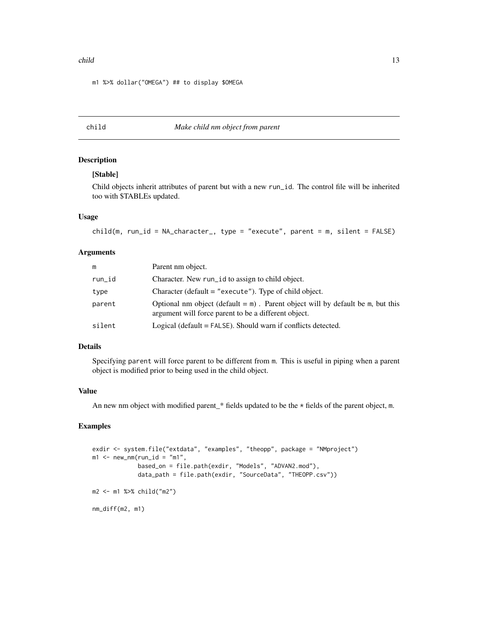#### <span id="page-12-0"></span>child the child through the child through the child through the child through the child through the child through the child through the child through the child through the child through the child through the child through

m1 %>% dollar("OMEGA") ## to display \$OMEGA

# child *Make child nm object from parent*

# Description

# [Stable]

Child objects inherit attributes of parent but with a new run\_id. The control file will be inherited too with \$TABLEs updated.

#### Usage

```
child(m, run_id = NA_character_, type = "execute", parent = m, silent = FALSE)
```
#### Arguments

| m      | Parent nm object.                                                                                                                        |
|--------|------------------------------------------------------------------------------------------------------------------------------------------|
| run_id | Character. New run_id to assign to child object.                                                                                         |
| type   | Character (default $=$ "execute"). Type of child object.                                                                                 |
| parent | Optional nm object (default $=$ m). Parent object will by default be m, but this<br>argument will force parent to be a different object. |
| silent | Logical (default = FALSE). Should warn if conflicts detected.                                                                            |

#### Details

Specifying parent will force parent to be different from m. This is useful in piping when a parent object is modified prior to being used in the child object.

#### Value

An new nm object with modified parent\_\* fields updated to be the  $\star$  fields of the parent object, m.

```
exdir <- system.file("extdata", "examples", "theopp", package = "NMproject")
m1 <- new_nm(run_id = "m1",
             based_on = file.path(exdir, "Models", "ADVAN2.mod"),
             data_path = file.path(exdir, "SourceData", "THEOPP.csv"))
m2 <- m1 %>% child("m2")
nm_diff(m2, m1)
```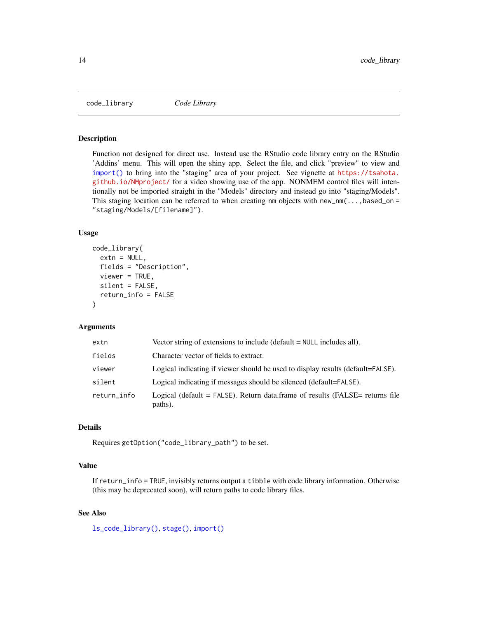<span id="page-13-0"></span>code\_library *Code Library*

#### Description

Function not designed for direct use. Instead use the RStudio code library entry on the RStudio 'Addins' menu. This will open the shiny app. Select the file, and click "preview" to view and [import\(\)](#page-36-1) to bring into the "staging" area of your project. See vignette at [https://tsahota.](https://tsahota.github.io/NMproject/) [github.io/NMproject/](https://tsahota.github.io/NMproject/) for a video showing use of the app. NONMEM control files will intentionally not be imported straight in the "Models" directory and instead go into "staging/Models". This staging location can be referred to when creating nm objects with new\_nm( $\dots$ ,based\_on = "staging/Models/[filename]").

#### Usage

```
code_library(
  extn = NULL,fields = "Description",
  viewer = TRUE,
  silent = FALSE,
  return_info = FALSE
)
```
#### Arguments

| extn        | Vector string of extensions to include (default $=$ NULL includes all).                      |
|-------------|----------------------------------------------------------------------------------------------|
| fields      | Character vector of fields to extract.                                                       |
| viewer      | Logical indicating if viewer should be used to display results (default=FALSE).              |
| silent      | Logical indicating if messages should be silenced (default=FALSE).                           |
| return_info | Logical (default $=$ FALSE). Return data frame of results (FALSE $=$ returns file<br>paths). |

# Details

Requires getOption("code\_library\_path") to be set.

#### Value

If return\_info = TRUE, invisibly returns output a tibble with code library information. Otherwise (this may be deprecated soon), will return paths to code library files.

## See Also

[ls\\_code\\_library\(\)](#page-44-1), [stage\(\)](#page-90-1), [import\(\)](#page-36-1)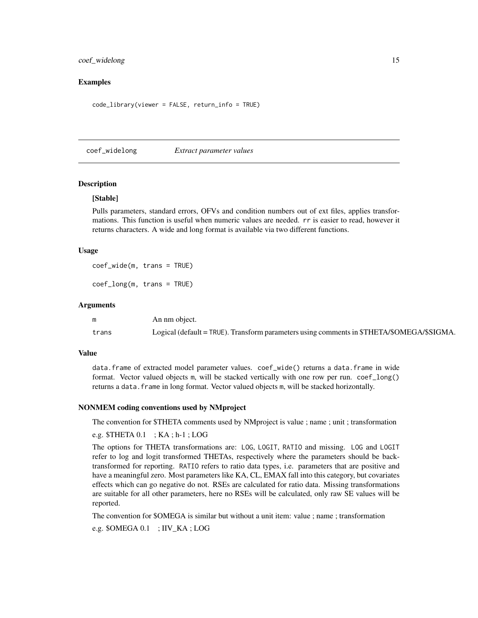#### <span id="page-14-0"></span>coef\_widelong 15

# Examples

code\_library(viewer = FALSE, return\_info = TRUE)

coef\_widelong *Extract parameter values*

#### Description

#### [Stable]

Pulls parameters, standard errors, OFVs and condition numbers out of ext files, applies transformations. This function is useful when numeric values are needed. rr is easier to read, however it returns characters. A wide and long format is available via two different functions.

#### Usage

coef\_wide(m, trans = TRUE)

coef\_long(m, trans = TRUE)

#### Arguments

| m     | An nm object.                                                                             |
|-------|-------------------------------------------------------------------------------------------|
| trans | Logical (default = TRUE). Transform parameters using comments in \$THETA/\$OMEGA/\$SIGMA. |

#### Value

data.frame of extracted model parameter values. coef\_wide() returns a data.frame in wide format. Vector valued objects m, will be stacked vertically with one row per run. coef\_long() returns a data. frame in long format. Vector valued objects m, will be stacked horizontally.

#### NONMEM coding conventions used by NMproject

The convention for \$THETA comments used by NMproject is value ; name ; unit ; transformation

e.g.  $$THETA\ 0.1$ ;  $KA\ ; h-1$ ;  $LOG$ 

The options for THETA transformations are: LOG, LOGIT, RATIO and missing. LOG and LOGIT refer to log and logit transformed THETAs, respectively where the parameters should be backtransformed for reporting. RATIO refers to ratio data types, i.e. parameters that are positive and have a meaningful zero. Most parameters like KA, CL, EMAX fall into this category, but covariates effects which can go negative do not. RSEs are calculated for ratio data. Missing transformations are suitable for all other parameters, here no RSEs will be calculated, only raw SE values will be reported.

The convention for \$OMEGA is similar but without a unit item: value ; name ; transformation

e.g. \$OMEGA 0.1 ; IIV\_KA ; LOG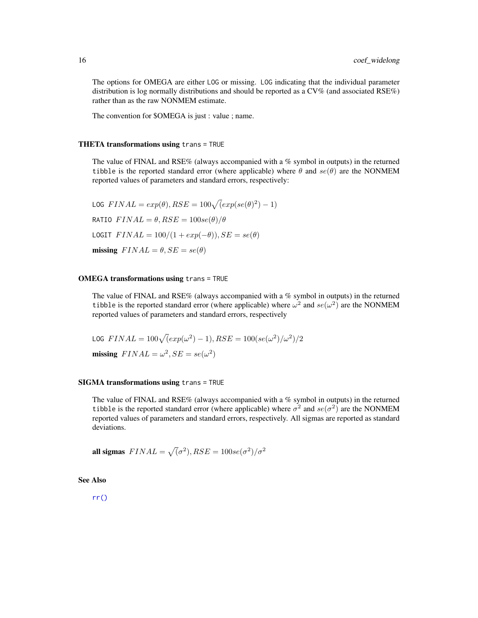The options for OMEGA are either LOG or missing. LOG indicating that the individual parameter distribution is log normally distributions and should be reported as a CV% (and associated RSE%) rather than as the raw NONMEM estimate.

The convention for \$OMEGA is just : value ; name.

#### THETA transformations using trans = TRUE

The value of FINAL and RSE% (always accompanied with a % symbol in outputs) in the returned tibble is the reported standard error (where applicable) where  $\theta$  and  $se(\theta)$  are the NONMEM reported values of parameters and standard errors, respectively:

LOG  $FINAL = exp(\theta), RSE = 100\sqrt{(exp(se(\theta)^2) - 1)}$ RATIO  $FINAL = \theta, RSE = 100se(\theta)/\theta$ LOGIT  $FINAL = 100/(1 + exp(-\theta)), SE = se(\theta)$ missing  $FINAL = \theta, SE = se(\theta)$ 

# OMEGA transformations using trans = TRUE

The value of FINAL and RSE% (always accompanied with a % symbol in outputs) in the returned tibble is the reported standard error (where applicable) where  $\omega^2$  and  $se(\omega^2)$  are the NONMEM reported values of parameters and standard errors, respectively

$$
\text{LOG}\ \text{FINAL} = 100\sqrt{(\exp(\omega^2) - 1)}, \text{RSE} = 100(\text{se}(\omega^2)/\omega^2)/2
$$
\n
$$
\text{missing}\ \text{FINAL} = \omega^2, \text{SE} = \text{se}(\omega^2)
$$

#### SIGMA transformations using trans = TRUE

The value of FINAL and RSE% (always accompanied with a % symbol in outputs) in the returned tibble is the reported standard error (where applicable) where  $\sigma^2$  and  $se(\sigma^2)$  are the NONMEM reported values of parameters and standard errors, respectively. All sigmas are reported as standard deviations.

all sigmas  $\text{FINAL} = \sqrt{(\sigma^2)}, \text{RSE} = 100 \text{se}(\sigma^2)/\sigma^2$ 

See Also

[rr\(\)](#page-79-1)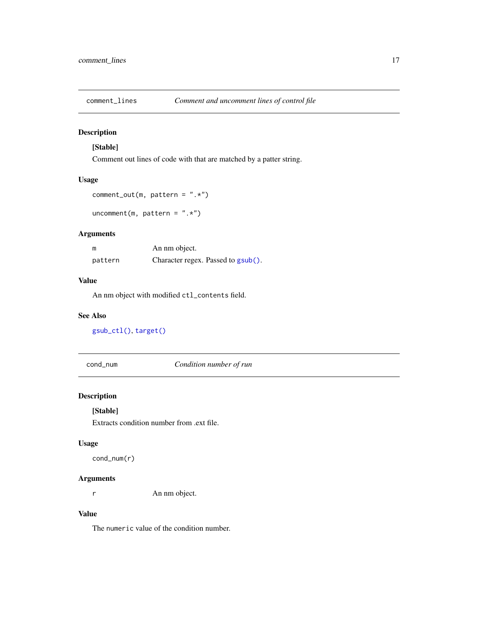<span id="page-16-0"></span>

# Description

# [Stable]

Comment out lines of code with that are matched by a patter string.

# Usage

```
comment_out(m, pattern = ".**)
```
uncomment(m, pattern =  $".**$ )

# Arguments

| m       | An nm object.                      |
|---------|------------------------------------|
| pattern | Character regex. Passed to gsub(). |

#### Value

An nm object with modified ctl\_contents field.

# See Also

[gsub\\_ctl\(\)](#page-34-1), [target\(\)](#page-0-0)

cond\_num *Condition number of run*

# Description

# [Stable]

Extracts condition number from .ext file.

#### Usage

cond\_num(r)

# Arguments

r An nm object.

# Value

The numeric value of the condition number.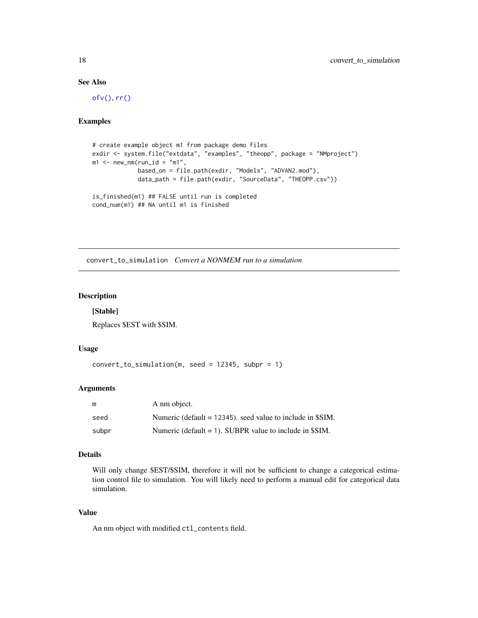# See Also

[ofv\(\)](#page-67-1), [rr\(\)](#page-79-1)

#### Examples

```
# create example object m1 from package demo files
exdir <- system.file("extdata", "examples", "theopp", package = "NMproject")
m1 <- new_nm(run_id = "m1",
             based_on = file.path(exdir, "Models", "ADVAN2.mod"),
             data_path = file.path(exdir, "SourceData", "THEOPP.csv"))
is_finished(m1) ## FALSE until run is completed
```

```
cond_num(m1) ## NA until m1 is finished
```
convert\_to\_simulation *Convert a NONMEM run to a simulation*

# Description

#### [Stable]

Replaces \$EST with \$SIM.

# Usage

convert\_to\_simulation(m, seed = 12345, subpr = 1)

#### Arguments

| m     | A nm object.                                                  |
|-------|---------------------------------------------------------------|
| seed  | Numeric (default $= 12345$ ), seed value to include in \$SIM. |
| subpr | Numeric (default $= 1$ ). SUBPR value to include in \$SIM.    |

#### Details

Will only change \$EST/\$SIM, therefore it will not be sufficient to change a categorical estimation control file to simulation. You will likely need to perform a manual edit for categorical data simulation.

#### Value

An nm object with modified ctl\_contents field.

<span id="page-17-0"></span>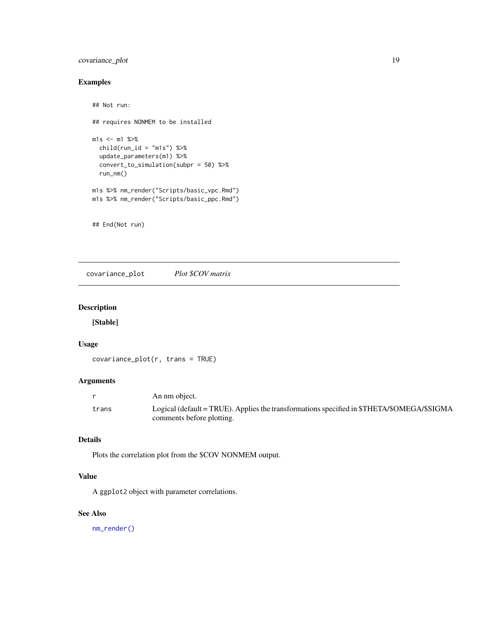# <span id="page-18-0"></span>covariance\_plot 19

# Examples

```
## Not run:
## requires NONMEM to be installed
m1s <- m1 %>%
  child(run_id = "m1s") %>%
  update_parameters(m1) %>%
  convert_to_simulation(subpr = 50) %>%
  run_nm()
m1s %>% nm_render("Scripts/basic_vpc.Rmd")
m1s %>% nm_render("Scripts/basic_ppc.Rmd")
```
## End(Not run)

covariance\_plot *Plot \$COV matrix*

# Description

[Stable]

# Usage

covariance\_plot(r, trans = TRUE)

#### Arguments

|       | An nm object.                                                                                                           |
|-------|-------------------------------------------------------------------------------------------------------------------------|
| trans | Logical (default = TRUE). Applies the transformations specified in \$THETA/\$OMEGA/\$SIGMA<br>comments before plotting. |

# Details

Plots the correlation plot from the \$COV NONMEM output.

# Value

A ggplot2 object with parameter correlations.

# See Also

[nm\\_render\(\)](#page-61-1)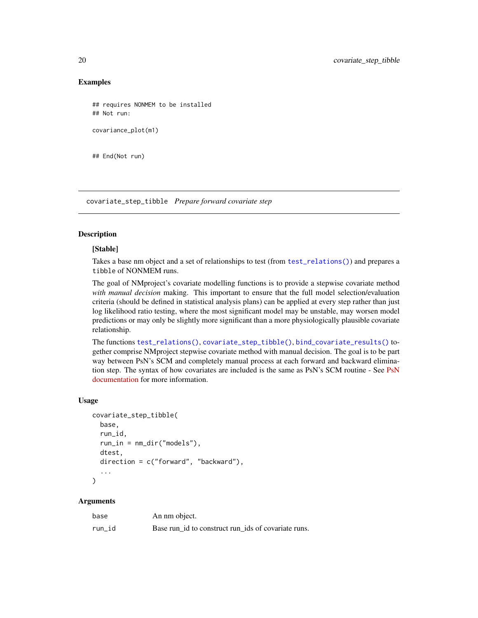#### Examples

```
## requires NONMEM to be installed
## Not run:
covariance_plot(m1)
```
## End(Not run)

<span id="page-19-1"></span>covariate\_step\_tibble *Prepare forward covariate step*

# Description

#### [Stable]

Takes a base nm object and a set of relationships to test (from [test\\_relations\(\)](#page-98-1)) and prepares a tibble of NONMEM runs.

The goal of NMproject's covariate modelling functions is to provide a stepwise covariate method *with manual decision* making. This important to ensure that the full model selection/evaluation criteria (should be defined in statistical analysis plans) can be applied at every step rather than just log likelihood ratio testing, where the most significant model may be unstable, may worsen model predictions or may only be slightly more significant than a more physiologically plausible covariate relationship.

The functions [test\\_relations\(\)](#page-98-1), [covariate\\_step\\_tibble\(\)](#page-19-1), [bind\\_covariate\\_results\(\)](#page-9-1) together comprise NMproject stepwise covariate method with manual decision. The goal is to be part way between PsN's SCM and completely manual process at each forward and backward elimination step. The syntax of how covariates are included is the same as PsN's SCM routine - See [PsN](https://uupharmacometrics.github.io/PsN/docs.html) [documentation](https://uupharmacometrics.github.io/PsN/docs.html) for more information.

#### Usage

```
covariate_step_tibble(
  base,
  run_id,
  run_in = nm\_dir('models''),
  dtest,
  direction = c("forward", "backward"),
  ...
\mathcal{E}
```
# Arguments

| base   | An nm object.                                       |
|--------|-----------------------------------------------------|
| run id | Base run id to construct run ids of covariate runs. |

<span id="page-19-0"></span>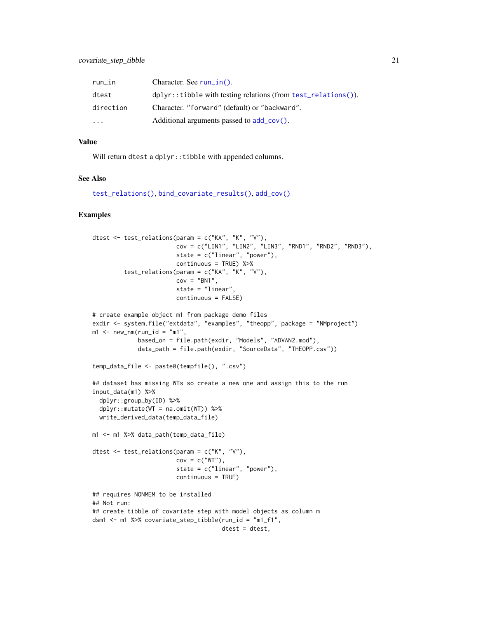| $run_in$  | Character. See $run_in()$ .                                       |
|-----------|-------------------------------------------------------------------|
| dtest     | $dplyr::tibble with testing relations (from test_rrelations())$ . |
| direction | Character. "forward" (default) or "backward".                     |
| $\ddotsc$ | Additional arguments passed to $add\_cov()$ .                     |

#### Value

Will return dtest a dplyr::tibble with appended columns.

# See Also

```
test_relations(), bind_covariate_results(), add_cov()
```

```
dtest <- test_relations(param = c("KA", "K", "V"),
                        cov = c("LIN1", "LIN2", "LIN3", "RND1", "RND2", "RND3"),
                        state = c("linear", "power"),
                        continuous = TRUE) %>%
         test_relations(param = c("KA", "K", "V"),
                        cov = "BN1",state = "linear",
                        continuous = FALSE)
# create example object m1 from package demo files
exdir <- system.file("extdata", "examples", "theopp", package = "NMproject")
m1 <- new_nm(run_id = "m1",
             based_on = file.path(exdir, "Models", "ADVAN2.mod"),
             data_path = file.path(exdir, "SourceData", "THEOPP.csv"))
temp_data_file <- paste0(tempfile(), ".csv")
## dataset has missing WTs so create a new one and assign this to the run
input_data(m1) %>%
  dplyr::group_by(ID) %>%
  dplyr::mutate(WT = naomit(WT)) %>%
  write_derived_data(temp_data_file)
m1 <- m1 %>% data_path(temp_data_file)
dtest <- test_relations(param = c("K", "V"),
                        cov = c("WT"),
                        state = c("linear", "power"),
                        continuous = TRUE)
## requires NONMEM to be installed
## Not run:
## create tibble of covariate step with model objects as column m
dsm1 <- m1 %>% covariate_step_tibble(run_id = "m1_f1",
                                     dtest = dtest,
```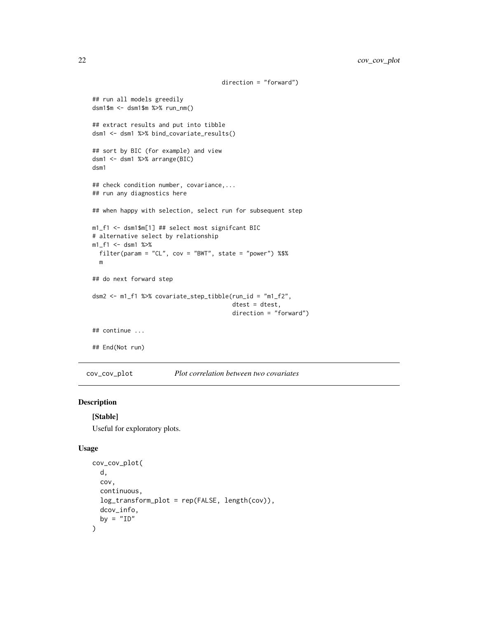```
direction = "forward")
## run all models greedily
dsm1$m <- dsm1$m %>% run_nm()
## extract results and put into tibble
dsm1 <- dsm1 %>% bind_covariate_results()
## sort by BIC (for example) and view
dsm1 <- dsm1 %>% arrange(BIC)
dsm1
## check condition number, covariance,...
## run any diagnostics here
## when happy with selection, select run for subsequent step
m1_f1 <- dsm1$m[1] ## select most signifcant BIC
# alternative select by relationship
m1_f1 <- dsm1 %>%
  filter(param = "CL", cov = "BWT", state = "power") %$%
  m
## do next forward step
dsm2 <- m1_f1 %>% covariate_step_tibble(run_id = "m1_f2",
                                        dtest = dtest,
                                        direction = "forward")
## continue ...
## End(Not run)
```
cov\_cov\_plot *Plot correlation between two covariates*

#### Description

```
[Stable]
```
Useful for exploratory plots.

#### Usage

```
cov_cov_plot(
 d,
 cov,
 continuous,
 log_transform_plot = rep(FALSE, length(cov)),
 dcov_info,
 by = "ID")
```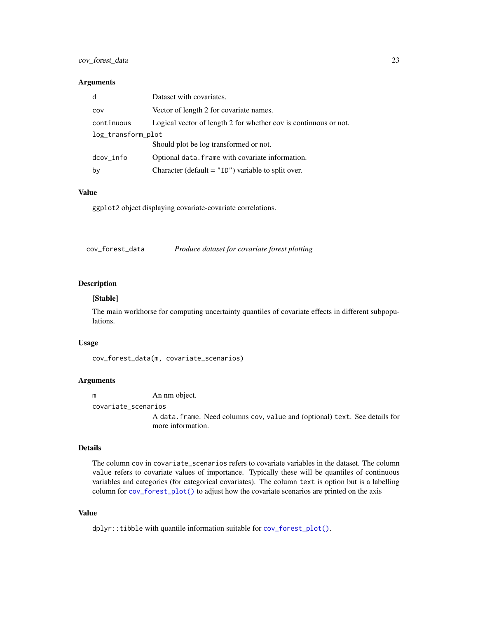# <span id="page-22-0"></span>cov\_forest\_data 23

#### Arguments

| d                  | Dataset with covariates.                                         |  |
|--------------------|------------------------------------------------------------------|--|
| COV                | Vector of length 2 for covariate names.                          |  |
| continuous         | Logical vector of length 2 for whether cov is continuous or not. |  |
| log_transform_plot |                                                                  |  |
|                    | Should plot be log transformed or not.                           |  |
| dcov_info          | Optional data. Frame with covariate information.                 |  |
| by                 | Character (default $=$ "ID") variable to split over.             |  |

#### Value

ggplot2 object displaying covariate-covariate correlations.

<span id="page-22-1"></span>

| Produce dataset for covariate forest plotting | cov_forest_data |
|-----------------------------------------------|-----------------|
|-----------------------------------------------|-----------------|

# Description

#### [Stable]

The main workhorse for computing uncertainty quantiles of covariate effects in different subpopulations.

# Usage

cov\_forest\_data(m, covariate\_scenarios)

# Arguments

m An nm object.

covariate\_scenarios

A data.frame. Need columns cov, value and (optional) text. See details for more information.

#### Details

The column cov in covariate\_scenarios refers to covariate variables in the dataset. The column value refers to covariate values of importance. Typically these will be quantiles of continuous variables and categories (for categorical covariates). The column text is option but is a labelling column for [cov\\_forest\\_plot\(\)](#page-23-1) to adjust how the covariate scenarios are printed on the axis

#### Value

dplyr::tibble with quantile information suitable for [cov\\_forest\\_plot\(\)](#page-23-1).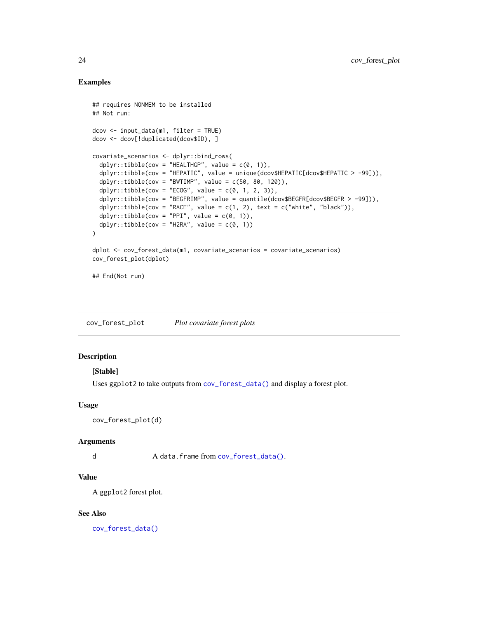# Examples

```
## requires NONMEM to be installed
## Not run:
dcov <- input_data(m1, filter = TRUE)
dcov <- dcov[!duplicated(dcov$ID), ]
covariate_scenarios <- dplyr::bind_rows(
 dplyr::tibble(cov = "HEALTHGP", value = c(0, 1)),dplyr::tibble(cov = "HEPATIC", value = unique(dcov$HEPATIC[dcov$HEPATIC > -99])),
 dplyr::tibble(cov = "BWTIMP", value = c(50, 80, 120)),dplyr::tibble(cov = "ECOG", value = c(0, 1, 2, 3)),dplyr::tibble(cov = "BEGFRIMP", value = quantile(dcov$BEGFR[dcov$BEGFR > -99])),
 dplyr::tibble(cov = "RACE", value = c(1, 2), text = c("white", "black")),
 dplyr::tibble(cov = "PPI", value = c(0, 1)),dplyr::tibble(cov = "H2RA", value = c(0, 1))\mathcal{L}dplot <- cov_forest_data(m1, covariate_scenarios = covariate_scenarios)
cov_forest_plot(dplot)
## End(Not run)
```
<span id="page-23-1"></span>cov\_forest\_plot *Plot covariate forest plots*

# Description

# [Stable]

Uses ggplot2 to take outputs from [cov\\_forest\\_data\(\)](#page-22-1) and display a forest plot.

#### Usage

```
cov_forest_plot(d)
```
#### **Arguments**

d A data.frame from [cov\\_forest\\_data\(\)](#page-22-1).

#### Value

A ggplot2 forest plot.

#### See Also

[cov\\_forest\\_data\(\)](#page-22-1)

<span id="page-23-0"></span>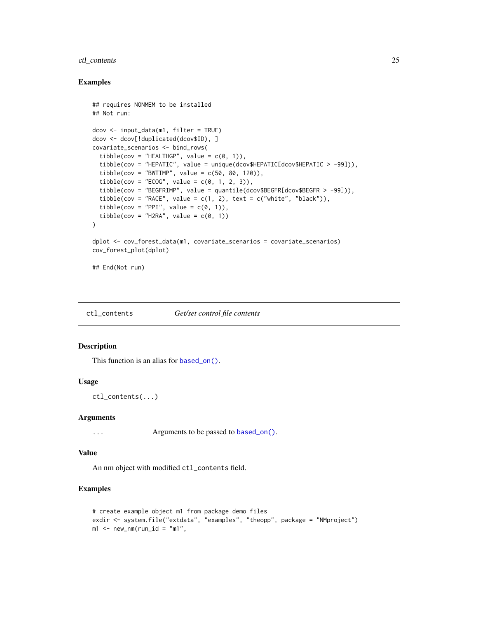# <span id="page-24-0"></span>ctl\_contents 25

#### Examples

```
## requires NONMEM to be installed
## Not run:
dcov <- input_data(m1, filter = TRUE)
dcov <- dcov[!duplicated(dcov$ID), ]
covariate_scenarios <- bind_rows(
  tibble(cov = "HEALTHGP", value = c(\theta, 1)),
  tibble(cov = "HEPATIC", value = unique(dcov$HEPATIC[dcov$HEPATIC > -99])),
  tibble(cov = "BWTIMP", value = c(50, 80, 120)),
  tibble(cov = "ECOG", value = c(0, 1, 2, 3)),
  tibble(cov = "BEGFRIMP", value = quantile(dcov$BEGFR[dcov$BEGFR > -99])),
  tibble(cov = "RACE", value = c(1, 2), text = c("white", "black")),
  tibble(cov = "PPI", value = c(0, 1)),
  tibble(cov = "H2RA", value = c(\emptyset, 1))
\lambdadplot <- cov_forest_data(m1, covariate_scenarios = covariate_scenarios)
cov_forest_plot(dplot)
## End(Not run)
```
ctl\_contents *Get/set control file contents*

#### Description

This function is an alias for [based\\_on\(\)](#page-0-0).

# Usage

ctl\_contents(...)

#### Arguments

... Arguments to be passed to [based\\_on\(\)](#page-0-0).

#### Value

An nm object with modified ctl\_contents field.

```
# create example object m1 from package demo files
exdir <- system.file("extdata", "examples", "theopp", package = "NMproject")
m1 <- new_nm(run_id = "m1",
```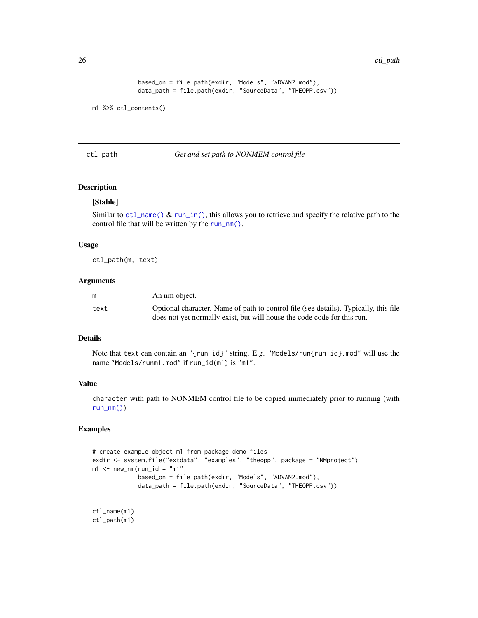<span id="page-25-0"></span>26 ctl\_path

```
based_on = file.path(exdir, "Models", "ADVAN2.mod"),
data_path = file.path(exdir, "SourceData", "THEOPP.csv"))
```

```
m1 %>% ctl_contents()
```
ctl\_path *Get and set path to NONMEM control file*

# Description

# [Stable]

Similar to [ctl\\_name\(\)](#page-56-1) & [run\\_in\(\)](#page-56-1), this allows you to retrieve and specify the relative path to the control file that will be written by the [run\\_nm\(\)](#page-82-1).

#### Usage

ctl\_path(m, text)

#### Arguments

| m    | An nm object.                                                                        |
|------|--------------------------------------------------------------------------------------|
| text | Optional character. Name of path to control file (see details). Typically, this file |
|      | does not yet normally exist, but will house the code code for this run.              |

# Details

Note that text can contain an "{run\_id}" string. E.g. "Models/run{run\_id}.mod" will use the name "Models/runm1.mod" if run\_id(m1) is "m1".

#### Value

character with path to NONMEM control file to be copied immediately prior to running (with  $run\_nm()$ ).

```
# create example object m1 from package demo files
exdir <- system.file("extdata", "examples", "theopp", package = "NMproject")
m1 <- new_nm(run_id = "m1",
            based_on = file.path(exdir, "Models", "ADVAN2.mod"),
             data_path = file.path(exdir, "SourceData", "THEOPP.csv"))
```

```
ctl_name(m1)
ctl_path(m1)
```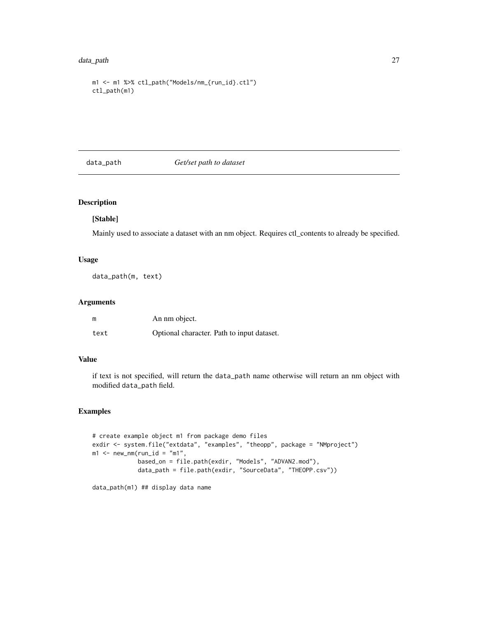#### <span id="page-26-0"></span>data\_path 27

```
m1 <- m1 %>% ctl_path("Models/nm_{run_id}.ctl")
ctl_path(m1)
```
#### data\_path *Get/set path to dataset*

# Description

# [Stable]

Mainly used to associate a dataset with an nm object. Requires ctl\_contents to already be specified.

#### Usage

data\_path(m, text)

# Arguments

| m    | An nm object.                              |
|------|--------------------------------------------|
| text | Optional character. Path to input dataset. |

#### Value

if text is not specified, will return the data\_path name otherwise will return an nm object with modified data\_path field.

```
# create example object m1 from package demo files
exdir <- system.file("extdata", "examples", "theopp", package = "NMproject")
m1 <- new_nm(run_id = "m1",
             based_on = file.path(exdir, "Models", "ADVAN2.mod"),
             data_path = file.path(exdir, "SourceData", "THEOPP.csv"))
```

```
data_path(m1) ## display data name
```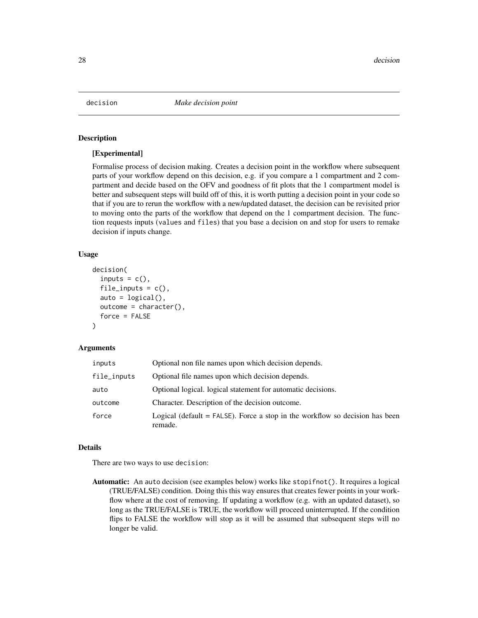<span id="page-27-0"></span>

#### **Description**

#### [Experimental]

Formalise process of decision making. Creates a decision point in the workflow where subsequent parts of your workflow depend on this decision, e.g. if you compare a 1 compartment and 2 compartment and decide based on the OFV and goodness of fit plots that the 1 compartment model is better and subsequent steps will build off of this, it is worth putting a decision point in your code so that if you are to rerun the workflow with a new/updated dataset, the decision can be revisited prior to moving onto the parts of the workflow that depend on the 1 compartment decision. The function requests inputs (values and files) that you base a decision on and stop for users to remake decision if inputs change.

# Usage

```
decision(
  inputs = c(),
  file_inputs = c(),
  auto = logical(),outcome = character(),
  force = FALSE
)
```
### Arguments

| inputs      | Optional non file names upon which decision depends.                                      |
|-------------|-------------------------------------------------------------------------------------------|
| file_inputs | Optional file names upon which decision depends.                                          |
| auto        | Optional logical, logical statement for automatic decisions.                              |
| outcome     | Character. Description of the decision outcome.                                           |
| force       | Logical (default $=$ FALSE). Force a stop in the workflow so decision has been<br>remade. |

#### Details

There are two ways to use decision:

Automatic: An auto decision (see examples below) works like stopifnot(). It requires a logical (TRUE/FALSE) condition. Doing this this way ensures that creates fewer points in your workflow where at the cost of removing. If updating a workflow (e.g. with an updated dataset), so long as the TRUE/FALSE is TRUE, the workflow will proceed uninterrupted. If the condition flips to FALSE the workflow will stop as it will be assumed that subsequent steps will no longer be valid.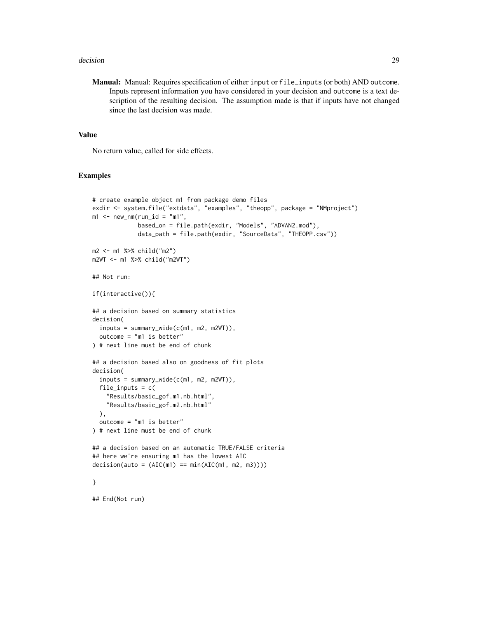#### decision 29

Manual: Manual: Requires specification of either input or file\_inputs (or both) AND outcome. Inputs represent information you have considered in your decision and outcome is a text description of the resulting decision. The assumption made is that if inputs have not changed since the last decision was made.

# Value

No return value, called for side effects.

```
# create example object m1 from package demo files
exdir <- system.file("extdata", "examples", "theopp", package = "NMproject")
m1 <- new\_nm(run_id = "m1",based_on = file.path(exdir, "Models", "ADVAN2.mod"),
             data_path = file.path(exdir, "SourceData", "THEOPP.csv"))
m2 <- m1 %>% child("m2")
m2WT <- m1 %>% child("m2WT")
## Not run:
if(interactive()){
## a decision based on summary statistics
decision(
  inputs = summary\_wide(c(m1, m2, m2WT)),outcome = "m1 is better"
) # next line must be end of chunk
## a decision based also on goodness of fit plots
decision(
  inputs = summary\_wide(c(m1, m2, m2WT)),file_inputs = c("Results/basic_gof.m1.nb.html",
    "Results/basic_gof.m2.nb.html"
  ),
  outcome = "m1 is better"
) # next line must be end of chunk
## a decision based on an automatic TRUE/FALSE criteria
## here we're ensuring m1 has the lowest AIC
decision(auto = (AIC(m1) == min(AIC(m1, m2, m3))))}
## End(Not run)
```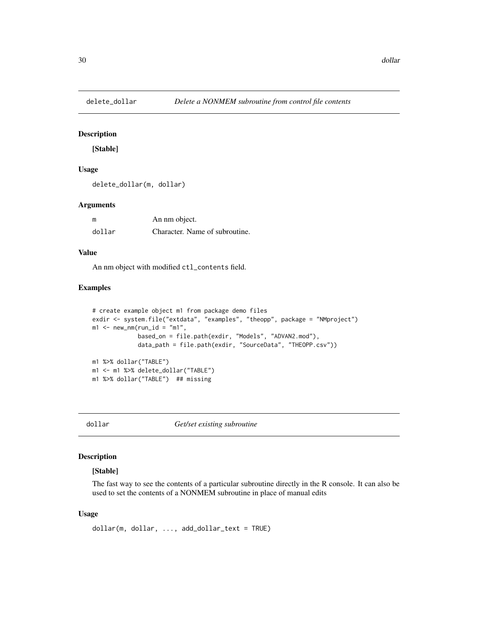<span id="page-29-1"></span><span id="page-29-0"></span>

#### Description

[Stable]

# Usage

delete\_dollar(m, dollar)

#### Arguments

| m      | An nm object.                  |
|--------|--------------------------------|
| dollar | Character. Name of subroutine. |

# Value

An nm object with modified ctl\_contents field.

# Examples

```
# create example object m1 from package demo files
exdir <- system.file("extdata", "examples", "theopp", package = "NMproject")
m1 <- new_nm(run_id = "m1",
             based_on = file.path(exdir, "Models", "ADVAN2.mod"),
             data_path = file.path(exdir, "SourceData", "THEOPP.csv"))
m1 %>% dollar("TABLE")
m1 <- m1 %>% delete_dollar("TABLE")
m1 %>% dollar("TABLE") ## missing
```
dollar *Get/set existing subroutine*

#### Description

#### [Stable]

The fast way to see the contents of a particular subroutine directly in the R console. It can also be used to set the contents of a NONMEM subroutine in place of manual edits

#### Usage

```
dollar(m, dollar, ..., add_dollar_text = TRUE)
```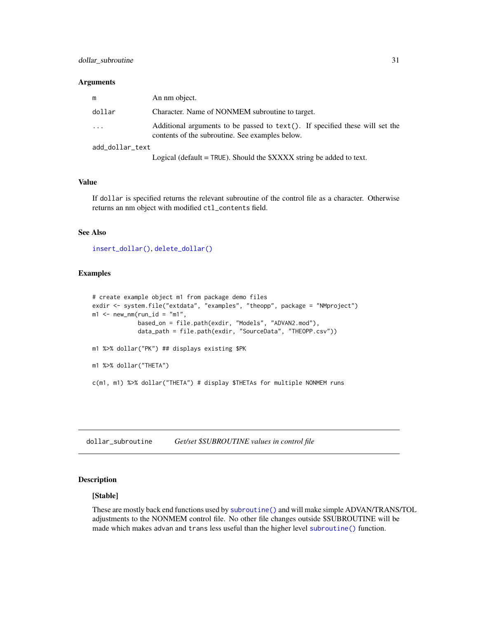#### <span id="page-30-0"></span>Arguments

| m               | An nm object.                                                                                                                   |
|-----------------|---------------------------------------------------------------------------------------------------------------------------------|
| dollar          | Character. Name of NONMEM subroutine to target.                                                                                 |
| $\ddots$        | Additional arguments to be passed to text(). If specified these will set the<br>contents of the subroutine. See examples below. |
| add dollar text |                                                                                                                                 |
|                 |                                                                                                                                 |

Logical (default = TRUE). Should the \$XXXX string be added to text.

# Value

If dollar is specified returns the relevant subroutine of the control file as a character. Otherwise returns an nm object with modified ctl\_contents field.

#### See Also

```
insert_dollar(), delete_dollar()
```
# Examples

```
# create example object m1 from package demo files
exdir <- system.file("extdata", "examples", "theopp", package = "NMproject")
m1 <- new_nm(run_id = "m1",
            based_on = file.path(exdir, "Models", "ADVAN2.mod"),
             data_path = file.path(exdir, "SourceData", "THEOPP.csv"))
m1 %>% dollar("PK") ## displays existing $PK
m1 %>% dollar("THETA")
c(m1, m1) %>% dollar("THETA") # display $THETAs for multiple NONMEM runs
```
dollar\_subroutine *Get/set \$SUBROUTINE values in control file*

#### Description

#### [Stable]

These are mostly back end functions used by [subroutine\(\)](#page-93-1) and will make simple ADVAN/TRANS/TOL adjustments to the NONMEM control file. No other file changes outside \$SUBROUTINE will be made which makes advan and trans less useful than the higher level [subroutine\(\)](#page-93-1) function.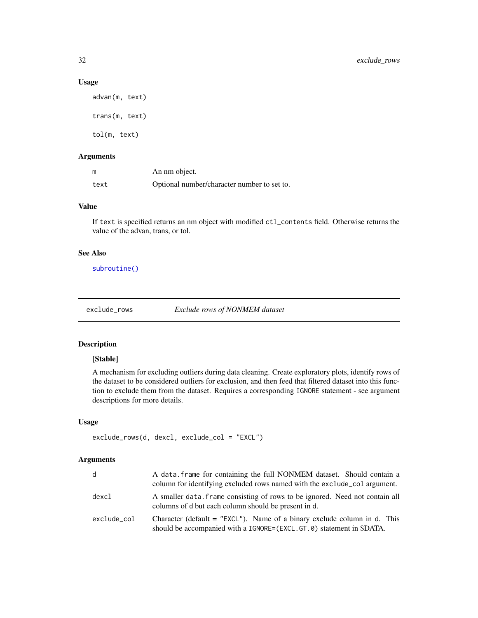#### Usage

advan(m, text) trans(m, text) tol(m, text)

#### Arguments

| m    | An nm object.                               |
|------|---------------------------------------------|
| text | Optional number/character number to set to. |

#### Value

If text is specified returns an nm object with modified ctl\_contents field. Otherwise returns the value of the advan, trans, or tol.

# See Also

[subroutine\(\)](#page-93-1)

exclude\_rows *Exclude rows of NONMEM dataset*

# Description

## [Stable]

A mechanism for excluding outliers during data cleaning. Create exploratory plots, identify rows of the dataset to be considered outliers for exclusion, and then feed that filtered dataset into this function to exclude them from the dataset. Requires a corresponding IGNORE statement - see argument descriptions for more details.

#### Usage

```
exclude_rows(d, dexcl, exclude_col = "EXCL")
```
# Arguments

| d           | A data frame for containing the full NONMEM dataset. Should contain a<br>column for identifying excluded rows named with the exclude colargument.  |
|-------------|----------------------------------------------------------------------------------------------------------------------------------------------------|
| dexcl       | A smaller data frame consisting of rows to be ignored. Need not contain all<br>columns of d but each column should be present in d.                |
| exclude_col | Character (default $=$ "EXCL"). Name of a binary exclude column in d. This<br>should be accompanied with a IGNORE=(EXCL.GT.0) statement in \$DATA. |

<span id="page-31-0"></span>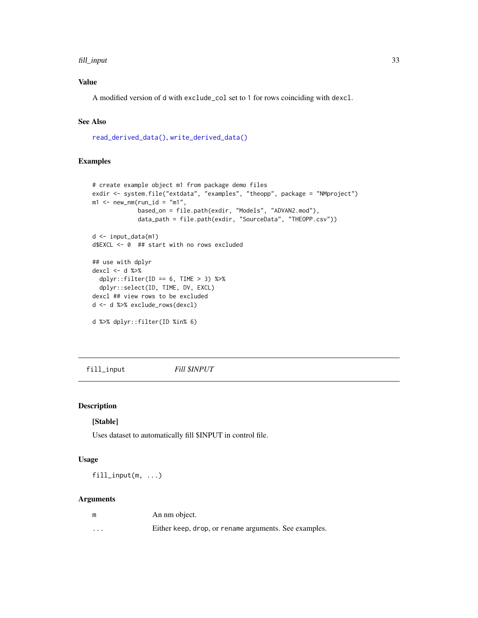#### <span id="page-32-0"></span>fill\_input 33

# Value

A modified version of d with exclude\_col set to 1 for rows coinciding with dexcl.

# See Also

[read\\_derived\\_data\(\)](#page-76-1), [write\\_derived\\_data\(\)](#page-103-1)

# Examples

```
# create example object m1 from package demo files
exdir <- system.file("extdata", "examples", "theopp", package = "NMproject")
m1 <- new_nm(run_id = "m1",
             based_on = file.path(exdir, "Models", "ADVAN2.mod"),
             data_path = file.path(exdir, "SourceData", "THEOPP.csv"))
d <- input_data(m1)
d$EXCL <- 0 ## start with no rows excluded
## use with dplyr
dexcl <- d %>%
  dplyr::filter(ID == 6, TIME > 3) %>%
  dplyr::select(ID, TIME, DV, EXCL)
dexcl ## view rows to be excluded
d <- d %>% exclude_rows(dexcl)
d %>% dplyr::filter(ID %in% 6)
```
fill\_input *Fill \$INPUT*

#### Description

#### [Stable]

Uses dataset to automatically fill \$INPUT in control file.

#### Usage

fill\_input(m, ...)

#### Arguments

| m        | An nm object.                                         |
|----------|-------------------------------------------------------|
| $\cdots$ | Either keep, drop, or rename arguments. See examples. |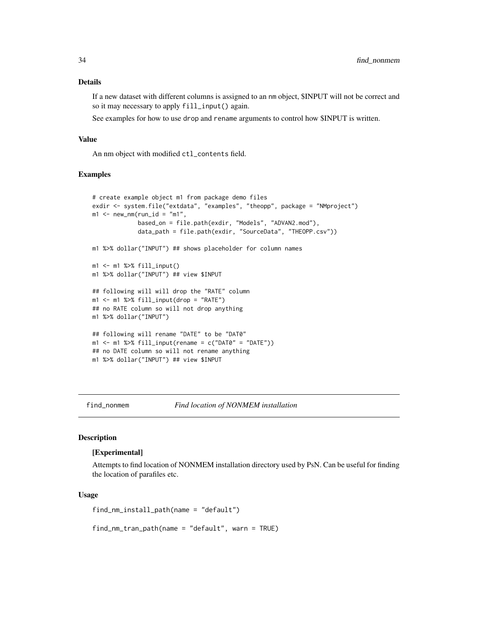#### <span id="page-33-0"></span>Details

If a new dataset with different columns is assigned to an nm object, \$INPUT will not be correct and so it may necessary to apply fill\_input() again.

See examples for how to use drop and rename arguments to control how \$INPUT is written.

### Value

An nm object with modified ctl\_contents field.

#### Examples

```
# create example object m1 from package demo files
exdir <- system.file("extdata", "examples", "theopp", package = "NMproject")
m1 <- new_nm(run_id = "m1",
             based_on = file.path(exdir, "Models", "ADVAN2.mod"),
             data_path = file.path(exdir, "SourceData", "THEOPP.csv"))
m1 %>% dollar("INPUT") ## shows placeholder for column names
m1 < -m1 %>% fill_input()
m1 %>% dollar("INPUT") ## view $INPUT
## following will will drop the "RATE" column
m1 <- m1 %>% fill\_input(drop = "RATE")## no RATE column so will not drop anything
m1 %>% dollar("INPUT")
## following will rename "DATE" to be "DAT0"
m1 <- m1 %>% fill_input(rename = c("DAT0" = "DATE"))
## no DATE column so will not rename anything
m1 %>% dollar("INPUT") ## view $INPUT
```
find\_nonmem *Find location of NONMEM installation*

# **Description**

#### [Experimental]

Attempts to find location of NONMEM installation directory used by PsN. Can be useful for finding the location of parafiles etc.

#### Usage

find\_nm\_install\_path(name = "default")

find\_nm\_tran\_path(name = "default", warn = TRUE)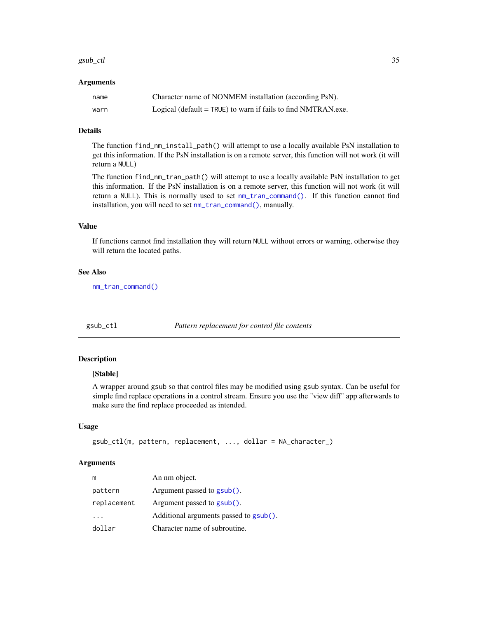#### <span id="page-34-0"></span> $gsub_cl$  35

#### Arguments

| name | Character name of NONMEM installation (according PsN).          |
|------|-----------------------------------------------------------------|
| warn | Logical (default $=$ TRUE) to warn if fails to find NMTRAN.exe. |

# Details

The function find\_nm\_install\_path() will attempt to use a locally available PsN installation to get this information. If the PsN installation is on a remote server, this function will not work (it will return a NULL)

The function find\_nm\_tran\_path() will attempt to use a locally available PsN installation to get this information. If the PsN installation is on a remote server, this function will not work (it will return a NULL). This is normally used to set [nm\\_tran\\_command\(\)](#page-65-1). If this function cannot find installation, you will need to set [nm\\_tran\\_command\(\)](#page-65-1), manually.

#### Value

If functions cannot find installation they will return NULL without errors or warning, otherwise they will return the located paths.

#### See Also

[nm\\_tran\\_command\(\)](#page-65-1)

<span id="page-34-1"></span>gsub\_ctl *Pattern replacement for control file contents*

#### Description

#### [Stable]

A wrapper around gsub so that control files may be modified using gsub syntax. Can be useful for simple find replace operations in a control stream. Ensure you use the "view diff" app afterwards to make sure the find replace proceeded as intended.

#### Usage

```
gsub_ctl(m, pattern, replacement, ..., dollar = NA_character_)
```
#### Arguments

| m           | An nm object.                          |
|-------------|----------------------------------------|
| pattern     | Argument passed to gsub().             |
| replacement | Argument passed to $\text{gsub}()$ .   |
|             | Additional arguments passed to gsub(). |
| dollar      | Character name of subroutine.          |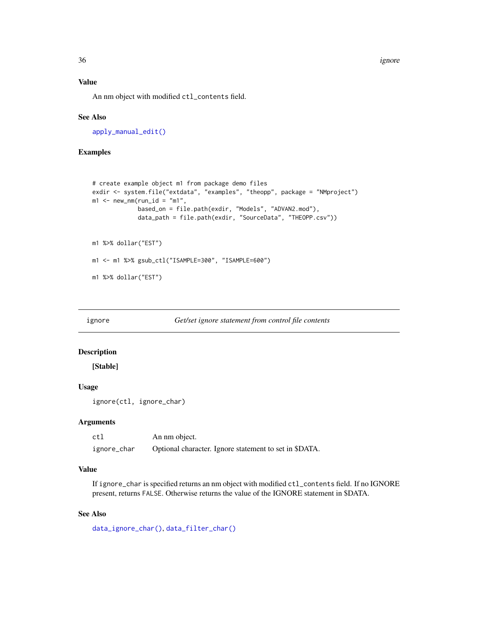36 ignore that the contract of the contract of the contract of the contract of the contract of the contract of the contract of the contract of the contract of the contract of the contract of the contract of the contract of

# Value

An nm object with modified ctl\_contents field.

#### See Also

[apply\\_manual\\_edit\(\)](#page-8-1)

#### Examples

```
# create example object m1 from package demo files
exdir <- system.file("extdata", "examples", "theopp", package = "NMproject")
m1 <- new\_nm(run_id = "m1",based_on = file.path(exdir, "Models", "ADVAN2.mod"),
             data_path = file.path(exdir, "SourceData", "THEOPP.csv"))
m1 %>% dollar("EST")
m1 <- m1 %>% gsub_ctl("ISAMPLE=300", "ISAMPLE=600")
m1 %>% dollar("EST")
```
ignore *Get/set ignore statement from control file contents*

# Description

[Stable]

#### Usage

ignore(ctl, ignore\_char)

#### Arguments

| ctl         | An nm object.                                          |
|-------------|--------------------------------------------------------|
| ignore_char | Optional character. Ignore statement to set in \$DATA. |

# Value

If ignore\_char is specified returns an nm object with modified ctl\_contents field. If no IGNORE present, returns FALSE. Otherwise returns the value of the IGNORE statement in \$DATA.

# See Also

[data\\_ignore\\_char\(\)](#page-0-0), [data\\_filter\\_char\(\)](#page-0-0)

<span id="page-35-0"></span>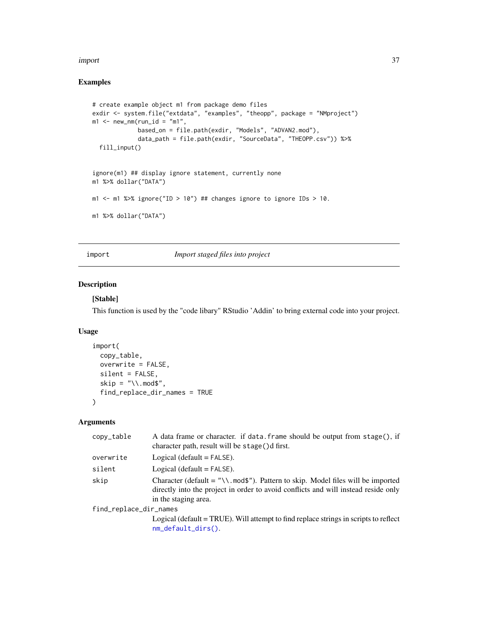#### import 37

## Examples

```
# create example object m1 from package demo files
exdir <- system.file("extdata", "examples", "theopp", package = "NMproject")
m1 <- new_nm(run_id = "m1",
            based_on = file.path(exdir, "Models", "ADVAN2.mod"),
            data_path = file.path(exdir, "SourceData", "THEOPP.csv")) %>%
  fill_input()
ignore(m1) ## display ignore statement, currently none
m1 %>% dollar("DATA")
m1 <- m1 %>% ignore("ID > 10") ## changes ignore to ignore IDs > 10.
m1 %>% dollar("DATA")
```
<span id="page-36-0"></span>import *Import staged files into project*

## Description

#### [Stable]

This function is used by the "code libary" RStudio 'Addin' to bring external code into your project.

## Usage

```
import(
  copy_table,
  overwrite = FALSE,
  silent = FALSE,
  skip = "\wedge\ldots mod$",
  find_replace_dir_names = TRUE
\mathcal{L}
```

| A data frame or character. if data frame should be output from stage(), if<br>character path, result will be stage()d first.                                                                  |
|-----------------------------------------------------------------------------------------------------------------------------------------------------------------------------------------------|
| Logical (default $=$ FALSE).                                                                                                                                                                  |
| Logical (default $=$ FALSE).                                                                                                                                                                  |
| Character (default = "\\.mod\$"). Pattern to skip. Model files will be imported<br>directly into the project in order to avoid conflicts and will instead reside only<br>in the staging area. |
| find_replace_dir_names                                                                                                                                                                        |
| Logical (default = TRUE). Will attempt to find replace strings in scripts to reflect<br>$nm\_default\_dirs()$ .                                                                               |
|                                                                                                                                                                                               |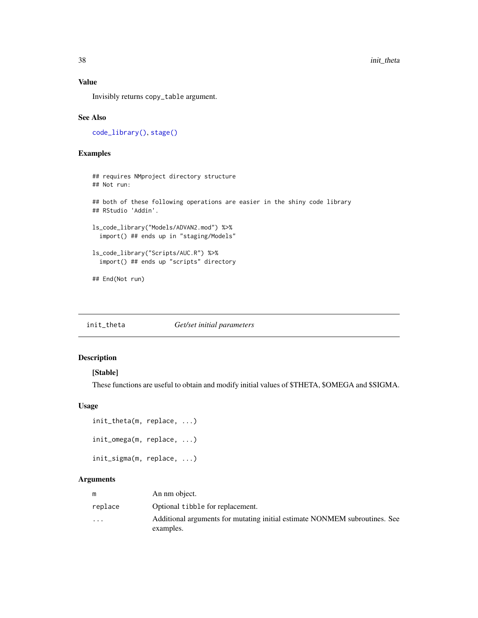#### Value

Invisibly returns copy\_table argument.

#### See Also

[code\\_library\(\)](#page-13-0), [stage\(\)](#page-90-0)

#### Examples

```
## requires NMproject directory structure
## Not run:
## both of these following operations are easier in the shiny code library
## RStudio 'Addin'.
ls_code_library("Models/ADVAN2.mod") %>%
  import() ## ends up in "staging/Models"
ls_code_library("Scripts/AUC.R") %>%
  import() ## ends up "scripts" directory
## End(Not run)
```
init\_theta *Get/set initial parameters*

#### Description

## [Stable]

These functions are useful to obtain and modify initial values of \$THETA, \$OMEGA and \$SIGMA.

#### Usage

```
init_theta(m, replace, ...)
init_omega(m, replace, ...)
init_sigma(m, replace, ...)
```

| m                       | An nm object.                                                              |
|-------------------------|----------------------------------------------------------------------------|
| replace                 | Optional tibble for replacement.                                           |
| $\cdot$ $\cdot$ $\cdot$ | Additional arguments for mutating initial estimate NONMEM subroutines. See |
|                         | examples.                                                                  |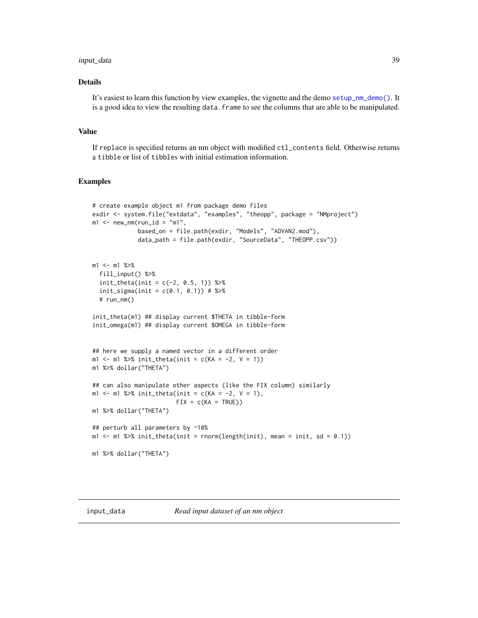#### input\_data 39

## Details

It's easiest to learn this function by view examples, the vignette and the demo [setup\\_nm\\_demo\(\)](#page-86-0). It is a good idea to view the resulting data. frame to see the columns that are able to be manipulated.

#### Value

If replace is specified returns an nm object with modified ctl\_contents field. Otherwise returns a tibble or list of tibbles with initial estimation information.

```
# create example object m1 from package demo files
exdir <- system.file("extdata", "examples", "theopp", package = "NMproject")
m1 <- new_nm(run_id = "m1",
            based_on = file.path(exdir, "Models", "ADVAN2.mod"),
             data_path = file.path(exdir, "SourceData", "THEOPP.csv"))
m1 <- m1 %>%
  fill_input() %>%
  init_{theta(int = c(-2, 0.5, 1)) %>%
  init\_sigma(int = c(0.1, 0.1)) # %# run_nm()
init_theta(m1) ## display current $THETA in tibble-form
init_omega(m1) ## display current $OMEGA in tibble-form
## here we supply a named vector in a different order
m1 <- m1 %>% init_theta(init = c(KA = -2, V = 1))
m1 %>% dollar("THETA")
## can also manipulate other aspects (like the FIX column) similarly
m1 <- m1 %>% init_theta(init = c(KA = -2, V = 1),
                        FIX = c(KA = TRUE))m1 %>% dollar("THETA")
## perturb all parameters by ~10%
m1 <- m1 %>% init_theta(init = rnorm(length(init), mean = init, sd = 0.1))
m1 %>% dollar("THETA")
```
<span id="page-38-0"></span>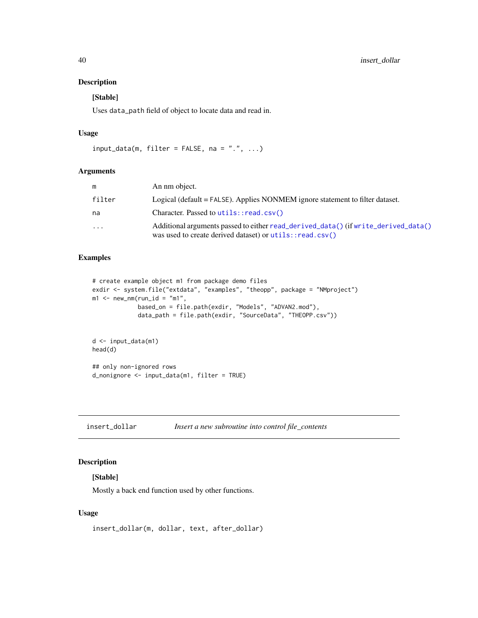## Description

#### [Stable]

Uses data\_path field of object to locate data and read in.

#### Usage

```
input_data(m, filter = FALSE, na = ".", ...)
```
## Arguments

| m         | An nm object.                                                                                                                                  |
|-----------|------------------------------------------------------------------------------------------------------------------------------------------------|
| filter    | Logical (default = FALSE). Applies NONMEM ignore statement to filter dataset.                                                                  |
| na        | Character. Passed to utils:: read.csv()                                                                                                        |
| $\ddotsc$ | Additional arguments passed to either read_derived_data() (if write_derived_data()<br>was used to create derived dataset) or utils::read.csv() |

## Examples

```
# create example object m1 from package demo files
exdir <- system.file("extdata", "examples", "theopp", package = "NMproject")
m1 <- new_nm(run_id = "m1",
             based_on = file.path(exdir, "Models", "ADVAN2.mod"),
             data_path = file.path(exdir, "SourceData", "THEOPP.csv"))
d <- input_data(m1)
head(d)
## only non-ignored rows
d_nonignore <- input_data(m1, filter = TRUE)
```
insert\_dollar *Insert a new subroutine into control file\_contents*

## Description

## [Stable]

Mostly a back end function used by other functions.

#### Usage

```
insert_dollar(m, dollar, text, after_dollar)
```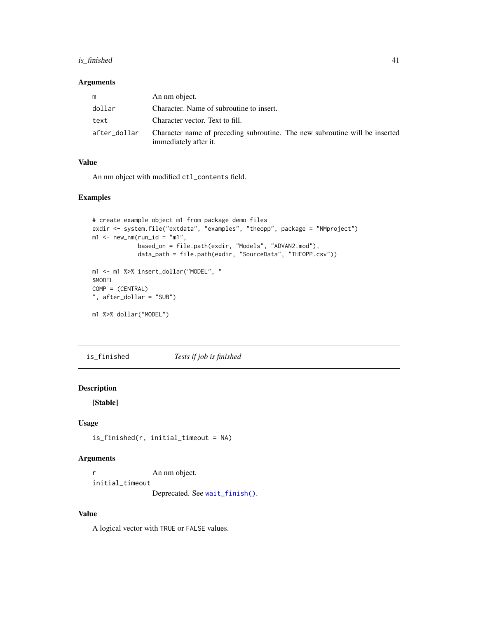## is\_finished 41

#### Arguments

| m            | An nm object.                                                                                        |
|--------------|------------------------------------------------------------------------------------------------------|
| dollar       | Character. Name of subroutine to insert.                                                             |
| text         | Character vector. Text to fill.                                                                      |
| after_dollar | Character name of preceding subroutine. The new subroutine will be inserted<br>immediately after it. |

## Value

An nm object with modified ctl\_contents field.

## Examples

```
# create example object m1 from package demo files
exdir <- system.file("extdata", "examples", "theopp", package = "NMproject")
m1 <- new_nm(run_id = "m1",
             based_on = file.path(exdir, "Models", "ADVAN2.mod"),
             data_path = file.path(exdir, "SourceData", "THEOPP.csv"))
m1 <- m1 %>% insert_dollar("MODEL", "
$MODEL
COMP = (CENTRAL)
", after_dollar = "SUB")
m1 %>% dollar("MODEL")
```
is\_finished *Tests if job is finished*

## Description

[Stable]

#### Usage

is\_finished(r, initial\_timeout = NA)

#### Arguments

r An nm object. initial\_timeout Deprecated. See [wait\\_finish\(\)](#page-100-0).

## Value

A logical vector with TRUE or FALSE values.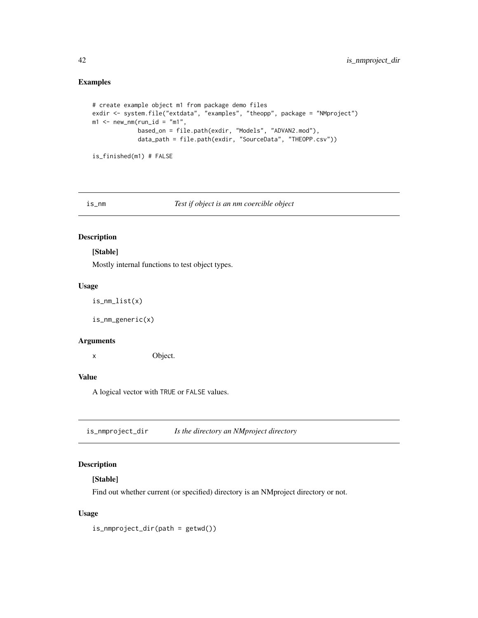## Examples

```
# create example object m1 from package demo files
exdir <- system.file("extdata", "examples", "theopp", package = "NMproject")
m1 <- new_nm(run_id = "m1",
            based_on = file.path(exdir, "Models", "ADVAN2.mod"),
             data_path = file.path(exdir, "SourceData", "THEOPP.csv"))
```

```
is_finished(m1) # FALSE
```
#### is\_nm *Test if object is an nm coercible object*

## Description

#### [Stable]

Mostly internal functions to test object types.

#### Usage

```
is_nm_list(x)
```
is\_nm\_generic(x)

#### Arguments

x Object.

## Value

A logical vector with TRUE or FALSE values.

is\_nmproject\_dir *Is the directory an NMproject directory*

## Description

## [Stable]

Find out whether current (or specified) directory is an NMproject directory or not.

## Usage

is\_nmproject\_dir(path = getwd())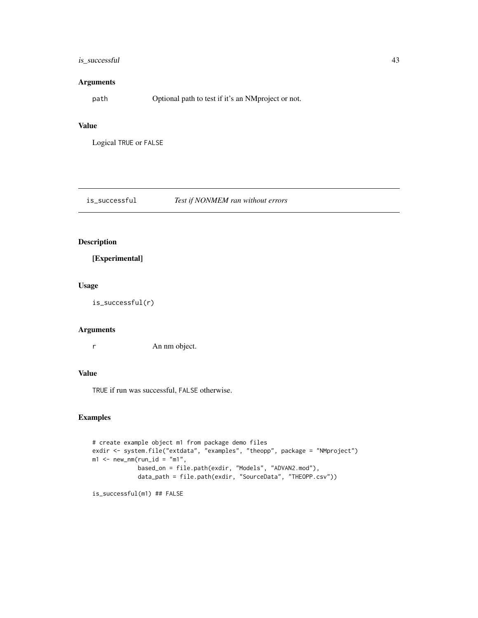## is\_successful 43

## Arguments

path Optional path to test if it's an NMproject or not.

#### Value

Logical TRUE or FALSE

is\_successful *Test if NONMEM ran without errors*

## Description

[Experimental]

#### Usage

is\_successful(r)

## Arguments

r An nm object.

## Value

TRUE if run was successful, FALSE otherwise.

```
# create example object m1 from package demo files
exdir <- system.file("extdata", "examples", "theopp", package = "NMproject")
m1 <- new_nm(run_id = "m1",
            based_on = file.path(exdir, "Models", "ADVAN2.mod"),
             data_path = file.path(exdir, "SourceData", "THEOPP.csv"))
```

```
is_successful(m1) ## FALSE
```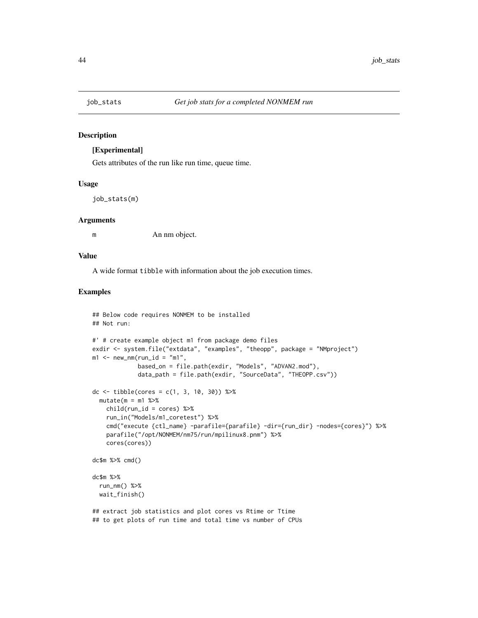#### Description

#### [Experimental]

Gets attributes of the run like run time, queue time.

#### Usage

```
job_stats(m)
```
#### **Arguments**

m An nm object.

## Value

A wide format tibble with information about the job execution times.

```
## Below code requires NONMEM to be installed
## Not run:
#' # create example object m1 from package demo files
exdir <- system.file("extdata", "examples", "theopp", package = "NMproject")
m1 <- new\_nm(run_id = "m1",based_on = file.path(exdir, "Models", "ADVAN2.mod"),
            data_path = file.path(exdir, "SourceData", "THEOPP.csv"))
dc <- tibble(cores = c(1, 3, 10, 30)) %>%
 mutate(m = m1 %child(run_id = cores) %>%
   run_in("Models/m1_coretest") %>%
   cmd("execute {ctl_name} -parafile={parafile} -dir={run_dir} -nodes={cores}") %>%
   parafile("/opt/NONMEM/nm75/run/mpilinux8.pnm") %>%
   cores(cores))
dc$m %>% cmd()
dc$m %>%
 run_nm() %>%
 wait_finish()
## extract job statistics and plot cores vs Rtime or Ttime
## to get plots of run time and total time vs number of CPUs
```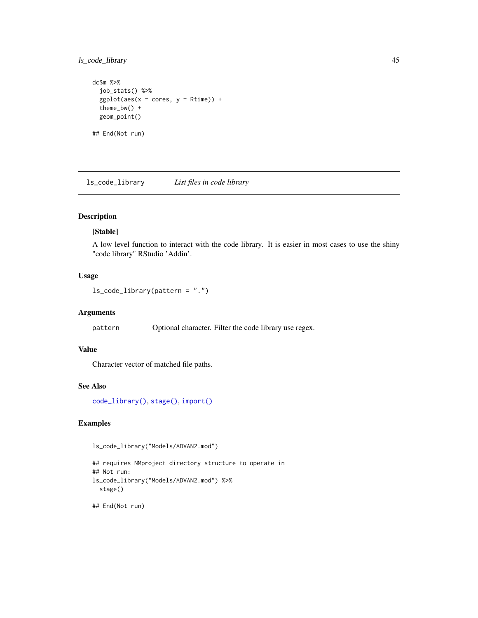ls\_code\_library 45

```
dc$m %>%
  job_stats() %>%
  ggplot(aes(x = cores, y = Rtime)) +theme_bw() +
  geom_point()
## End(Not run)
```
ls\_code\_library *List files in code library*

## Description

## [Stable]

A low level function to interact with the code library. It is easier in most cases to use the shiny "code library" RStudio 'Addin'.

#### Usage

ls\_code\_library(pattern = ".")

#### Arguments

pattern Optional character. Filter the code library use regex.

## Value

Character vector of matched file paths.

## See Also

[code\\_library\(\)](#page-13-0), [stage\(\)](#page-90-0), [import\(\)](#page-36-0)

## Examples

ls\_code\_library("Models/ADVAN2.mod")

```
## requires NMproject directory structure to operate in
## Not run:
ls_code_library("Models/ADVAN2.mod") %>%
  stage()
```

```
## End(Not run)
```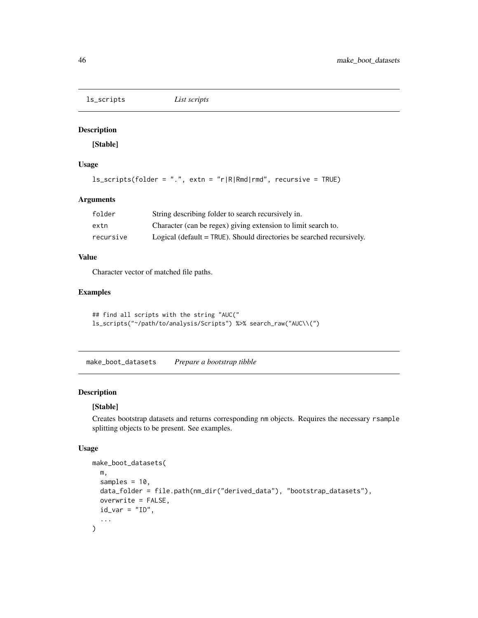ls\_scripts *List scripts*

## Description

[Stable]

#### Usage

```
ls_scripts(folder = ".", extn = "r|R|Rmd|rmd", recursive = TRUE)
```
#### Arguments

| folder    | String describing folder to search recursively in.                      |
|-----------|-------------------------------------------------------------------------|
| extn      | Character (can be regex) giving extension to limit search to.           |
| recursive | Logical (default $=$ TRUE). Should directories be searched recursively. |

## Value

Character vector of matched file paths.

## Examples

```
## find all scripts with the string "AUC("
ls_scripts("~/path/to/analysis/Scripts") %>% search_raw("AUC\\(")
```
<span id="page-45-0"></span>make\_boot\_datasets *Prepare a bootstrap tibble*

## Description

## [Stable]

Creates bootstrap datasets and returns corresponding nm objects. Requires the necessary rsample splitting objects to be present. See examples.

#### Usage

```
make_boot_datasets(
 m,
  samples = 10.
 data_folder = file.path(nm_dir("derived_data"), "bootstrap_datasets"),
  overwrite = FALSE,
  id\_var = "ID",...
\mathcal{L}
```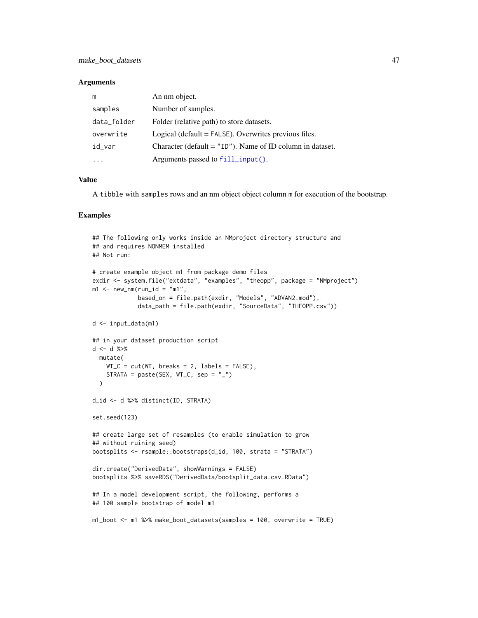#### **Arguments**

| m           | An nm object.                                                |
|-------------|--------------------------------------------------------------|
| samples     | Number of samples.                                           |
| data_folder | Folder (relative path) to store datasets.                    |
| overwrite   | Logical (default $=$ FALSE). Overwrites previous files.      |
| id_var      | Character (default = $"ID"$ ). Name of ID column in dataset. |
|             | Arguments passed to fill_input().                            |

## Value

A tibble with samples rows and an nm object object column m for execution of the bootstrap.

```
## The following only works inside an NMproject directory structure and
## and requires NONMEM installed
## Not run:
# create example object m1 from package demo files
exdir <- system.file("extdata", "examples", "theopp", package = "NMproject")
m1 <- new_nm(run_id = "m1",
             based_on = file.path(exdir, "Models", "ADVAN2.mod"),
             data_path = file.path(exdir, "SourceData", "THEOPP.csv"))
d <- input_data(m1)
## in your dataset production script
d <- d %>%
  mutate(
    WT_C = cut(WT, breaks = 2, labels = FALSE),STRATA = paste(SEX, WT_C, sep = "__"))
d_id <- d %>% distinct(ID, STRATA)
set.seed(123)
## create large set of resamples (to enable simulation to grow
## without ruining seed)
bootsplits <- rsample::bootstraps(d_id, 100, strata = "STRATA")
dir.create("DerivedData", showWarnings = FALSE)
bootsplits %>% saveRDS("DerivedData/bootsplit_data.csv.RData")
## In a model development script, the following, performs a
## 100 sample bootstrap of model m1
m1_boot <- m1 %>% make_boot_datasets(samples = 100, overwrite = TRUE)
```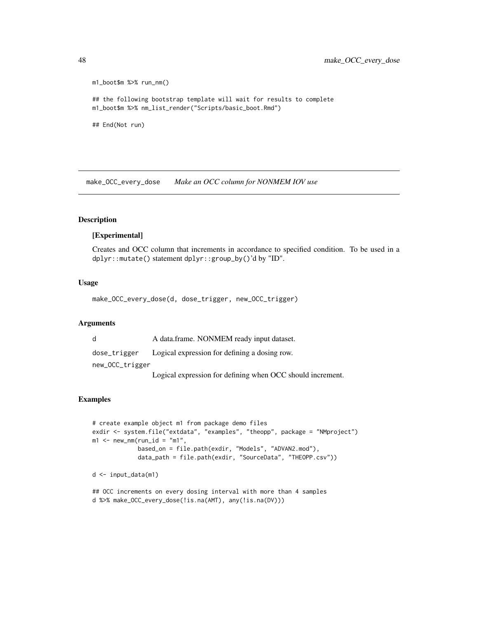```
m1_boot$m %>% run_nm()
## the following bootstrap template will wait for results to complete
m1_boot$m %>% nm_list_render("Scripts/basic_boot.Rmd")
## End(Not run)
```
make\_OCC\_every\_dose *Make an OCC column for NONMEM IOV use*

## Description

## [Experimental]

Creates and OCC column that increments in accordance to specified condition. To be used in a dplyr::mutate() statement dplyr::group\_by()'d by "ID".

## Usage

make\_OCC\_every\_dose(d, dose\_trigger, new\_OCC\_trigger)

#### Arguments

| d               | A data.frame. NONMEM ready input dataset.              |
|-----------------|--------------------------------------------------------|
| dose_trigger    | Logical expression for defining a dosing row.          |
| new_OCC_trigger |                                                        |
|                 | $T = 1.1$ $T = 1.01$ $T = 1.01$ $T = 1.000$ $T = 1.11$ |

Logical expression for defining when OCC should increment.

```
# create example object m1 from package demo files
exdir <- system.file("extdata", "examples", "theopp", package = "NMproject")
m1 <- new_nm(run_id = "m1",
             based_on = file.path(exdir, "Models", "ADVAN2.mod"),
             data_path = file.path(exdir, "SourceData", "THEOPP.csv"))
d <- input_data(m1)
```

```
## OCC increments on every dosing interval with more than 4 samples
d %>% make_OCC_every_dose(!is.na(AMT), any(!is.na(DV)))
```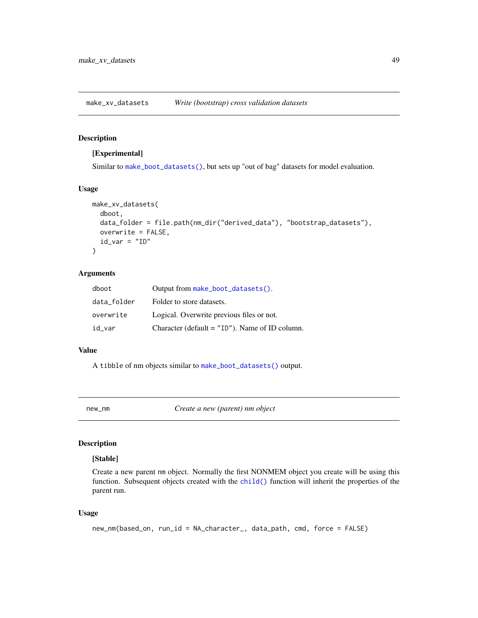make\_xv\_datasets *Write (bootstrap) cross validation datasets*

## Description

#### [Experimental]

Similar to [make\\_boot\\_datasets\(\)](#page-45-0), but sets up "out of bag" datasets for model evaluation.

## Usage

```
make_xv_datasets(
  dboot,
  data_folder = file.path(nm_dir("derived_data"), "bootstrap_datasets"),
  overwrite = FALSE,
  id\_var = "ID")
```
#### Arguments

| dboot       | Output from make_boot_datasets().                |
|-------------|--------------------------------------------------|
| data_folder | Folder to store datasets.                        |
| overwrite   | Logical. Overwrite previous files or not.        |
| id_var      | Character (default $=$ "ID"). Name of ID column. |

#### Value

A tibble of nm objects similar to [make\\_boot\\_datasets\(\)](#page-45-0) output.

new\_nm *Create a new (parent) nm object*

## Description

#### [Stable]

Create a new parent nm object. Normally the first NONMEM object you create will be using this function. Subsequent objects created with the [child\(\)](#page-12-0) function will inherit the properties of the parent run.

#### Usage

```
new_nm(based_on, run_id = NA_character_, data_path, cmd, force = FALSE)
```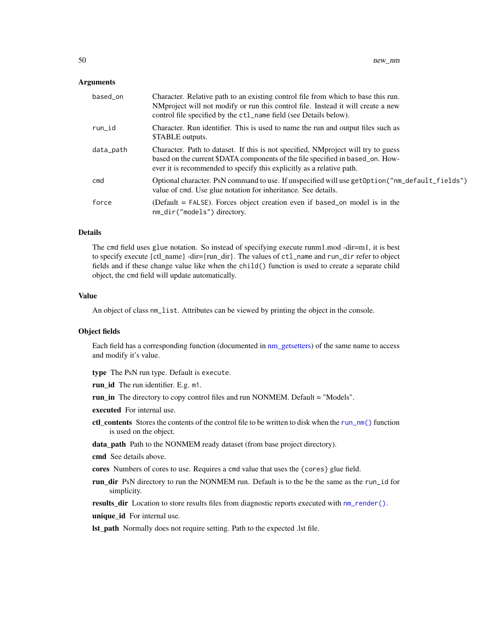#### **Arguments**

| based_on  | Character. Relative path to an existing control file from which to base this run.<br>NMproject will not modify or run this control file. Instead it will create a new<br>control file specified by the ct1_name field (see Details below).    |
|-----------|-----------------------------------------------------------------------------------------------------------------------------------------------------------------------------------------------------------------------------------------------|
| run_id    | Character. Run identifier. This is used to name the run and output files such as<br>\$TABLE outputs.                                                                                                                                          |
| data_path | Character. Path to dataset. If this is not specified, NM project will try to guess<br>based on the current \$DATA components of the file specified in based_on. How-<br>ever it is recommended to specify this explicitly as a relative path. |
| cmd       | Optional character. PsN command to use. If unspecified will use get Option ("nm_default_fields")<br>value of cmd. Use glue notation for inheritance. See details.                                                                             |
| force     | (Default $=$ FALSE). Forces object creation even if based on model is in the<br>nm_dir("models") directory.                                                                                                                                   |

#### Details

The cmd field uses glue notation. So instead of specifying execute runm1.mod -dir=m1, it is best to specify execute {ctl\_name} -dir={run\_dir}. The values of ctl\_name and run\_dir refer to object fields and if these change value like when the child() function is used to create a separate child object, the cmd field will update automatically.

## Value

An object of class nm\_list. Attributes can be viewed by printing the object in the console.

#### Object fields

Each field has a corresponding function (documented in [nm\\_getsetters\)](#page-56-0) of the same name to access and modify it's value.

type The PsN run type. Default is execute.

run\_id The run identifier. E.g. m1.

run\_in The directory to copy control files and run NONMEM. Default = "Models".

executed For internal use.

ctl contents Stores the contents of the control file to be written to disk when the [run\\_nm\(\)](#page-82-0) function is used on the object.

data\_path Path to the NONMEM ready dataset (from base project directory).

cmd See details above.

cores Numbers of cores to use. Requires a cmd value that uses the {cores} glue field.

run dir PsN directory to run the NONMEM run. Default is to the be the same as the run\_id for simplicity.

results\_dir Location to store results files from diagnostic reports executed with [nm\\_render\(\)](#page-61-0).

unique id For internal use.

lst\_path Normally does not require setting. Path to the expected .lst file.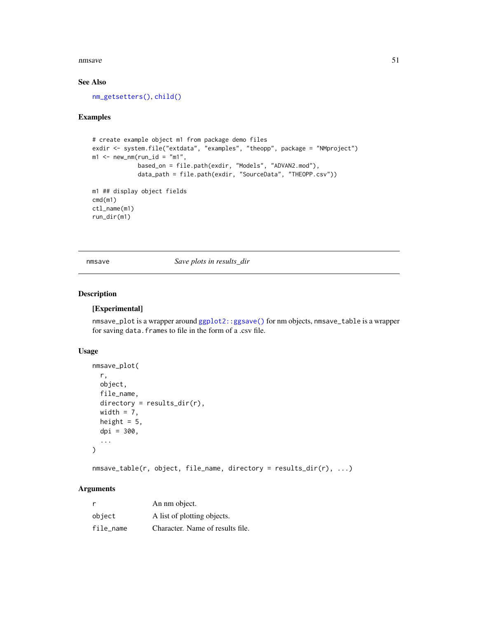#### nmsave 51

## See Also

[nm\\_getsetters\(\)](#page-56-0), [child\(\)](#page-12-0)

#### Examples

```
# create example object m1 from package demo files
exdir <- system.file("extdata", "examples", "theopp", package = "NMproject")
m1 <- new_nm(run_id = "m1",
             based_on = file.path(exdir, "Models", "ADVAN2.mod"),
             data_path = file.path(exdir, "SourceData", "THEOPP.csv"))
m1 ## display object fields
cmd(m1)
ctl_name(m1)
run_dir(m1)
```
nmsave *Save plots in results\_dir*

#### Description

#### [Experimental]

nmsave\_plot is a wrapper around [ggplot2::ggsave\(\)](#page-0-0) for nm objects, nmsave\_table is a wrapper for saving data.frames to file in the form of a .csv file.

## Usage

```
nmsave_plot(
 r,
 object,
 file_name,
 directory = results_dir(r),
 width = 7,
 height = 5,
 dpi = 300,
  ...
)
```
nmsave\_table(r, object, file\_name, directory = results\_dir(r), ...)

| r         | An nm object.                    |
|-----------|----------------------------------|
| object    | A list of plotting objects.      |
| file name | Character. Name of results file. |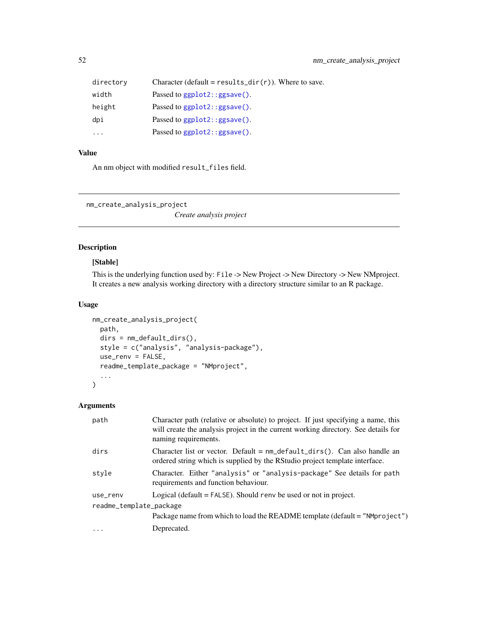| directory | Character (default = results_dir(r)). Where to save. |
|-----------|------------------------------------------------------|
| width     | Passed to $ggplot2::ggsave()$ .                      |
| height    | Passed to $ggplot2::ggsave()$ .                      |
| dpi       | Passed to $ggplot2$ : : $ggsave()$ .                 |
| $\ddotsc$ | Passed to ggplot2::ggsave().                         |

## Value

An nm object with modified result\_files field.

nm\_create\_analysis\_project

*Create analysis project*

## Description

## [Stable]

This is the underlying function used by: File -> New Project -> New Directory -> New NMproject. It creates a new analysis working directory with a directory structure similar to an R package.

## Usage

```
nm_create_analysis_project(
 path,
 dirs = nm_default_dirs(),
 style = c("analysis", "analysis-package"),
 use_renv = FALSE,
  readme_template_package = "NMproject",
  ...
)
```

| path                    | Character path (relative or absolute) to project. If just specifying a name, this<br>will create the analysis project in the current working directory. See details for<br>naming requirements. |
|-------------------------|-------------------------------------------------------------------------------------------------------------------------------------------------------------------------------------------------|
| dirs                    | Character list or vector. Default $=$ nm_default_dirs(). Can also handle an<br>ordered string which is supplied by the RStudio project template interface.                                      |
| style                   | Character. Either "analysis" or "analysis-package" See details for path<br>requirements and function behaviour.                                                                                 |
| use_renv                | Logical (default $=$ FALSE). Should renv be used or not in project.                                                                                                                             |
| readme_template_package |                                                                                                                                                                                                 |
|                         | Package name from which to load the README template (default = "NMproject")                                                                                                                     |
| $\cdot$                 | Deprecated.                                                                                                                                                                                     |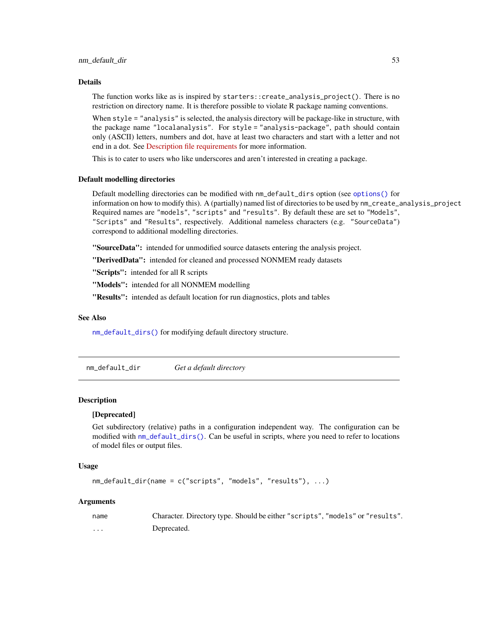#### Details

The function works like as is inspired by starters::create\_analysis\_project(). There is no restriction on directory name. It is therefore possible to violate R package naming conventions.

When style = "analysis" is selected, the analysis directory will be package-like in structure, with the package name "localanalysis". For style = "analysis-package", path should contain only (ASCII) letters, numbers and dot, have at least two characters and start with a letter and not end in a dot. See [Description file requirements](https://cran.r-project.org/doc/manuals/r-release/R-exts.html#The-DESCRIPTION-file) for more information.

This is to cater to users who like underscores and aren't interested in creating a package.

#### Default modelling directories

Default modelling directories can be modified with nm\_default\_dirs option (see [options\(\)](#page-0-0) for information on how to modify this). A (partially) named list of directories to be used by nm\_create\_analysis\_project Required names are "models", "scripts" and "results". By default these are set to "Models", "Scripts" and "Results", respectively. Additional nameless characters (e.g. "SourceData") correspond to additional modelling directories.

"SourceData": intended for unmodified source datasets entering the analysis project.

"DerivedData": intended for cleaned and processed NONMEM ready datasets

"Scripts": intended for all R scripts

"Models": intended for all NONMEM modelling

"Results": intended as default location for run diagnostics, plots and tables

## See Also

[nm\\_default\\_dirs\(\)](#page-53-0) for modifying default directory structure.

nm\_default\_dir *Get a default directory*

#### **Description**

#### [Deprecated]

Get subdirectory (relative) paths in a configuration independent way. The configuration can be modified with [nm\\_default\\_dirs\(\)](#page-53-0). Can be useful in scripts, where you need to refer to locations of model files or output files.

#### Usage

```
nm_default_dir(name = c("scripts", "models", "results"), ...)
```

| name | Character. Directory type. Should be either "scripts", "models" or "results". |
|------|-------------------------------------------------------------------------------|
| .    | Deprecated.                                                                   |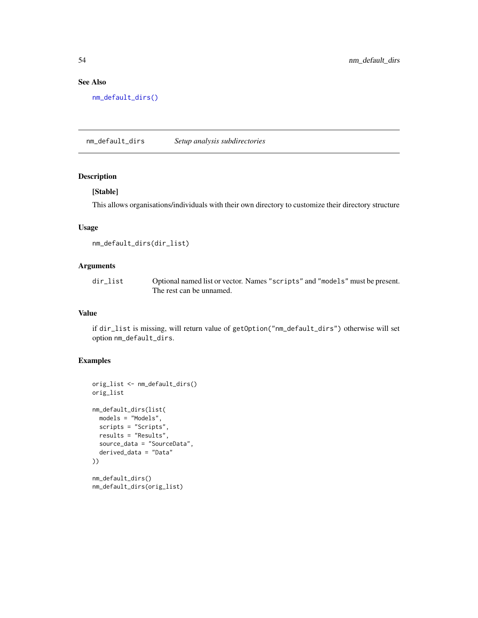## See Also

[nm\\_default\\_dirs\(\)](#page-53-0)

<span id="page-53-0"></span>nm\_default\_dirs *Setup analysis subdirectories*

## Description

#### [Stable]

This allows organisations/individuals with their own directory to customize their directory structure

## Usage

```
nm_default_dirs(dir_list)
```
## Arguments

| dir list | Optional named list or vector. Names "scripts" and "models" must be present. |
|----------|------------------------------------------------------------------------------|
|          | The rest can be unnamed.                                                     |

## Value

if dir\_list is missing, will return value of getOption("nm\_default\_dirs") otherwise will set option nm\_default\_dirs.

```
orig_list <- nm_default_dirs()
orig_list
nm_default_dirs(list(
  models = "Models",
  scripts = "Scripts",
  results = "Results",
  source_data = "SourceData",
  derived_data = "Data"
))
nm_default_dirs()
nm_default_dirs(orig_list)
```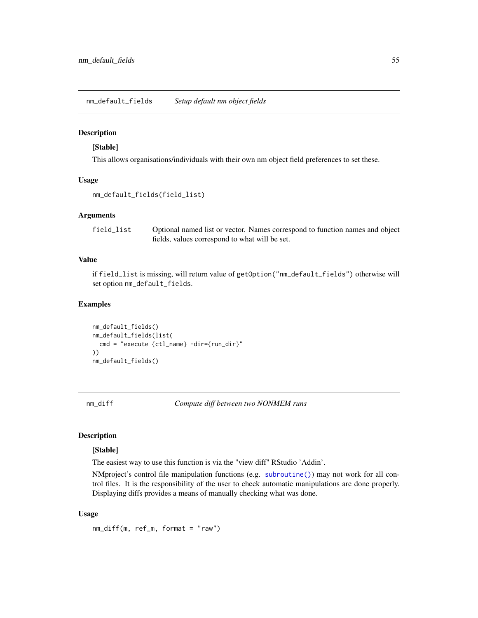nm\_default\_fields *Setup default nm object fields*

## Description

#### [Stable]

This allows organisations/individuals with their own nm object field preferences to set these.

#### Usage

```
nm_default_fields(field_list)
```
#### Arguments

field\_list Optional named list or vector. Names correspond to function names and object fields, values correspond to what will be set.

#### Value

if field\_list is missing, will return value of getOption("nm\_default\_fields") otherwise will set option nm\_default\_fields.

#### Examples

```
nm_default_fields()
nm_default_fields(list(
  cmd = "execute {ctl_name} -dir={run_dir}"
))
nm_default_fields()
```
nm\_diff *Compute diff between two NONMEM runs*

#### Description

## [Stable]

The easiest way to use this function is via the "view diff" RStudio 'Addin'.

NMproject's control file manipulation functions (e.g. [subroutine\(\)](#page-93-0)) may not work for all control files. It is the responsibility of the user to check automatic manipulations are done properly. Displaying diffs provides a means of manually checking what was done.

#### Usage

nm\_diff(m, ref\_m, format = "raw")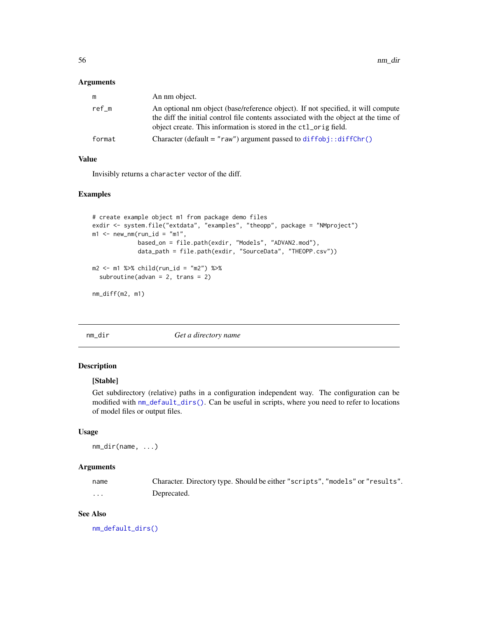#### Arguments

| m      | An nm object.                                                                                                                                                                                                                                |
|--------|----------------------------------------------------------------------------------------------------------------------------------------------------------------------------------------------------------------------------------------------|
| ref m  | An optional nm object (base/reference object). If not specified, it will compute<br>the diff the initial control file contents associated with the object at the time of<br>object create. This information is stored in the ctl_orig field. |
| format | Character (default = " $raw$ ") argument passed to diffobj:: $diffChr()$                                                                                                                                                                     |

#### Value

Invisibly returns a character vector of the diff.

#### Examples

```
# create example object m1 from package demo files
exdir <- system.file("extdata", "examples", "theopp", package = "NMproject")
m1 <- new_nm(run_id = "m1",
             based_on = file.path(exdir, "Models", "ADVAN2.mod"),
             data_path = file.path(exdir, "SourceData", "THEOPP.csv"))
m2 <- m1 %>% child(run_id = "m2") %>%
  subroutine(advan = 2, trans = 2)
nm_diff(m2, m1)
```
nm\_dir *Get a directory name*

## Description

## [Stable]

Get subdirectory (relative) paths in a configuration independent way. The configuration can be modified with [nm\\_default\\_dirs\(\)](#page-53-0). Can be useful in scripts, where you need to refer to locations of model files or output files.

#### Usage

nm\_dir(name, ...)

#### Arguments

| name | Character. Directory type. Should be either "scripts", "models" or "results". |
|------|-------------------------------------------------------------------------------|
| .    | Deprecated.                                                                   |

## See Also

[nm\\_default\\_dirs\(\)](#page-53-0)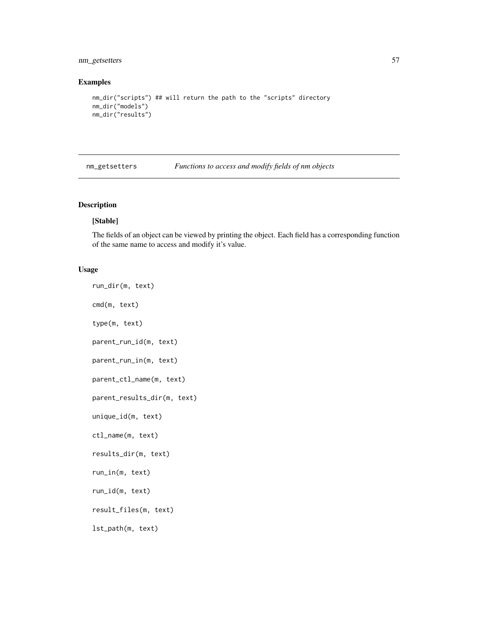## nm\_getsetters 57

#### Examples

```
nm_dir("scripts") ## will return the path to the "scripts" directory
nm_dir("models")
nm_dir("results")
```
<span id="page-56-0"></span>nm\_getsetters *Functions to access and modify fields of nm objects*

## <span id="page-56-1"></span>Description

#### [Stable]

The fields of an object can be viewed by printing the object. Each field has a corresponding function of the same name to access and modify it's value.

#### Usage

run\_dir(m, text) cmd(m, text) type(m, text) parent\_run\_id(m, text) parent\_run\_in(m, text) parent\_ctl\_name(m, text) parent\_results\_dir(m, text) unique\_id(m, text) ctl\_name(m, text) results\_dir(m, text) run\_in(m, text) run\_id(m, text) result\_files(m, text) lst\_path(m, text)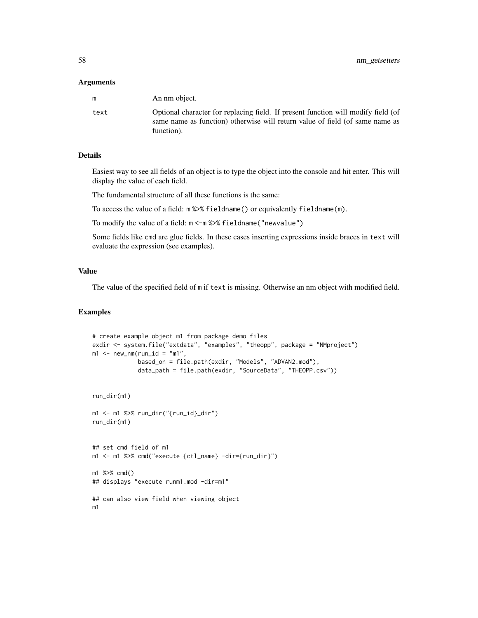#### Arguments

| m    | An nm object.                                                                                                                                                                   |
|------|---------------------------------------------------------------------------------------------------------------------------------------------------------------------------------|
| text | Optional character for replacing field. If present function will modify field (of<br>same name as function) otherwise will return value of field (of same name as<br>function). |

## Details

Easiest way to see all fields of an object is to type the object into the console and hit enter. This will display the value of each field.

The fundamental structure of all these functions is the same:

To access the value of a field: m %>% fieldname() or equivalently fieldname(m).

To modify the value of a field: m <-m %>% fieldname("newvalue")

Some fields like cmd are glue fields. In these cases inserting expressions inside braces in text will evaluate the expression (see examples).

#### Value

The value of the specified field of m if text is missing. Otherwise an nm object with modified field.

```
# create example object m1 from package demo files
exdir <- system.file("extdata", "examples", "theopp", package = "NMproject")
m1 <- new_nm(run_id = "m1",
             based_on = file.path(exdir, "Models", "ADVAN2.mod"),
             data_path = file.path(exdir, "SourceData", "THEOPP.csv"))
run_dir(m1)
m1 <- m1 %>% run_dir("{run_id}_dir")
run_dir(m1)
## set cmd field of m1
m1 <- m1 %>% cmd("execute {ctl_name} -dir={run_dir}")
m1 %>% cmd()
## displays "execute runm1.mod -dir=m1"
## can also view field when viewing object
m1
```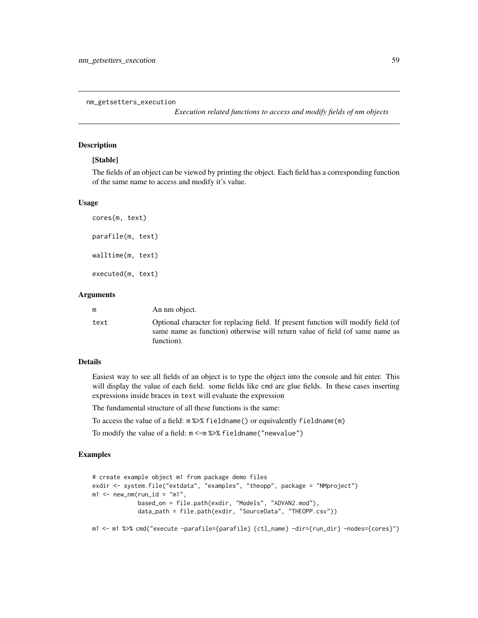nm\_getsetters\_execution

*Execution related functions to access and modify fields of nm objects*

#### Description

#### [Stable]

The fields of an object can be viewed by printing the object. Each field has a corresponding function of the same name to access and modify it's value.

#### Usage

```
cores(m, text)
parafile(m, text)
walltime(m, text)
executed(m, text)
```
#### Arguments

| m    | An nm object.                                                                                                                                                                   |
|------|---------------------------------------------------------------------------------------------------------------------------------------------------------------------------------|
| text | Optional character for replacing field. If present function will modify field (of<br>same name as function) otherwise will return value of field (of same name as<br>function). |

#### Details

Easiest way to see all fields of an object is to type the object into the console and hit enter. This will display the value of each field. some fields like cmd are glue fields. In these cases inserting expressions inside braces in text will evaluate the expression

The fundamental structure of all these functions is the same:

To access the value of a field: m %>% fieldname() or equivalently fieldname(m)

To modify the value of a field: m <-m %>% fieldname("newvalue")

#### Examples

```
# create example object m1 from package demo files
exdir <- system.file("extdata", "examples", "theopp", package = "NMproject")
m1 <- new_nm(run_id = "m1",
             based_on = file.path(exdir, "Models", "ADVAN2.mod"),
             data_path = file.path(exdir, "SourceData", "THEOPP.csv"))
```
m1 <- m1 %>% cmd("execute -parafile={parafile} {ctl\_name} -dir={run\_dir} -nodes={cores}")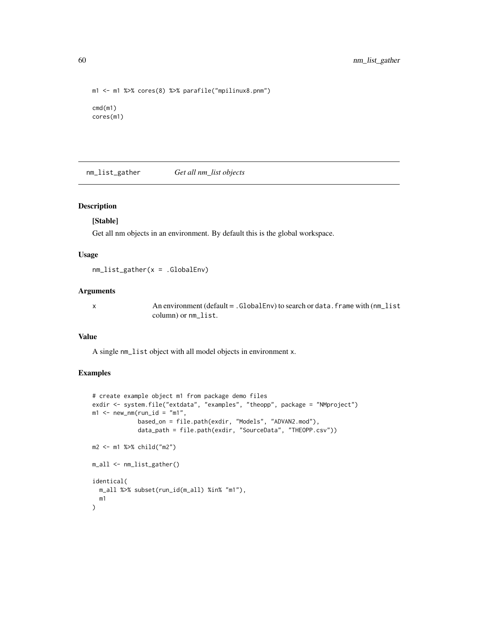```
m1 <- m1 %>% cores(8) %>% parafile("mpilinux8.pnm")
cmd(m1)
cores(m1)
```
<span id="page-59-0"></span>nm\_list\_gather *Get all nm\_list objects*

#### Description

#### [Stable]

Get all nm objects in an environment. By default this is the global workspace.

## Usage

nm\_list\_gather(x = .GlobalEnv)

## Arguments

x An environment (default = .GlobalEnv) to search or data.frame with (nm\_list column) or nm\_list.

#### Value

A single nm\_list object with all model objects in environment x.

```
# create example object m1 from package demo files
exdir <- system.file("extdata", "examples", "theopp", package = "NMproject")
m1 <- new_nm(run_id = "m1",
             based_on = file.path(exdir, "Models", "ADVAN2.mod"),
             data_path = file.path(exdir, "SourceData", "THEOPP.csv"))
m2 <- m1 %>% child("m2")
m_all <- nm_list_gather()
identical(
  m_all %>% subset(run_id(m_all) %in% "m1"),
  m1
)
```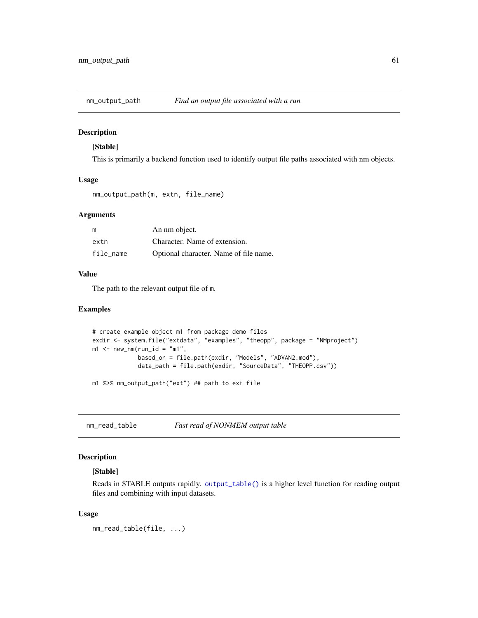## Description

## [Stable]

This is primarily a backend function used to identify output file paths associated with nm objects.

## Usage

nm\_output\_path(m, extn, file\_name)

#### Arguments

| m         | An nm object.                          |
|-----------|----------------------------------------|
| extn      | Character. Name of extension.          |
| file name | Optional character. Name of file name. |

#### Value

The path to the relevant output file of m.

## Examples

```
# create example object m1 from package demo files
exdir <- system.file("extdata", "examples", "theopp", package = "NMproject")
m1 <- new_nm(run_id = "m1",
             based_on = file.path(exdir, "Models", "ADVAN2.mod"),
             data_path = file.path(exdir, "SourceData", "THEOPP.csv"))
```
m1 %>% nm\_output\_path("ext") ## path to ext file

nm\_read\_table *Fast read of NONMEM output table*

#### Description

#### [Stable]

Reads in \$TABLE outputs rapidly. [output\\_table\(\)](#page-68-0) is a higher level function for reading output files and combining with input datasets.

#### Usage

nm\_read\_table(file, ...)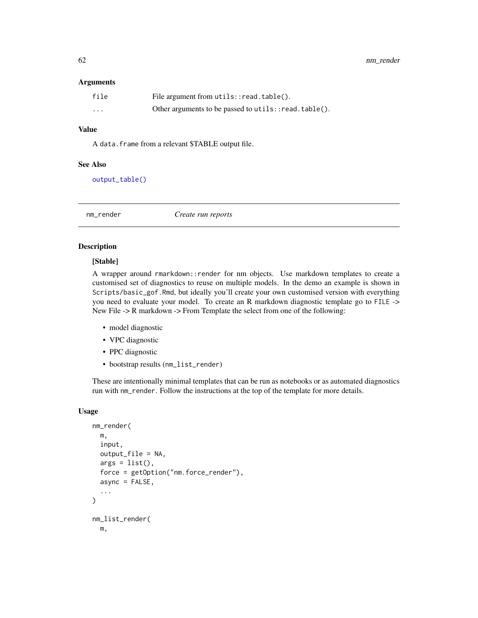#### Arguments

| file     | File argument from $u$ tils:: $read$ .table().        |
|----------|-------------------------------------------------------|
| $\cdots$ | Other arguments to be passed to utils:: read.table(). |

## Value

A data.frame from a relevant \$TABLE output file.

#### See Also

[output\\_table\(\)](#page-68-0)

<span id="page-61-0"></span>nm\_render *Create run reports*

#### Description

#### [Stable]

A wrapper around rmarkdown::render for nm objects. Use markdown templates to create a customised set of diagnostics to reuse on multiple models. In the demo an example is shown in Scripts/basic\_gof.Rmd, but ideally you'll create your own customised version with everything you need to evaluate your model. To create an R markdown diagnostic template go to FILE -> New File -> R markdown -> From Template the select from one of the following:

- model diagnostic
- VPC diagnostic
- PPC diagnostic
- bootstrap results (nm\_list\_render)

These are intentionally minimal templates that can be run as notebooks or as automated diagnostics run with nm\_render. Follow the instructions at the top of the template for more details.

#### Usage

```
nm_render(
 m,
  input,
 output_file = NA,
  args = list(),force = getOption("nm.force_render"),
  async = FALSE,
  ...
\lambdanm_list_render(
 m,
```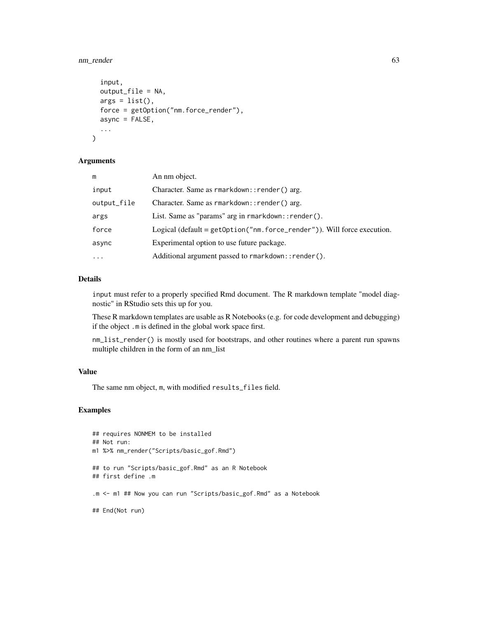## nm\_render 63

```
input,
 output_file = NA,
 args = list(),
 force = getOption("nm.force_render"),
  async = FALSE,...
)
```
#### Arguments

| m           | An nm object.                                                               |
|-------------|-----------------------------------------------------------------------------|
| input       | Character. Same as rmarkdown:: render() arg.                                |
| output_file | Character. Same as rmarkdown:: render() arg.                                |
| args        | List. Same as "params" arg in rmarkdown:: render().                         |
| force       | Logical (default = $getOption("nm.force\_render")$ ). Will force execution. |
| async       | Experimental option to use future package.                                  |
| $\ddotsc$   | Additional argument passed to rmarkdown:: render().                         |
|             |                                                                             |

## Details

input must refer to a properly specified Rmd document. The R markdown template "model diagnostic" in RStudio sets this up for you.

These R markdown templates are usable as R Notebooks (e.g. for code development and debugging) if the object .m is defined in the global work space first.

nm\_list\_render() is mostly used for bootstraps, and other routines where a parent run spawns multiple children in the form of an nm\_list

## Value

The same nm object, m, with modified results\_files field.

```
## requires NONMEM to be installed
## Not run:
m1 %>% nm_render("Scripts/basic_gof.Rmd")
## to run "Scripts/basic_gof.Rmd" as an R Notebook
## first define .m
.m <- m1 ## Now you can run "Scripts/basic_gof.Rmd" as a Notebook
## End(Not run)
```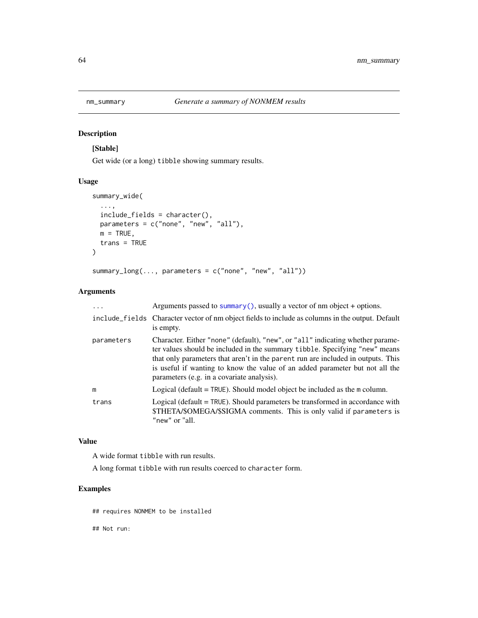## <span id="page-63-0"></span>Description

[Stable]

Get wide (or a long) tibble showing summary results.

## Usage

```
summary_wide(
  ...,
 include_fields = character(),
 parameters = c("none", "new", "all"),
 m = TRUE,trans = TRUE
)
summary_long(..., parameters = c("none", "new", "all"))
```
## Arguments

| $\cdots$   | Arguments passed to summary(), usually a vector of nm object + options.                                                                                                                                                                                                                                                                                                         |
|------------|---------------------------------------------------------------------------------------------------------------------------------------------------------------------------------------------------------------------------------------------------------------------------------------------------------------------------------------------------------------------------------|
|            | include_fields Character vector of nm object fields to include as columns in the output. Default<br>is empty.                                                                                                                                                                                                                                                                   |
| parameters | Character. Either "none" (default), "new", or "all" indicating whether parame-<br>ter values should be included in the summary tibble. Specifying "new" means<br>that only parameters that aren't in the parent run are included in outputs. This<br>is useful if wanting to know the value of an added parameter but not all the<br>parameters (e.g. in a covariate analysis). |
| m          | Logical (default = TRUE). Should model object be included as the m column.                                                                                                                                                                                                                                                                                                      |
| trans      | Logical (default = TRUE). Should parameters be transformed in accordance with<br>\$THETA/\$OMEGA/\$SIGMA comments. This is only valid if parameters is<br>"new" or "all.                                                                                                                                                                                                        |

#### Value

A wide format tibble with run results.

A long format tibble with run results coerced to character form.

## Examples

## requires NONMEM to be installed

## Not run: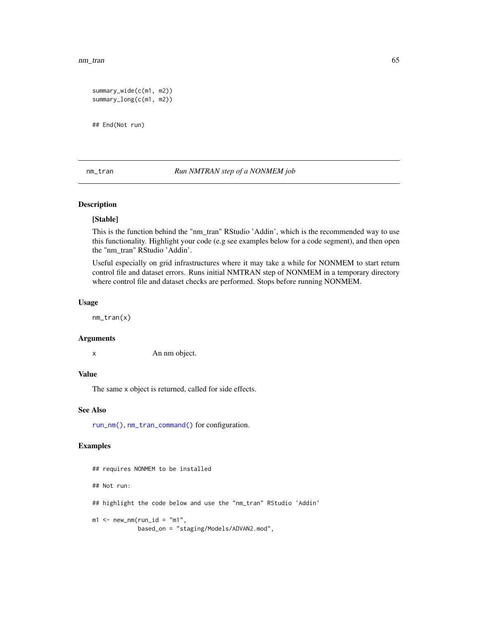nm\_tran 65

```
summary_wide(c(m1, m2))
summary_long(c(m1, m2))
```
## End(Not run)

## <span id="page-64-0"></span>nm\_tran *Run NMTRAN step of a NONMEM job*

#### Description

#### [Stable]

This is the function behind the "nm\_tran" RStudio 'Addin', which is the recommended way to use this functionality. Highlight your code (e.g see examples below for a code segment), and then open the "nm\_tran" RStudio 'Addin'.

Useful especially on grid infrastructures where it may take a while for NONMEM to start return control file and dataset errors. Runs initial NMTRAN step of NONMEM in a temporary directory where control file and dataset checks are performed. Stops before running NONMEM.

#### Usage

nm\_tran(x)

#### Arguments

x An nm object.

#### Value

The same x object is returned, called for side effects.

#### See Also

[run\\_nm\(\)](#page-82-0), [nm\\_tran\\_command\(\)](#page-65-0) for configuration.

```
## requires NONMEM to be installed
## Not run:
## highlight the code below and use the "nm_tran" RStudio 'Addin'
m1 <- new_nm(run_id = "m1",
            based_on = "staging/Models/ADVAN2.mod",
```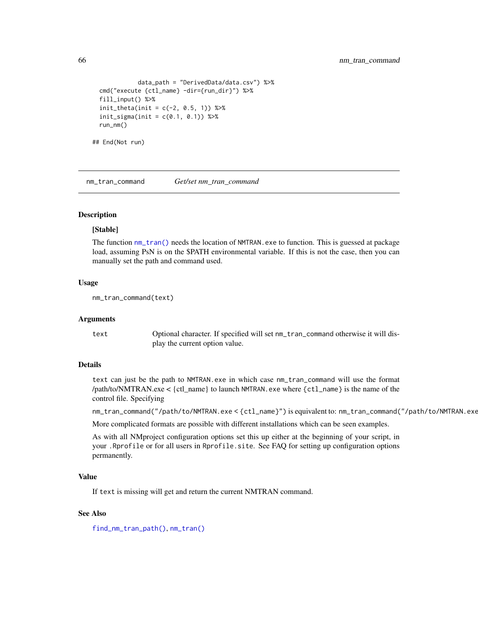```
data_path = "DerivedData/data.csv") %>%
 cmd("execute {ctl_name} -dir={run_dir}") %>%
 fill_input() %>%
 init_{theta(int = c(-2, 0.5, 1)) %>%
 init\_sigma(int = c(0.1, 0.1)) %>%
 run_nm()
## End(Not run)
```
<span id="page-65-0"></span>nm\_tran\_command *Get/set nm\_tran\_command*

## Description

#### [Stable]

The function [nm\\_tran\(\)](#page-64-0) needs the location of NMTRAN.exe to function. This is guessed at package load, assuming PsN is on the \$PATH environmental variable. If this is not the case, then you can manually set the path and command used.

## Usage

nm\_tran\_command(text)

#### Arguments

text Optional character. If specified will set nm\_tran\_command otherwise it will display the current option value.

## Details

text can just be the path to NMTRAN.exe in which case nm\_tran\_command will use the format /path/to/NMTRAN.exe < {ctl\_name} to launch NMTRAN.exe where {ctl\_name} is the name of the control file. Specifying

nm\_tran\_command("/path/to/NMTRAN.exe < {ctl\_name}") is equivalent to: nm\_tran\_command("/path/to/NMTRAN.exe")

More complicated formats are possible with different installations which can be seen examples.

As with all NMproject configuration options set this up either at the beginning of your script, in your .Rprofile or for all users in Rprofile.site. See FAQ for setting up configuration options permanently.

#### Value

If text is missing will get and return the current NMTRAN command.

#### See Also

[find\\_nm\\_tran\\_path\(\)](#page-33-0), [nm\\_tran\(\)](#page-64-0)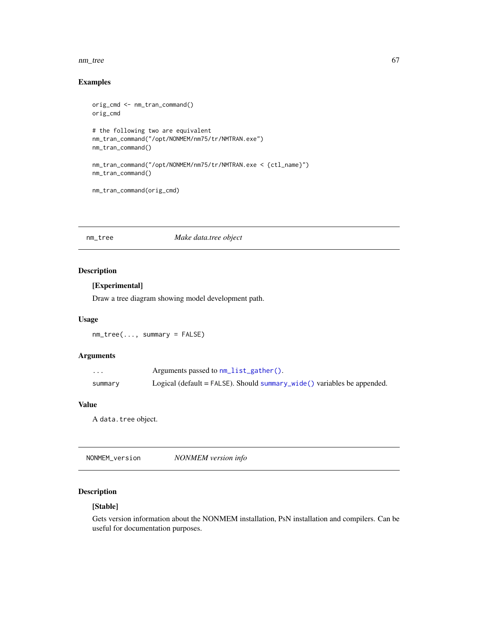#### nm\_tree 67

## Examples

```
orig_cmd <- nm_tran_command()
orig_cmd
# the following two are equivalent
nm_tran_command("/opt/NONMEM/nm75/tr/NMTRAN.exe")
nm_tran_command()
nm_tran_command("/opt/NONMEM/nm75/tr/NMTRAN.exe < {ctl_name}")
nm_tran_command()
```

```
nm_tran_command(orig_cmd)
```
## nm\_tree *Make data.tree object*

## Description

## [Experimental]

Draw a tree diagram showing model development path.

## Usage

nm\_tree(..., summary = FALSE)

## Arguments

| $\cdots$ | Arguments passed to nm_list_gather().                                   |
|----------|-------------------------------------------------------------------------|
| summary  | Logical (default = FALSE). Should summary_wide() variables be appended. |

## Value

A data.tree object.

NONMEM\_version *NONMEM version info*

## Description

## [Stable]

Gets version information about the NONMEM installation, PsN installation and compilers. Can be useful for documentation purposes.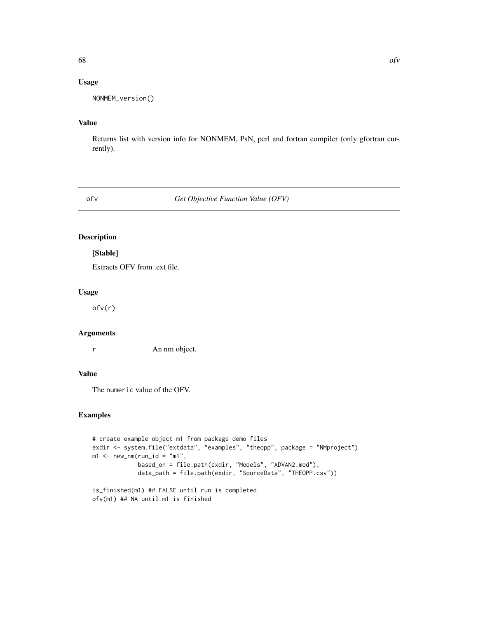## Usage

```
NONMEM_version()
```
## Value

Returns list with version info for NONMEM, PsN, perl and fortran compiler (only gfortran currently).

ofv *Get Objective Function Value (OFV)*

## Description

#### [Stable]

Extracts OFV from .ext file.

#### Usage

ofv(r)

## Arguments

r An nm object.

## Value

The numeric value of the OFV.

```
# create example object m1 from package demo files
exdir <- system.file("extdata", "examples", "theopp", package = "NMproject")
m1 <- new_nm(run_id = "m1",
            based_on = file.path(exdir, "Models", "ADVAN2.mod"),
             data_path = file.path(exdir, "SourceData", "THEOPP.csv"))
is_finished(m1) ## FALSE until run is completed
```

```
ofv(m1) ## NA until m1 is finished
```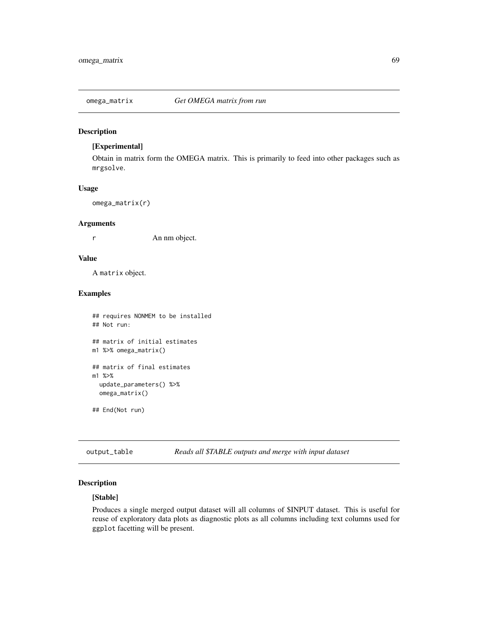#### Description

## [Experimental]

Obtain in matrix form the OMEGA matrix. This is primarily to feed into other packages such as mrgsolve.

#### Usage

omega\_matrix(r)

#### Arguments

r An nm object.

#### Value

A matrix object.

## Examples

```
## requires NONMEM to be installed
## Not run:
## matrix of initial estimates
m1 %>% omega_matrix()
## matrix of final estimates
m1 %>%
  update_parameters() %>%
  omega_matrix()
## End(Not run)
```
<span id="page-68-0"></span>output\_table *Reads all \$TABLE outputs and merge with input dataset*

## Description

## [Stable]

Produces a single merged output dataset will all columns of \$INPUT dataset. This is useful for reuse of exploratory data plots as diagnostic plots as all columns including text columns used for ggplot facetting will be present.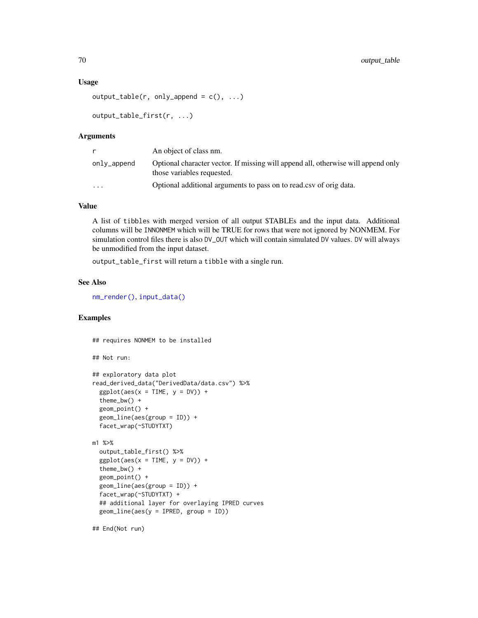#### Usage

```
output_table(r, only.append = c(), ...)
```

```
output_table_first(r, ...)
```
#### Arguments

|             | An object of class nm.                                                                                          |
|-------------|-----------------------------------------------------------------------------------------------------------------|
| only_append | Optional character vector. If missing will append all, otherwise will append only<br>those variables requested. |
| $\cdots$    | Optional additional arguments to pass on to read.csv of origidata.                                              |

#### Value

A list of tibbles with merged version of all output \$TABLEs and the input data. Additional columns will be INNONMEM which will be TRUE for rows that were not ignored by NONMEM. For simulation control files there is also DV\_OUT which will contain simulated DV values. DV will always be unmodified from the input dataset.

output\_table\_first will return a tibble with a single run.

## See Also

[nm\\_render\(\)](#page-61-0), [input\\_data\(\)](#page-38-0)

## Examples

```
## requires NONMEM to be installed
## Not run:
## exploratory data plot
read_derived_data("DerivedData/data.csv") %>%
 ggplot(aes(x = TIME, y = DV)) +
 theme_bw() +
 geom_point() +
 geom_line(aes(group = ID)) +
 facet_wrap(~STUDYTXT)
m1 %>%
 output_table_first() %>%
 ggplot(aes(x = TIME, y = DV)) +
 theme_bw() +
 geom_point() +
 geom_line(aes(group = ID)) +
 facet_wrap(~STUDYTXT) +
 ## additional layer for overlaying IPRED curves
 geom_line(aes(y = IPRED, group = ID))
```
## End(Not run)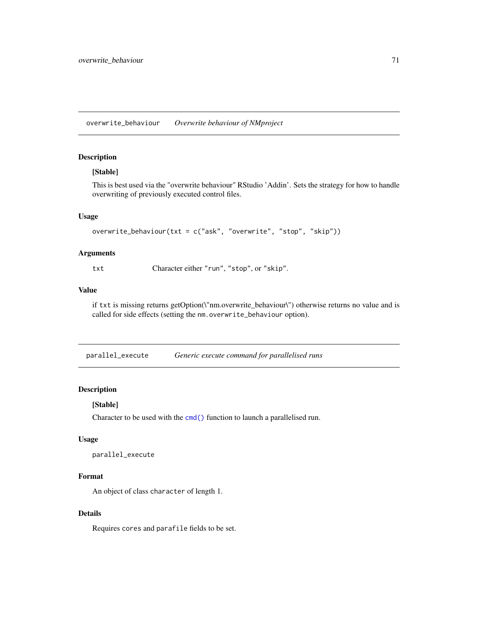overwrite\_behaviour *Overwrite behaviour of NMproject*

## Description

#### [Stable]

This is best used via the "overwrite behaviour" RStudio 'Addin'. Sets the strategy for how to handle overwriting of previously executed control files.

#### Usage

```
overwrite_behaviour(txt = c("ask", "overwrite", "stop", "skip"))
```
## Arguments

txt Character either "run", "stop", or "skip".

#### Value

if txt is missing returns getOption(\"nm.overwrite\_behaviour\") otherwise returns no value and is called for side effects (setting the nm.overwrite\_behaviour option).

parallel\_execute *Generic execute command for parallelised runs*

#### Description

#### [Stable]

Character to be used with the [cmd\(\)](#page-56-1) function to launch a parallelised run.

#### Usage

```
parallel_execute
```
## Format

An object of class character of length 1.

#### Details

Requires cores and parafile fields to be set.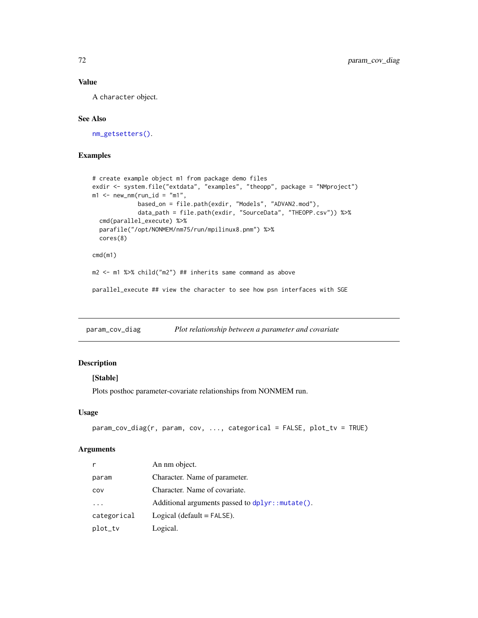## Value

A character object.

## See Also

[nm\\_getsetters\(\)](#page-56-0).

## Examples

```
# create example object m1 from package demo files
exdir <- system.file("extdata", "examples", "theopp", package = "NMproject")
m1 <- new_nm(run_id = "m1",
            based_on = file.path(exdir, "Models", "ADVAN2.mod"),
            data_path = file.path(exdir, "SourceData", "THEOPP.csv")) %>%
  cmd(parallel_execute) %>%
  parafile("/opt/NONMEM/nm75/run/mpilinux8.pnm") %>%
  cores(8)
cmd(m1)
m2 <- m1 %>% child("m2") ## inherits same command as above
parallel_execute ## view the character to see how psn interfaces with SGE
```
param\_cov\_diag *Plot relationship between a parameter and covariate*

#### Description

#### [Stable]

Plots posthoc parameter-covariate relationships from NONMEM run.

#### Usage

```
param_cov_diag(r, param, cov, ..., categorical = FALSE, plot_tv = TRUE)
```

| r                       | An nm object.                                                |
|-------------------------|--------------------------------------------------------------|
| param                   | Character. Name of parameter.                                |
| COV                     | Character. Name of covariate.                                |
| $\cdot$ $\cdot$ $\cdot$ | Additional arguments passed to $d$ pl $\gamma$ : : mutate(). |
| categorical             | Logical (default $=$ FALSE).                                 |
| plot_tv                 | Logical.                                                     |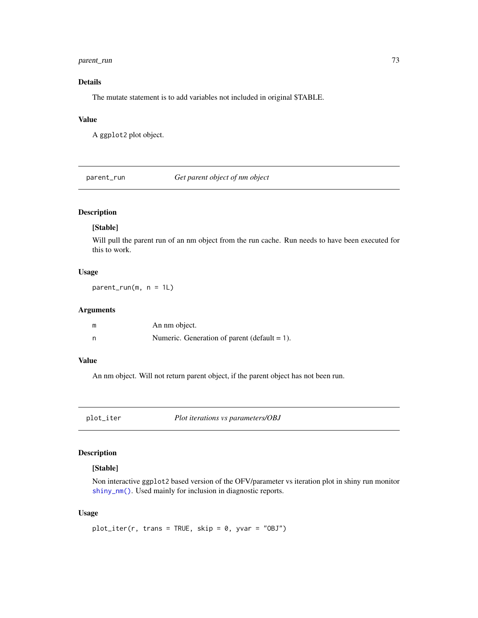# <span id="page-72-0"></span>parent\_run 73

# Details

The mutate statement is to add variables not included in original \$TABLE.

# Value

A ggplot2 plot object.

parent\_run *Get parent object of nm object*

# Description

# [Stable]

Will pull the parent run of an nm object from the run cache. Run needs to have been executed for this to work.

#### Usage

parent\_run(m, n = 1L)

#### Arguments

| m | An nm object.                                   |
|---|-------------------------------------------------|
|   | Numeric. Generation of parent (default $= 1$ ). |

#### Value

An nm object. Will not return parent object, if the parent object has not been run.

plot\_iter *Plot iterations vs parameters/OBJ*

# Description

# [Stable]

Non interactive ggplot2 based version of the OFV/parameter vs iteration plot in shiny run monitor [shiny\\_nm\(\)](#page-88-0). Used mainly for inclusion in diagnostic reports.

#### Usage

```
plot\_iter(r, trans = TRUE, skip = 0, yvar = "OBJ")
```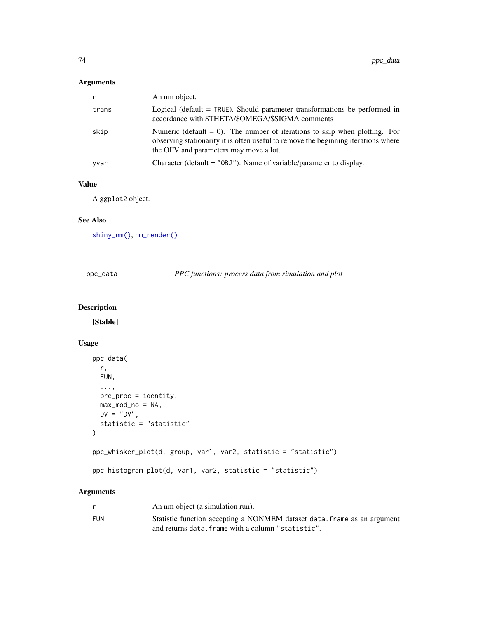# <span id="page-73-1"></span>Arguments

| r     | An nm object.                                                                                                                                                                                                 |
|-------|---------------------------------------------------------------------------------------------------------------------------------------------------------------------------------------------------------------|
| trans | Logical (default $=$ TRUE). Should parameter transformations be performed in<br>accordance with \$THETA/\$OMEGA/\$SIGMA comments                                                                              |
| skip  | Numeric (default $= 0$ ). The number of iterations to skip when plotting. For<br>observing stationarity it is often useful to remove the beginning iterations where<br>the OFV and parameters may move a lot. |
| yvar  | Character (default = $"OBJ"$ ). Name of variable/parameter to display.                                                                                                                                        |

# Value

A ggplot2 object.

#### See Also

[shiny\\_nm\(\)](#page-88-0), [nm\\_render\(\)](#page-61-0)

<span id="page-73-0"></span>

| ppc_data |  |
|----------|--|
|          |  |

PPC functions: process data from simulation and plot

# Description

[Stable]

# Usage

```
ppc_data(
 r,
 FUN,
  ...,
 pre_proc = identity,
 max_mod_n = NA,
 DV = "DV",statistic = "statistic"
)
ppc_whisker_plot(d, group, var1, var2, statistic = "statistic")
ppc_histogram_plot(d, var1, var2, statistic = "statistic")
```
# Arguments

|     | An nm object (a simulation run).                                         |
|-----|--------------------------------------------------------------------------|
| FUN | Statistic function accepting a NONMEM dataset data. Frame as an argument |
|     | and returns data. frame with a column "statistic".                       |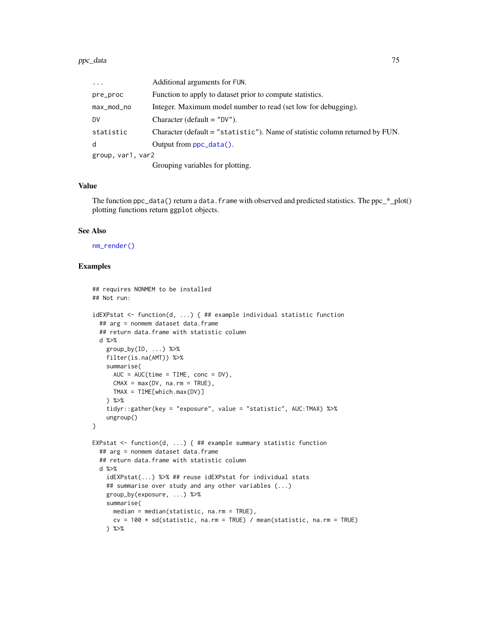<span id="page-74-0"></span>

| $\cdots$          | Additional arguments for FUN.                                                |
|-------------------|------------------------------------------------------------------------------|
| pre_proc          | Function to apply to dataset prior to compute statistics.                    |
| max_mod_no        | Integer. Maximum model number to read (set low for debugging).               |
| DV                | Character (default $=$ "DV").                                                |
| statistic         | Character (default = "statistic"). Name of statistic column returned by FUN. |
| d                 | Output from $ppc_data()$ .                                                   |
| group, var1, var2 |                                                                              |
|                   | Grouping variables for plotting.                                             |

#### Value

The function  $ppc_data()$  return a data. frame with observed and predicted statistics. The  $ppc_*plot()$ plotting functions return ggplot objects.

# See Also

[nm\\_render\(\)](#page-61-0)

# Examples

```
## requires NONMEM to be installed
## Not run:
idEXPstat <- function(d, ...) { ## example individual statistic function
  ## arg = nonmem dataset data.frame
  ## return data.frame with statistic column
  d %>%
   group_by(ID, \ldots) %>%
   filter(is.na(AMT)) %>%
   summarise(
     AUC = AUC(time = TIME, conc = DV),
      CMAX = max(DV, na.rm = TRUE),TMAX = TIME[which.max(DV)]
    ) %>%
    tidyr::gather(key = "exposure", value = "statistic", AUC:TMAX) %>%
   ungroup()
}
EXPstat \leq function(d, ...) { ## example summary statistic function
  ## arg = nonmem dataset data.frame
  ## return data.frame with statistic column
  d %>%
    idEXPstat(...) %>% ## reuse idEXPstat for individual stats
    ## summarise over study and any other variables (...)
    group_by(exposure, ...) %>%
    summarise(
     median = median(statistic, na.rm = TRUE),
     cv = 100 \times sd(statistic, na.rm = TRUE) / mean(statistic, na.rm = TRUE)) %>%
```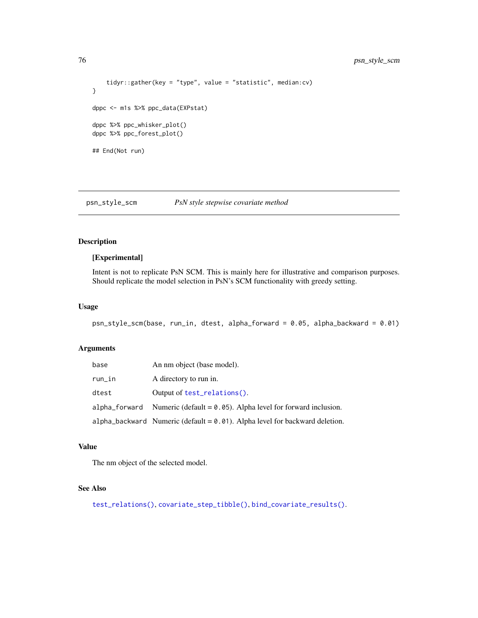```
tidyr::gather(key = "type", value = "statistic", median:cv)
}
dppc <- m1s %>% ppc_data(EXPstat)
dppc %>% ppc_whisker_plot()
dppc %>% ppc_forest_plot()
## End(Not run)
```
psn\_style\_scm *PsN style stepwise covariate method*

# Description

# [Experimental]

Intent is not to replicate PsN SCM. This is mainly here for illustrative and comparison purposes. Should replicate the model selection in PsN's SCM functionality with greedy setting.

#### Usage

psn\_style\_scm(base, run\_in, dtest, alpha\_forward = 0.05, alpha\_backward = 0.01)

# Arguments

| base   | An nm object (base model).                                                      |
|--------|---------------------------------------------------------------------------------|
| run_in | A directory to run in.                                                          |
| dtest  | Output of test_relations().                                                     |
|        | alpha forward Numeric (default $= 0.05$ ). Alpha level for forward inclusion.   |
|        | $alpha_b$ backward Numeric (default = 0.01). Alpha level for backward deletion. |

#### Value

The nm object of the selected model.

# See Also

[test\\_relations\(\)](#page-98-0), [covariate\\_step\\_tibble\(\)](#page-19-0), [bind\\_covariate\\_results\(\)](#page-9-0).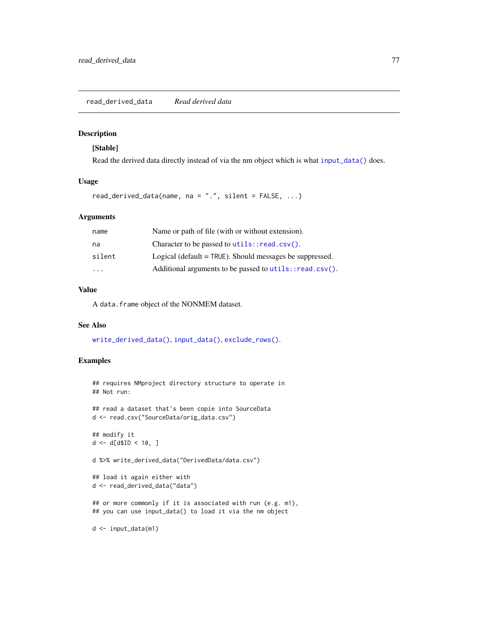<span id="page-76-1"></span><span id="page-76-0"></span>read\_derived\_data *Read derived data*

# Description

#### [Stable]

Read the derived data directly instead of via the nm object which is what [input\\_data\(\)](#page-38-0) does.

#### Usage

read\_derived\_data(name, na =  $".".$ , silent = FALSE, ...)

#### Arguments

| name   | Name or path of file (with or without extension).          |
|--------|------------------------------------------------------------|
| na     | Character to be passed to $utils::read.csv()$ .            |
| silent | Logical (default $=$ TRUE). Should messages be suppressed. |
| .      | Additional arguments to be passed to utils::read.csv().    |

# Value

A data.frame object of the NONMEM dataset.

#### See Also

[write\\_derived\\_data\(\)](#page-103-0), [input\\_data\(\)](#page-38-0), [exclude\\_rows\(\)](#page-31-0).

# Examples

```
## requires NMproject directory structure to operate in
## Not run:
## read a dataset that's been copie into SourceData
d <- read.csv("SourceData/orig_data.csv")
## modify it
d \leq d \, \text{d} \, \text{d} \, \text{d} \, \text{d} \, \text{d} \, \text{d} \, \text{d} \, \text{d} \, \text{d} \, \text{d} \, \text{d} \, \text{d} \, \text{d} \, \text{d} \, \text{d} \, \text{d} \, \text{d} \, \text{d} \, \text{d} \, \text{d} \, \text{d} \, \text{d} \, \text{d} \, \text{d} \, \text{d} \, \text{d} \, \text{d} \, \text{d} \, \text{d} \, \text{d} \, \text{d %>% write_derived_data("DerivedData/data.csv")
## load it again either with
d <- read_derived_data("data")
```
## or more commonly if it is associated with run (e.g. m1), ## you can use input\_data() to load it via the nm object

d <- input\_data(m1)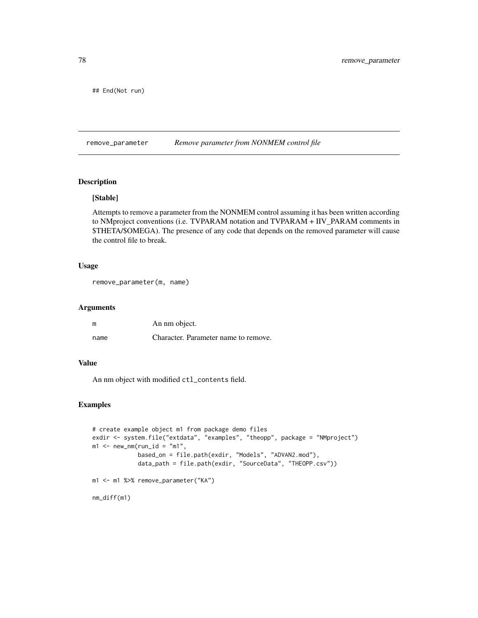<span id="page-77-0"></span>## End(Not run)

remove\_parameter *Remove parameter from NONMEM control file*

# Description

# [Stable]

Attempts to remove a parameter from the NONMEM control assuming it has been written according to NMproject conventions (i.e. TVPARAM notation and TVPARAM + IIV\_PARAM comments in \$THETA/\$OMEGA). The presence of any code that depends on the removed parameter will cause the control file to break.

# Usage

```
remove_parameter(m, name)
```
#### Arguments

| m    | An nm object.                        |  |
|------|--------------------------------------|--|
| name | Character. Parameter name to remove. |  |

# Value

An nm object with modified ctl\_contents field.

# Examples

```
# create example object m1 from package demo files
exdir <- system.file("extdata", "examples", "theopp", package = "NMproject")
m1 <- new_nm(run_id = "m1",
            based_on = file.path(exdir, "Models", "ADVAN2.mod"),
             data_path = file.path(exdir, "SourceData", "THEOPP.csv"))
m1 <- m1 %>% remove_parameter("KA")
nm_diff(m1)
```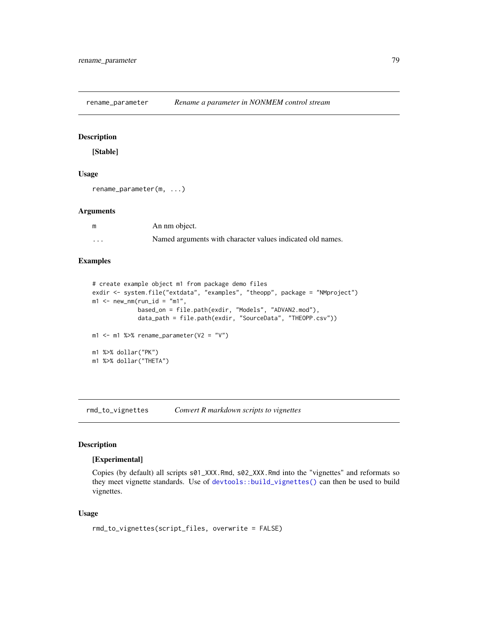<span id="page-78-0"></span>rename\_parameter *Rename a parameter in NONMEM control stream*

# Description

[Stable]

#### Usage

rename\_parameter(m, ...)

#### Arguments

| m        | An nm object.                                              |
|----------|------------------------------------------------------------|
| $\cdots$ | Named arguments with character values indicated old names. |

# Examples

```
# create example object m1 from package demo files
exdir <- system.file("extdata", "examples", "theopp", package = "NMproject")
m1 <- new_nm(run_id = "m1",
             based_on = file.path(exdir, "Models", "ADVAN2.mod"),
             data_path = file.path(exdir, "SourceData", "THEOPP.csv"))
m1 <- m1 %>% rename_parameter(V2 = "V")
m1 %>% dollar("PK")
m1 %>% dollar("THETA")
```
rmd\_to\_vignettes *Convert R markdown scripts to vignettes*

#### Description

#### [Experimental]

Copies (by default) all scripts s01\_XXX.Rmd, s02\_XXX.Rmd into the "vignettes" and reformats so they meet vignette standards. Use of [devtools::build\\_vignettes\(\)](#page-0-0) can then be used to build vignettes.

#### Usage

```
rmd_to_vignettes(script_files, overwrite = FALSE)
```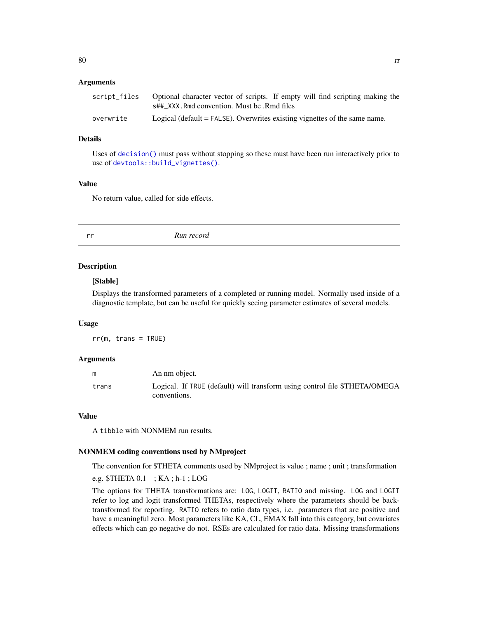#### <span id="page-79-0"></span>**Arguments**

| script files | Optional character vector of scripts. If empty will find scripting making the |
|--------------|-------------------------------------------------------------------------------|
|              | s##_XXX.Rmd convention. Must be .Rmd files                                    |
| overwrite    | Logical (default $=$ FALSE). Overwrites existing vignettes of the same name.  |

#### Details

Uses of [decision\(\)](#page-27-0) must pass without stopping so these must have been run interactively prior to use of [devtools::build\\_vignettes\(\)](#page-0-0).

# Value

No return value, called for side effects.

| rr. | Run record |
|-----|------------|
|     |            |

# **Description**

#### [Stable]

Displays the transformed parameters of a completed or running model. Normally used inside of a diagnostic template, but can be useful for quickly seeing parameter estimates of several models.

#### Usage

 $rr(m, trans = TRUE)$ 

#### Arguments

|       | An nm object.                                                              |
|-------|----------------------------------------------------------------------------|
| trans | Logical. If TRUE (default) will transform using control file \$THETA/OMEGA |
|       | conventions.                                                               |

#### Value

A tibble with NONMEM run results.

# NONMEM coding conventions used by NMproject

The convention for \$THETA comments used by NMproject is value ; name ; unit ; transformation

e.g. \$THETA 0.1 ; KA ; h-1 ; LOG

The options for THETA transformations are: LOG, LOGIT, RATIO and missing. LOG and LOGIT refer to log and logit transformed THETAs, respectively where the parameters should be backtransformed for reporting. RATIO refers to ratio data types, i.e. parameters that are positive and have a meaningful zero. Most parameters like KA, CL, EMAX fall into this category, but covariates effects which can go negative do not. RSEs are calculated for ratio data. Missing transformations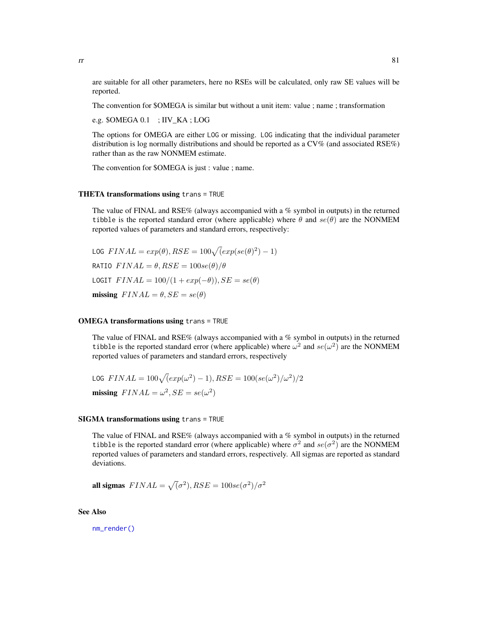<span id="page-80-0"></span>are suitable for all other parameters, here no RSEs will be calculated, only raw SE values will be reported.

The convention for \$OMEGA is similar but without a unit item: value ; name ; transformation

e.g. \$OMEGA 0.1 ; IIV\_KA ; LOG

The options for OMEGA are either LOG or missing. LOG indicating that the individual parameter distribution is log normally distributions and should be reported as a  $CV\%$  (and associated RSE%) rather than as the raw NONMEM estimate.

The convention for \$OMEGA is just : value ; name.

#### THETA transformations using trans = TRUE

The value of FINAL and RSE% (always accompanied with a % symbol in outputs) in the returned tibble is the reported standard error (where applicable) where  $\theta$  and  $se(\theta)$  are the NONMEM reported values of parameters and standard errors, respectively:

LOG  $FINAL = exp(\theta), RSE = 100\sqrt{(exp(se(\theta)^2) - 1)}$ RATIO  $FINAL = \theta, RSE = 100se(\theta)/\theta$ LOGIT  $FINAL = 100/(1 + exp(-\theta)), SE = se(\theta)$ missing  $FINAL = \theta, SE = se(\theta)$ 

# OMEGA transformations using trans = TRUE

The value of FINAL and RSE% (always accompanied with a % symbol in outputs) in the returned tibble is the reported standard error (where applicable) where  $\omega^2$  and  $se(\omega^2)$  are the NONMEM reported values of parameters and standard errors, respectively

$$
\text{LOG}\ \text{FINAL} = 100\sqrt{(\exp(\omega^2) - 1)}, \text{RSE} = 100(\text{se}(\omega^2)/\omega^2)/2
$$
\n
$$
\text{missing}\ \text{FINAL} = \omega^2, \text{SE} = \text{se}(\omega^2)
$$

#### SIGMA transformations using trans = TRUE

The value of FINAL and RSE% (always accompanied with a % symbol in outputs) in the returned tibble is the reported standard error (where applicable) where  $\sigma^2$  and  $se(\sigma^2)$  are the NONMEM reported values of parameters and standard errors, respectively. All sigmas are reported as standard deviations.

all sigmas  $\text{FINAL} = \sqrt{(\sigma^2)}, \text{RSE} = 100 \text{se}(\sigma^2)/\sigma^2$ 

See Also

[nm\\_render\(\)](#page-61-0)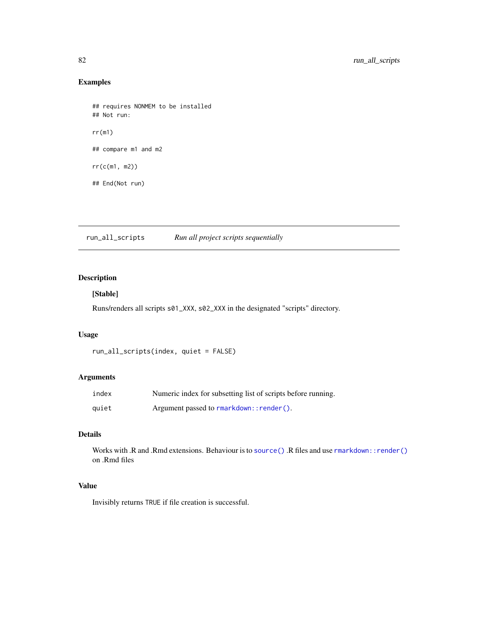# Examples

```
## requires NONMEM to be installed
## Not run:
rr(m1)
## compare m1 and m2
rr(c(m1, m2))
## End(Not run)
```
run\_all\_scripts *Run all project scripts sequentially*

# Description

# [Stable]

Runs/renders all scripts s01\_XXX, s02\_XXX in the designated "scripts" directory.

# Usage

```
run_all_scripts(index, quiet = FALSE)
```
# Arguments

| index | Numeric index for subsetting list of scripts before running. |
|-------|--------------------------------------------------------------|
| quiet | Argument passed to rmarkdown:: render().                     |

# Details

Works with .R and .Rmd extensions. Behaviour is to [source\(\)](#page-0-0) .R files and use [rmarkdown::render\(\)](#page-0-0) on .Rmd files

### Value

Invisibly returns TRUE if file creation is successful.

<span id="page-81-0"></span>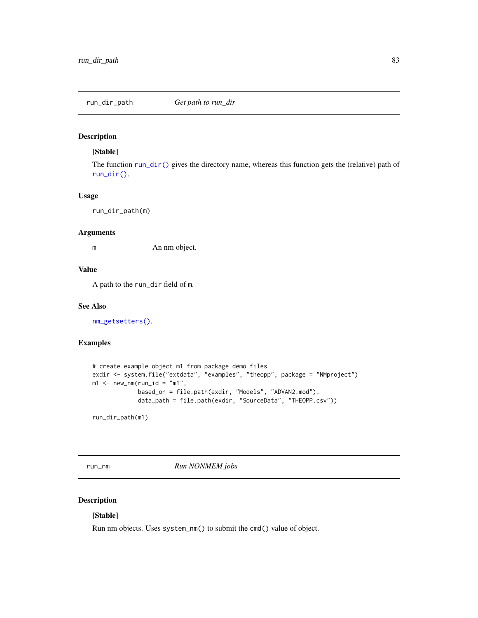<span id="page-82-2"></span>

#### [Stable]

The function [run\\_dir\(\)](#page-56-0) gives the directory name, whereas this function gets the (relative) path of [run\\_dir\(\)](#page-56-0).

#### Usage

run\_dir\_path(m)

#### Arguments

m An nm object.

#### Value

A path to the run\_dir field of m.

#### See Also

[nm\\_getsetters\(\)](#page-56-1).

# Examples

```
# create example object m1 from package demo files
exdir <- system.file("extdata", "examples", "theopp", package = "NMproject")
m1 <- new_nm(run_id = "m1",
             based_on = file.path(exdir, "Models", "ADVAN2.mod"),
             data_path = file.path(exdir, "SourceData", "THEOPP.csv"))
```
run\_dir\_path(m1)

<span id="page-82-1"></span>run\_nm *Run NONMEM jobs*

# <span id="page-82-0"></span>Description

## [Stable]

Run nm objects. Uses system\_nm() to submit the cmd() value of object.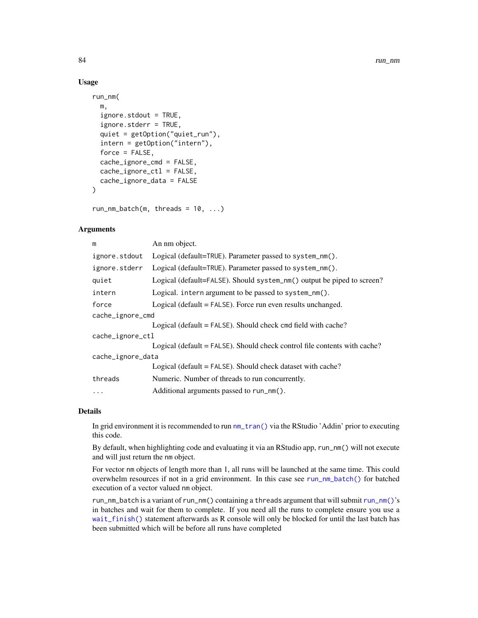#### Usage

```
run_nm(
 m,
  igmore.stdout = TRUE,ignore.stderr = TRUE,
  quiet = getOption("quiet_run"),
  intern = getOption("intern"),
  force = FALSE,
  cache_ignore_cmd = FALSE,
  cache_ignore_ctl = FALSE,
  cache_ignore_data = FALSE
)
```
 $run_nm_batch(m, threads = 10, ...)$ 

#### Arguments

| m                 | An nm object.                                                             |  |
|-------------------|---------------------------------------------------------------------------|--|
| ignore.stdout     | Logical (default=TRUE). Parameter passed to system_nm().                  |  |
| ignore.stderr     | Logical (default=TRUE). Parameter passed to system_nm().                  |  |
| quiet             | Logical (default=FALSE). Should system_nm() output be piped to screen?    |  |
| intern            | Logical. intern argument to be passed to system_nm().                     |  |
| force             | Logical (default $=$ FALSE). Force run even results unchanged.            |  |
| cache_ignore_cmd  |                                                                           |  |
|                   | Logical (default = FALSE). Should check cmd field with cache?             |  |
| cache_ignore_ctl  |                                                                           |  |
|                   | Logical (default = FALSE). Should check control file contents with cache? |  |
| cache_ignore_data |                                                                           |  |
|                   | Logical (default = FALSE). Should check dataset with cache?               |  |
| threads           | Numeric. Number of threads to run concurrently.                           |  |
| $\cdot$           | Additional arguments passed to run_nm().                                  |  |

# Details

In grid environment it is recommended to run [nm\\_tran\(\)](#page-64-0) via the RStudio 'Addin' prior to executing this code.

By default, when highlighting code and evaluating it via an RStudio app, run\_nm() will not execute and will just return the nm object.

For vector nm objects of length more than 1, all runs will be launched at the same time. This could overwhelm resources if not in a grid environment. In this case see [run\\_nm\\_batch\(\)](#page-82-0) for batched execution of a vector valued nm object.

run\_nm\_batch is a variant of [run\\_nm\(\)](#page-82-1) containing a threads argument that will submit run\_nm()'s in batches and wait for them to complete. If you need all the runs to complete ensure you use a [wait\\_finish\(\)](#page-100-0) statement afterwards as R console will only be blocked for until the last batch has been submitted which will be before all runs have completed

<span id="page-83-0"></span>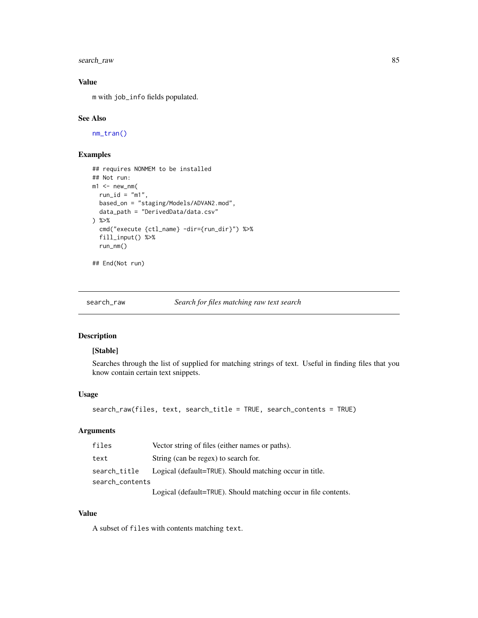<span id="page-84-0"></span>search\_raw 85

# Value

m with job\_info fields populated.

# See Also

[nm\\_tran\(\)](#page-64-0)

# Examples

```
## requires NONMEM to be installed
## Not run:
m1 < -new_{mm}(run_id = "m1",based_on = "staging/Models/ADVAN2.mod",
  data_path = "DerivedData/data.csv"
) %>%
  cmd("execute {ctl_name} -dir={run_dir}") %>%
  fill_input() %>%
  run_nm()
```

```
## End(Not run)
```
search\_raw *Search for files matching raw text search*

# Description

#### [Stable]

Searches through the list of supplied for matching strings of text. Useful in finding files that you know contain certain text snippets.

# Usage

```
search_raw(files, text, search_title = TRUE, search_contents = TRUE)
```
# Arguments

| files           | Vector string of files (either names or paths).                                                                                                                                                                                                                                                             |
|-----------------|-------------------------------------------------------------------------------------------------------------------------------------------------------------------------------------------------------------------------------------------------------------------------------------------------------------|
| text            | String (can be regex) to search for.                                                                                                                                                                                                                                                                        |
| search_title    | Logical (default=TRUE). Should matching occur in title.                                                                                                                                                                                                                                                     |
| search_contents |                                                                                                                                                                                                                                                                                                             |
|                 | $\mathbf{I}$ , $\mathbf{I}$ , $\mathbf{I}$ , $\mathbf{I}$ , $\mathbf{I}$ , $\mathbf{I}$ , $\mathbf{I}$ , $\mathbf{I}$ , $\mathbf{I}$ , $\mathbf{I}$ , $\mathbf{I}$ , $\mathbf{I}$ , $\mathbf{I}$ , $\mathbf{I}$ , $\mathbf{I}$ , $\mathbf{I}$ , $\mathbf{I}$ , $\mathbf{I}$ , $\mathbf{I}$ , $\mathbf{I}$ , |

Logical (default=TRUE). Should matching occur in file contents.

# Value

A subset of files with contents matching text.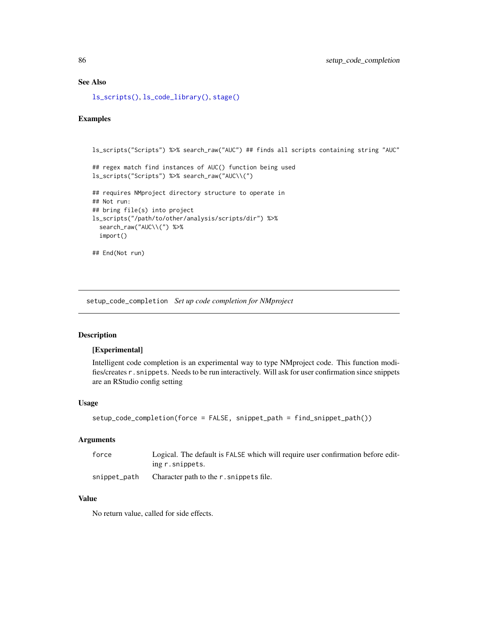# See Also

[ls\\_scripts\(\)](#page-45-0), [ls\\_code\\_library\(\)](#page-44-0), [stage\(\)](#page-90-0)

# Examples

```
ls_scripts("Scripts") %>% search_raw("AUC") ## finds all scripts containing string "AUC"
## regex match find instances of AUC() function being used
ls_scripts("Scripts") %>% search_raw("AUC\\(")
## requires NMproject directory structure to operate in
## Not run:
## bring file(s) into project
ls_scripts("/path/to/other/analysis/scripts/dir") %>%
  search_raw("AUC\\(") %>%
  import()
## End(Not run)
```
setup\_code\_completion *Set up code completion for NMproject*

# Description

#### [Experimental]

Intelligent code completion is an experimental way to type NMproject code. This function modifies/creates r.snippets. Needs to be run interactively. Will ask for user confirmation since snippets are an RStudio config setting

# Usage

```
setup_code_completion(force = FALSE, snippet_path = find_snippet_path())
```
#### Arguments

| force        | Logical. The default is FALSE which will require user confirmation before edit- |
|--------------|---------------------------------------------------------------------------------|
|              | ing r. snippets.                                                                |
| snippet_path | Character path to the r. snippets file.                                         |

# Value

No return value, called for side effects.

<span id="page-85-0"></span>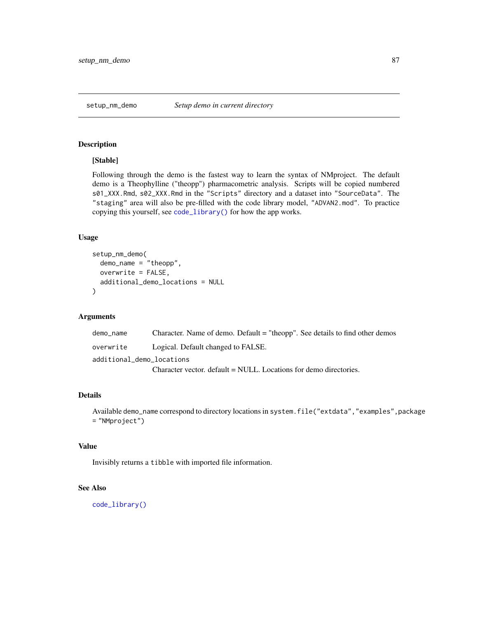<span id="page-86-0"></span>

#### [Stable]

Following through the demo is the fastest way to learn the syntax of NMproject. The default demo is a Theophylline ("theopp") pharmacometric analysis. Scripts will be copied numbered s01\_XXX.Rmd, s02\_XXX.Rmd in the "Scripts" directory and a dataset into "SourceData". The "staging" area will also be pre-filled with the code library model, "ADVAN2.mod". To practice copying this yourself, see [code\\_library\(\)](#page-13-0) for how the app works.

# Usage

```
setup_nm_demo(
  demo_name = "theopp",
  overwrite = FALSE,
  additional_demo_locations = NULL
\mathcal{L}
```
#### Arguments

| demo name                 | Character. Name of demo. Default = "theopp". See details to find other demos |  |
|---------------------------|------------------------------------------------------------------------------|--|
| overwrite                 | Logical. Default changed to FALSE.                                           |  |
| additional demo locations |                                                                              |  |
|                           | Character vector. default = NULL. Locations for demo directories.            |  |

# Details

Available demo\_name correspond to directory locations in system.file("extdata","examples",package = "NMproject")

# Value

Invisibly returns a tibble with imported file information.

#### See Also

[code\\_library\(\)](#page-13-0)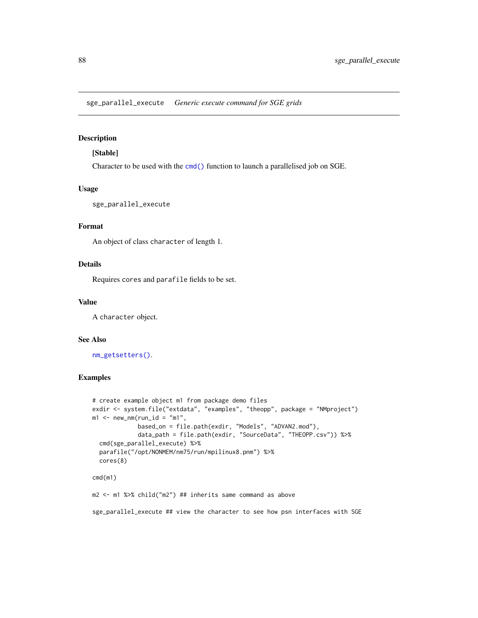<span id="page-87-0"></span>sge\_parallel\_execute *Generic execute command for SGE grids*

# Description

#### [Stable]

Character to be used with the [cmd\(\)](#page-56-0) function to launch a parallelised job on SGE.

# Usage

sge\_parallel\_execute

#### Format

An object of class character of length 1.

# Details

Requires cores and parafile fields to be set.

#### Value

A character object.

#### See Also

[nm\\_getsetters\(\)](#page-56-1).

# Examples

```
# create example object m1 from package demo files
exdir <- system.file("extdata", "examples", "theopp", package = "NMproject")
m1 <- new_nm(run_id = "m1",
            based_on = file.path(exdir, "Models", "ADVAN2.mod"),
             data_path = file.path(exdir, "SourceData", "THEOPP.csv")) %>%
  cmd(sge_parallel_execute) %>%
  parafile("/opt/NONMEM/nm75/run/mpilinux8.pnm") %>%
  cores(8)
cmd(m1)
m2 <- m1 %>% child("m2") ## inherits same command as above
sge_parallel_execute ## view the character to see how psn interfaces with SGE
```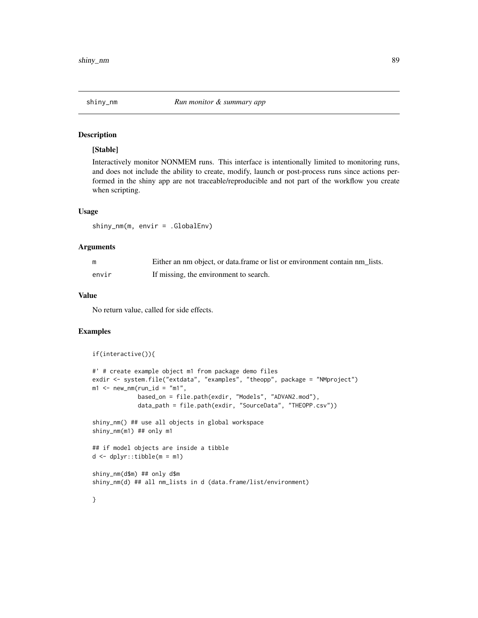<span id="page-88-0"></span>

#### [Stable]

Interactively monitor NONMEM runs. This interface is intentionally limited to monitoring runs, and does not include the ability to create, modify, launch or post-process runs since actions performed in the shiny app are not traceable/reproducible and not part of the workflow you create when scripting.

#### Usage

shiny\_nm(m, envir = .GlobalEnv)

#### Arguments

| m     | Either an nm object, or data frame or list or environment contain nm lists. |
|-------|-----------------------------------------------------------------------------|
| envir | If missing, the environment to search.                                      |

# Value

No return value, called for side effects.

### Examples

```
if(interactive()){
#' # create example object m1 from package demo files
exdir <- system.file("extdata", "examples", "theopp", package = "NMproject")
m1 <- new_nm(run_id = "m1",
             based_on = file.path(exdir, "Models", "ADVAN2.mod"),
             data_path = file.path(exdir, "SourceData", "THEOPP.csv"))
shiny_nm() ## use all objects in global workspace
shiny_nm(m1) ## only m1
## if model objects are inside a tibble
d \leq -dplyr::tibble(m = m1)shiny_nm(d$m) ## only d$m
shiny_nm(d) ## all nm_lists in d (data.frame/list/environment)
```
}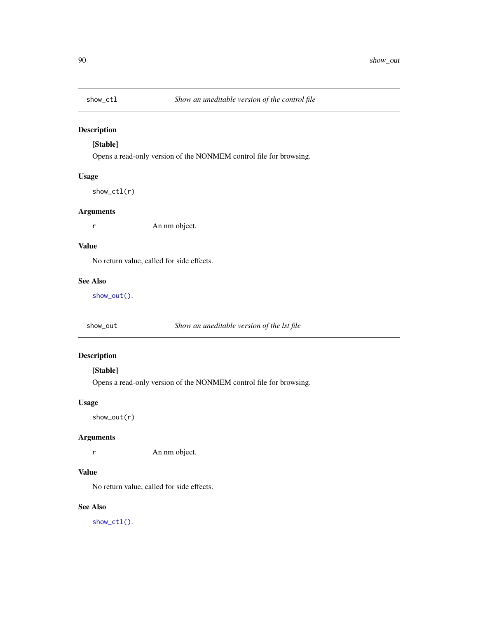<span id="page-89-1"></span>

# [Stable]

Opens a read-only version of the NONMEM control file for browsing.

# Usage

show\_ctl(r)

# Arguments

r An nm object.

# Value

No return value, called for side effects.

# See Also

[show\\_out\(\)](#page-89-0).

<span id="page-89-0"></span>show\_out *Show an uneditable version of the lst file*

# Description

# [Stable]

Opens a read-only version of the NONMEM control file for browsing.

# Usage

show\_out(r)

# Arguments

r An nm object.

# Value

No return value, called for side effects.

# See Also

[show\\_ctl\(\)](#page-89-1).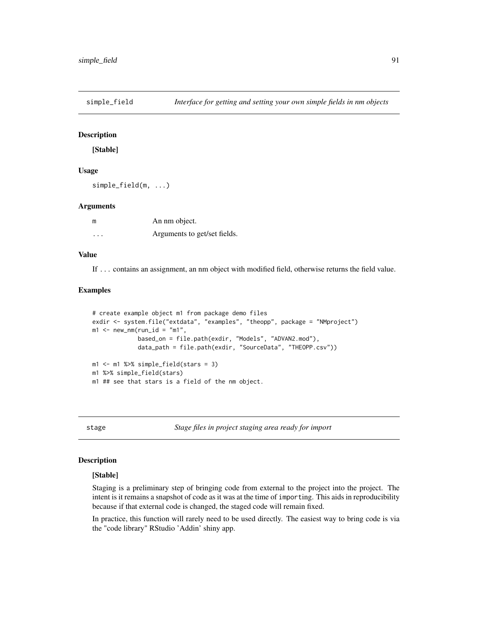[Stable]

# Usage

simple\_field(m, ...)

#### Arguments

| m        | An nm object.                |
|----------|------------------------------|
| $\cdots$ | Arguments to get/set fields. |

# Value

If ... contains an assignment, an nm object with modified field, otherwise returns the field value.

#### Examples

```
# create example object m1 from package demo files
exdir <- system.file("extdata", "examples", "theopp", package = "NMproject")
m1 <- new_nm(run_id = "m1",
             based_on = file.path(exdir, "Models", "ADVAN2.mod"),
             data_path = file.path(exdir, "SourceData", "THEOPP.csv"))
ml \leq -ml %\gg simple_field(stars = 3)
m1 %>% simple_field(stars)
m1 ## see that stars is a field of the nm object.
```
<span id="page-90-0"></span>stage *Stage files in project staging area ready for import*

#### Description

#### [Stable]

Staging is a preliminary step of bringing code from external to the project into the project. The intent is it remains a snapshot of code as it was at the time of importing. This aids in reproducibility because if that external code is changed, the staged code will remain fixed.

In practice, this function will rarely need to be used directly. The easiest way to bring code is via the "code library" RStudio 'Addin' shiny app.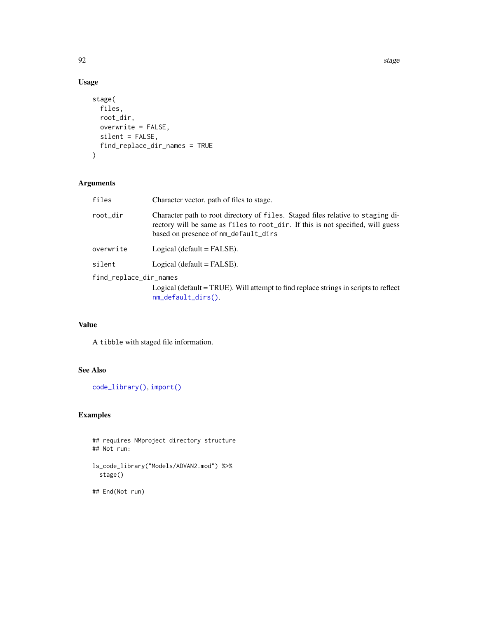extended to the control of the control of the control of the control of the control of the control of the control of the control of the control of the control of the control of the control of the control of the control of

# Usage

```
stage(
  files,
  root_dir,
  overwrite = FALSE,
  silent = FALSE,
  find_replace_dir_names = TRUE
)
```
# Arguments

| files                  | Character vector. path of files to stage.                                                                                                                                                                  |  |
|------------------------|------------------------------------------------------------------------------------------------------------------------------------------------------------------------------------------------------------|--|
| root_dir               | Character path to root directory of files. Staged files relative to staging di-<br>rectory will be same as files to root_dir. If this is not specified, will guess<br>based on presence of nm_default_dirs |  |
| overwrite              | Logical (default $=$ FALSE).                                                                                                                                                                               |  |
| silent                 | Logical (default $=$ FALSE).                                                                                                                                                                               |  |
| find_replace_dir_names |                                                                                                                                                                                                            |  |
|                        | Logical (default = TRUE). Will attempt to find replace strings in scripts to reflect<br>$nm\_default\_dirs()$ .                                                                                            |  |

# Value

A tibble with staged file information.

# See Also

[code\\_library\(\)](#page-13-0), [import\(\)](#page-36-0)

# Examples

```
## requires NMproject directory structure
## Not run:
```

```
ls_code_library("Models/ADVAN2.mod") %>%
  stage()
```

```
## End(Not run)
```
<span id="page-91-0"></span>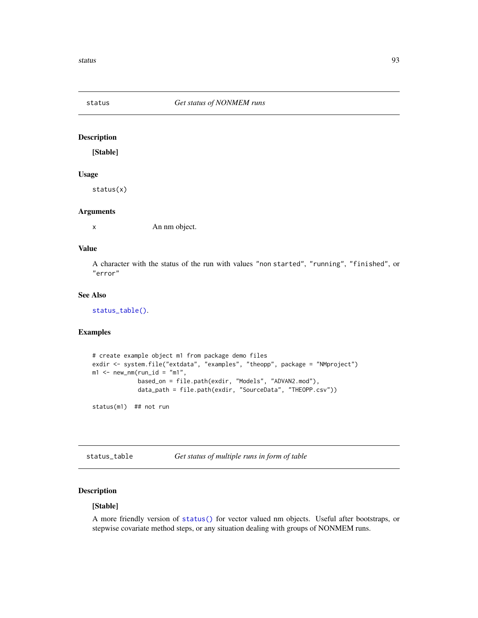<span id="page-92-1"></span>

[Stable]

#### Usage

status(x)

#### Arguments

x An nm object.

#### Value

A character with the status of the run with values "non started", "running", "finished", or "error"

# See Also

[status\\_table\(\)](#page-92-0).

# Examples

```
# create example object m1 from package demo files
exdir <- system.file("extdata", "examples", "theopp", package = "NMproject")
m1 <- new_nm(run_id = "m1",
             based_on = file.path(exdir, "Models", "ADVAN2.mod"),
             data_path = file.path(exdir, "SourceData", "THEOPP.csv"))
status(m1) ## not run
```
<span id="page-92-0"></span>status\_table *Get status of multiple runs in form of table*

# Description

# [Stable]

A more friendly version of [status\(\)](#page-92-1) for vector valued nm objects. Useful after bootstraps, or stepwise covariate method steps, or any situation dealing with groups of NONMEM runs.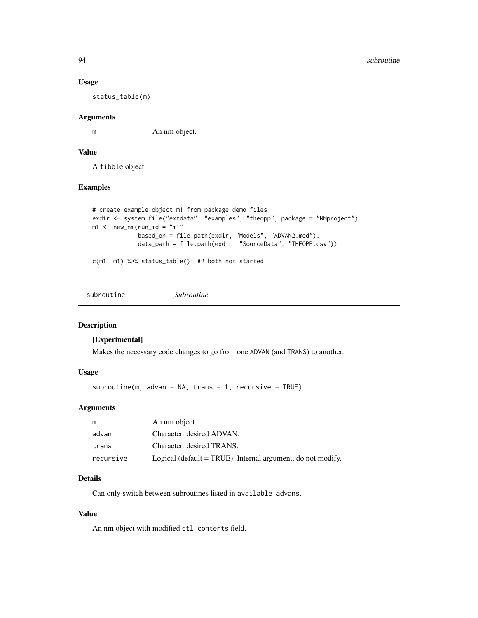#### Usage

status\_table(m)

#### Arguments

m An nm object.

# Value

A tibble object.

#### Examples

```
# create example object m1 from package demo files
exdir <- system.file("extdata", "examples", "theopp", package = "NMproject")
m1 <- new\_nm(run_id = "m1",based_on = file.path(exdir, "Models", "ADVAN2.mod"),
             data_path = file.path(exdir, "SourceData", "THEOPP.csv"))
```
c(m1, m1) %>% status\_table() ## both not started

| subroutine | <i>Subroutine</i> |
|------------|-------------------|
|            |                   |

# Description

#### [Experimental]

Makes the necessary code changes to go from one ADVAN (and TRANS) to another.

#### Usage

subroutine(m, advan = NA, trans = 1, recursive = TRUE)

#### Arguments

| m         | An nm object.                                               |
|-----------|-------------------------------------------------------------|
| advan     | Character. desired ADVAN.                                   |
| trans     | Character, desired TRANS.                                   |
| recursive | Logical (default = TRUE). Internal argument, do not modify. |

# Details

Can only switch between subroutines listed in available\_advans.

#### Value

An nm object with modified ctl\_contents field.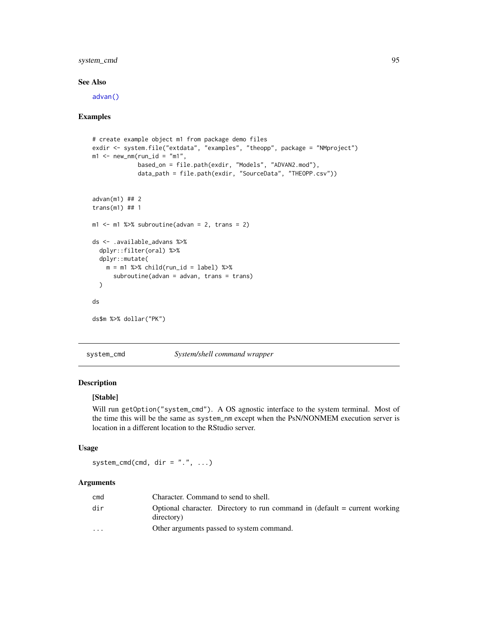# <span id="page-94-0"></span>system\_cmd 95

# See Also

[advan\(\)](#page-30-0)

#### Examples

```
# create example object m1 from package demo files
exdir <- system.file("extdata", "examples", "theopp", package = "NMproject")
m1 <- new_nm(run_id = "m1",
             based_on = file.path(exdir, "Models", "ADVAN2.mod"),
             data_path = file.path(exdir, "SourceData", "THEOPP.csv"))
advan(m1) ## 2
trans(m1) ## 1
m1 \le -m1 %>% subroutine(advan = 2, trans = 2)
ds <- .available_advans %>%
  dplyr::filter(oral) %>%
  dplyr::mutate(
   m = m1 %>% child(run_id = label) %>%
      subroutine(advan = advan, trans = trans)
  )
ds
ds$m %>% dollar("PK")
```
system\_cmd *System/shell command wrapper*

# Description

#### [Stable]

Will run getOption("system\_cmd"). A OS agnostic interface to the system terminal. Most of the time this will be the same as system\_nm except when the PsN/NONMEM execution server is location in a different location to the RStudio server.

# Usage

system\_cmd(cmd, dir =  $".".$ , ...)

# Arguments

| cmd                     | Character. Command to send to shell.                                                       |
|-------------------------|--------------------------------------------------------------------------------------------|
| dir                     | Optional character. Directory to run command in (default $=$ current working<br>directory) |
| $\cdot$ $\cdot$ $\cdot$ | Other arguments passed to system command.                                                  |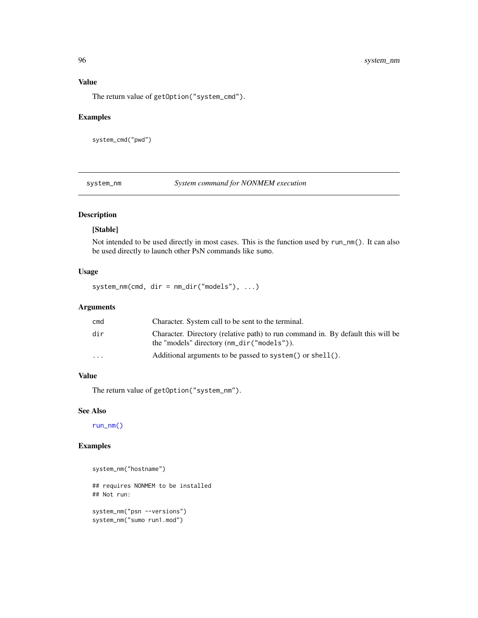# Value

The return value of getOption("system\_cmd").

# Examples

system\_cmd("pwd")

system\_nm *System command for NONMEM execution*

# Description

#### [Stable]

Not intended to be used directly in most cases. This is the function used by run\_nm(). It can also be used directly to launch other PsN commands like sumo.

# Usage

system\_nm(cmd, dir = nm\_dir("models"), ...)

#### Arguments

| cmd       | Character. System call to be sent to the terminal.                                                                            |
|-----------|-------------------------------------------------------------------------------------------------------------------------------|
| dir       | Character. Directory (relative path) to run command in. By default this will be<br>the "models" directory (nm_dir("models")). |
| $\ddotsc$ | Additional arguments to be passed to system () or shell ().                                                                   |
|           |                                                                                                                               |

# Value

The return value of getOption("system\_nm").

# See Also

[run\\_nm\(\)](#page-82-1)

# Examples

```
system_nm("hostname")
```
## requires NONMEM to be installed ## Not run:

system\_nm("psn --versions") system\_nm("sumo run1.mod")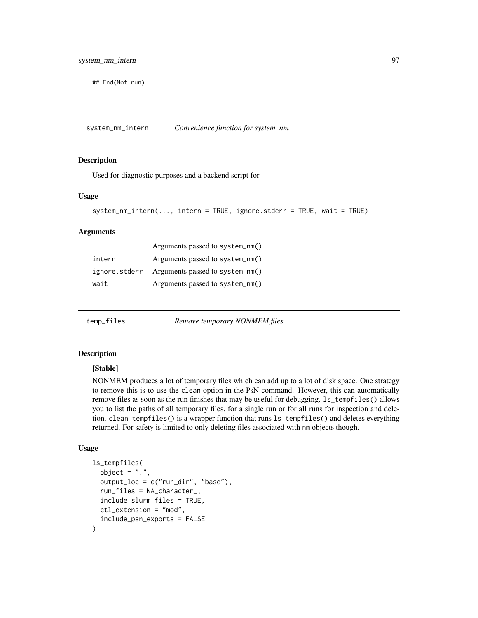<span id="page-96-0"></span>## End(Not run)

system\_nm\_intern *Convenience function for system\_nm*

#### Description

Used for diagnostic purposes and a backend script for

#### Usage

```
system_nm_intern(..., intern = TRUE, ignore.stderr = TRUE, wait = TRUE)
```
#### Arguments

| $\cdot$ $\cdot$ $\cdot$ | Arguments passed to system_nm() |
|-------------------------|---------------------------------|
| intern                  | Arguments passed to system_nm() |
| ignore.stderr           | Arguments passed to system_nm() |
| wait                    | Arguments passed to system_nm() |

temp\_files *Remove temporary NONMEM files*

#### Description

#### [Stable]

NONMEM produces a lot of temporary files which can add up to a lot of disk space. One strategy to remove this is to use the clean option in the PsN command. However, this can automatically remove files as soon as the run finishes that may be useful for debugging. ls\_tempfiles() allows you to list the paths of all temporary files, for a single run or for all runs for inspection and deletion. clean\_tempfiles() is a wrapper function that runs ls\_tempfiles() and deletes everything returned. For safety is limited to only deleting files associated with nm objects though.

#### Usage

```
ls_tempfiles(
  object = "."output\_loc = c("run\_dir", "base"),run_files = NA_character_,
  include_slurm_files = TRUE,
  ctl_extension = "mod",
  include_psn_exports = FALSE
)
```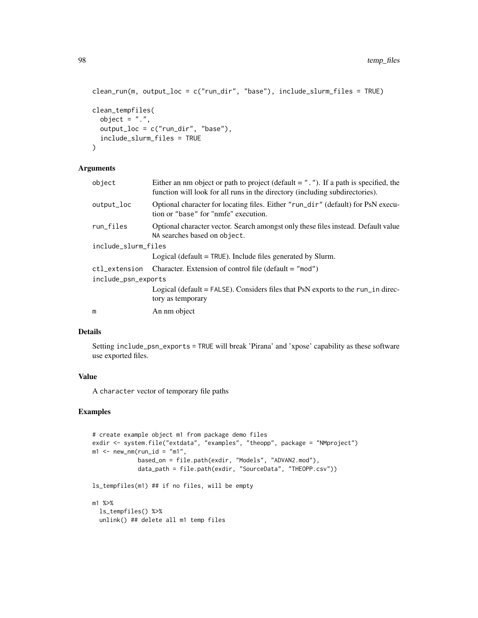```
clean_run(m, output_loc = c("run_dir", "base"), include_slurm_files = TRUE)
clean_tempfiles(
  object = "."output_loc = c("run_dir", "base"),
  include_slurm_files = TRUE
\lambda
```
#### Arguments

| object              | Either an nm object or path to project (default $=$ "."). If a path is specified, the<br>function will look for all runs in the directory (including subdirectories). |
|---------------------|-----------------------------------------------------------------------------------------------------------------------------------------------------------------------|
| output_loc          | Optional character for locating files. Either "run_dir" (default) for PsN execu-<br>tion or "base" for "nmfe" execution.                                              |
| run_files           | Optional character vector. Search amongst only these files instead. Default value<br>NA searches based on object.                                                     |
| include_slurm_files |                                                                                                                                                                       |
|                     | Logical (default $=$ TRUE). Include files generated by Slurm.                                                                                                         |
| ctl_extension       | Character. Extension of control file (default $=$ "mod")                                                                                                              |
| include_psn_exports |                                                                                                                                                                       |
|                     | Logical (default = $FALSE$ ). Considers files that PsN exports to the run_in direc-<br>tory as temporary                                                              |
| m                   | An nm object                                                                                                                                                          |
|                     |                                                                                                                                                                       |

### Details

Setting include\_psn\_exports = TRUE will break 'Pirana' and 'xpose' capability as these software use exported files.

#### Value

A character vector of temporary file paths

# Examples

```
# create example object m1 from package demo files
exdir <- system.file("extdata", "examples", "theopp", package = "NMproject")
m1 <- new_nm(run_id = "m1",
            based_on = file.path(exdir, "Models", "ADVAN2.mod"),
            data_path = file.path(exdir, "SourceData", "THEOPP.csv"))
ls_tempfiles(m1) ## if no files, will be empty
m1 %>%
  ls_tempfiles() %>%
  unlink() ## delete all m1 temp files
```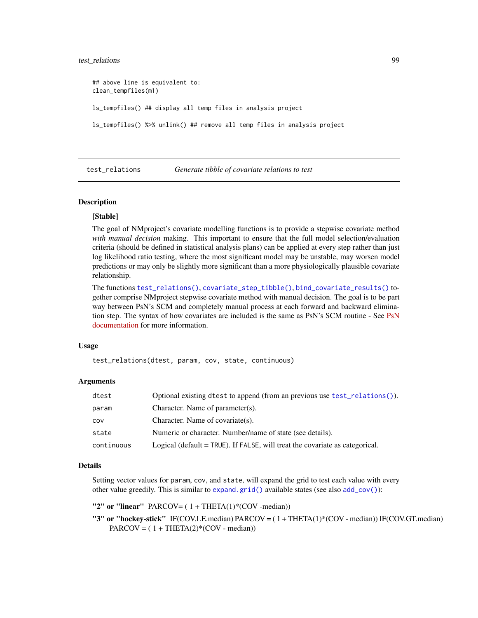#### <span id="page-98-1"></span>test\_relations 99

## above line is equivalent to: clean\_tempfiles(m1) ls\_tempfiles() ## display all temp files in analysis project ls\_tempfiles() %>% unlink() ## remove all temp files in analysis project

<span id="page-98-0"></span>test\_relations *Generate tibble of covariate relations to test*

#### **Description**

#### [Stable]

The goal of NMproject's covariate modelling functions is to provide a stepwise covariate method *with manual decision* making. This important to ensure that the full model selection/evaluation criteria (should be defined in statistical analysis plans) can be applied at every step rather than just log likelihood ratio testing, where the most significant model may be unstable, may worsen model predictions or may only be slightly more significant than a more physiologically plausible covariate relationship.

The functions [test\\_relations\(\)](#page-98-0), [covariate\\_step\\_tibble\(\)](#page-19-0), [bind\\_covariate\\_results\(\)](#page-9-0) together comprise NMproject stepwise covariate method with manual decision. The goal is to be part way between PsN's SCM and completely manual process at each forward and backward elimina-tion step. The syntax of how covariates are included is the same as [PsN](https://uupharmacometrics.github.io/PsN/docs.html)'s SCM routine - See PsN [documentation](https://uupharmacometrics.github.io/PsN/docs.html) for more information.

#### Usage

test\_relations(dtest, param, cov, state, continuous)

#### Arguments

| dtest      | Optional existing dtest to append (from an previous use test_relations()).   |
|------------|------------------------------------------------------------------------------|
| param      | Character. Name of parameter(s).                                             |
| COV        | Character. Name of covariate(s).                                             |
| state      | Numeric or character. Number/name of state (see details).                    |
| continuous | Logical (default = TRUE). If FALSE, will treat the covariate as categorical. |

#### Details

Setting vector values for param, cov, and state, will expand the grid to test each value with every other value greedily. This is similar to [expand.grid\(\)](#page-0-0) available states (see also [add\\_cov\(\)](#page-5-0)):

"2" or "linear" PARCOV= $(1 + THER(1)*(COV - median))$ 

"3" or "hockey-stick" IF(COV.LE.median) PARCOV = ( 1 + THETA(1)\*(COV - median)) IF(COV.GT.median)  $PARCOV = (1 + THER(2)*(COV - median))$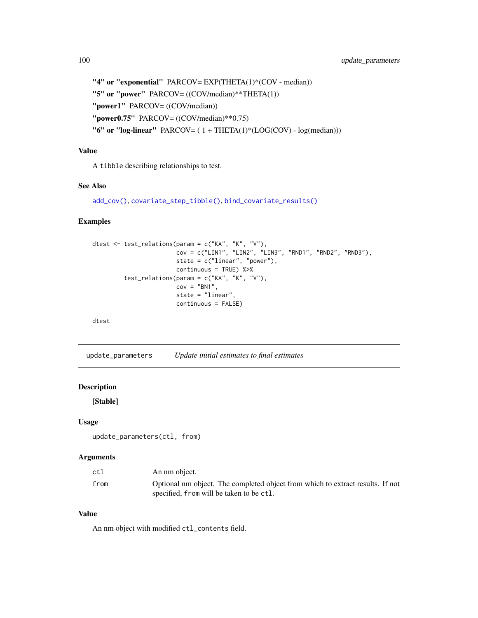```
"4" or "exponential" PARCOV= EXP(THETA(1)*(COV - median))
"5" or "power" PARCOV= ((COV/median)**THETA(1))
"power1" PARCOV= ((COV/median))
"power0.75" PARCOV= ((COV/median)**0.75)
"6" or "log-linear" PARCOV=(1 + \text{THETA}(1) * (\text{LOG(COV)} - \text{log(median})))
```
# Value

A tibble describing relationships to test.

# See Also

```
add_cov(), covariate_step_tibble(), bind_covariate_results()
```
# Examples

```
dtest <- test_relations(param = c("KA", "K", "V"),
                        cov = c("LIN1", "LIN2", "LIN3", "RND1", "RND2", "RND3"),
                       state = c("linear", "power"),
                       continuous = TRUE) %>%
        test_relations(param = c("KA", "K", "V"),
                       cov = "BN1",state = "linear",
                       continuous = FALSE)
```
dtest

update\_parameters *Update initial estimates to final estimates*

# Description

[Stable]

#### Usage

update\_parameters(ctl, from)

#### Arguments

| ctl  | An nm object.                                                                  |
|------|--------------------------------------------------------------------------------|
| from | Optional nm object. The completed object from which to extract results. If not |
|      | specified, from will be taken to be ctl.                                       |

# Value

An nm object with modified ctl\_contents field.

<span id="page-99-0"></span>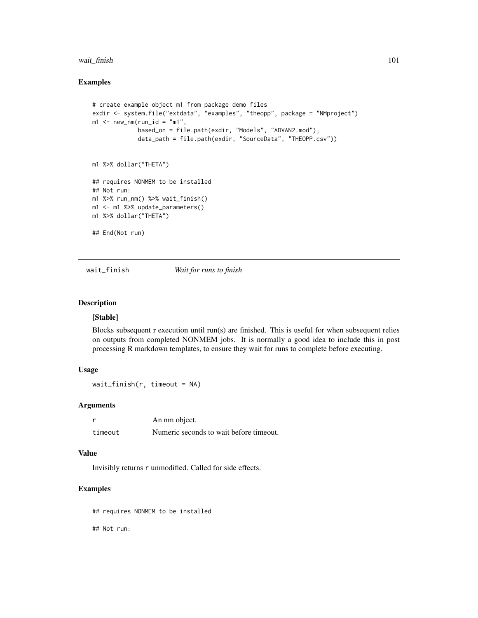#### wait\_finish 101

#### Examples

```
# create example object m1 from package demo files
exdir <- system.file("extdata", "examples", "theopp", package = "NMproject")
m1 <- new_nm(run_id = "m1",
             based_on = file.path(exdir, "Models", "ADVAN2.mod"),
             data_path = file.path(exdir, "SourceData", "THEOPP.csv"))
m1 %>% dollar("THETA")
## requires NONMEM to be installed
## Not run:
m1 %>% run_nm() %>% wait_finish()
m1 <- m1 %>% update_parameters()
m1 %>% dollar("THETA")
## End(Not run)
```
<span id="page-100-0"></span>wait\_finish *Wait for runs to finish*

#### Description

# [Stable]

Blocks subsequent r execution until run(s) are finished. This is useful for when subsequent relies on outputs from completed NONMEM jobs. It is normally a good idea to include this in post processing R markdown templates, to ensure they wait for runs to complete before executing.

# Usage

wait\_finish(r, timeout = NA)

#### Arguments

|         | An nm object.                           |
|---------|-----------------------------------------|
| timeout | Numeric seconds to wait before timeout. |

#### Value

Invisibly returns r unmodified. Called for side effects.

# Examples

## requires NONMEM to be installed

## Not run: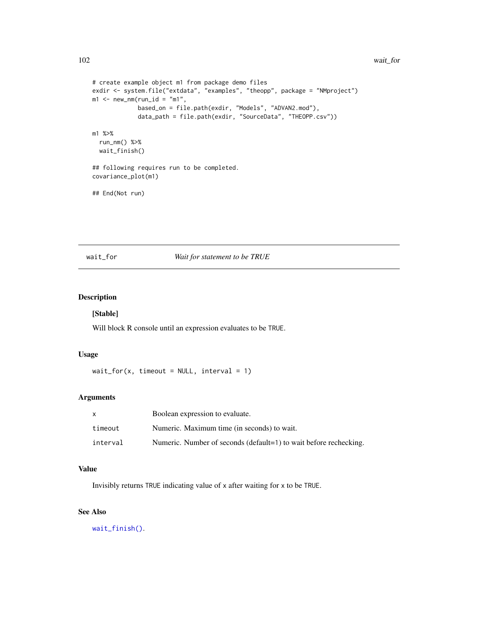```
# create example object m1 from package demo files
exdir <- system.file("extdata", "examples", "theopp", package = "NMproject")
m1 <- new_nm(run_id = "m1",
             based_on = file.path(exdir, "Models", "ADVAN2.mod"),
             data_path = file.path(exdir, "SourceData", "THEOPP.csv"))
m1 %>%
  run_nm() %>%
 wait_finish()
## following requires run to be completed.
covariance_plot(m1)
## End(Not run)
```
#### wait\_for *Wait for statement to be TRUE*

# Description

# [Stable]

Will block R console until an expression evaluates to be TRUE.

#### Usage

wait\_for(x, timeout =  $NULL$ , interval = 1)

#### Arguments

| X        | Boolean expression to evaluate.                                   |
|----------|-------------------------------------------------------------------|
| timeout  | Numeric. Maximum time (in seconds) to wait.                       |
| interval | Numeric. Number of seconds (default=1) to wait before rechecking. |

# Value

Invisibly returns TRUE indicating value of x after waiting for x to be TRUE.

# See Also

[wait\\_finish\(\)](#page-100-0).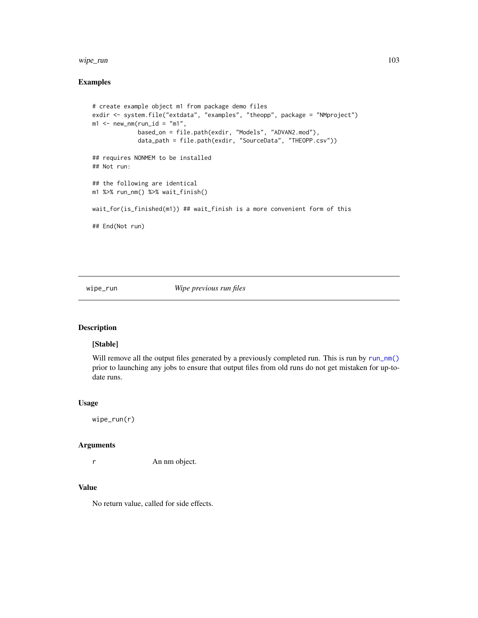#### wipe\_run 103

# Examples

```
# create example object m1 from package demo files
exdir <- system.file("extdata", "examples", "theopp", package = "NMproject")
m1 <- new_nm(run_id = "m1",
             based_on = file.path(exdir, "Models", "ADVAN2.mod"),
             data_path = file.path(exdir, "SourceData", "THEOPP.csv"))
## requires NONMEM to be installed
## Not run:
## the following are identical
m1 %>% run_nm() %>% wait_finish()
wait_for(is_finished(m1)) ## wait_finish is a more convenient form of this
## End(Not run)
```
wipe\_run *Wipe previous run files*

# Description

#### [Stable]

Will remove all the output files generated by a previously completed run. This is run by [run\\_nm\(\)](#page-82-1) prior to launching any jobs to ensure that output files from old runs do not get mistaken for up-todate runs.

#### Usage

```
wipe_run(r)
```
#### Arguments

r An nm object.

# Value

No return value, called for side effects.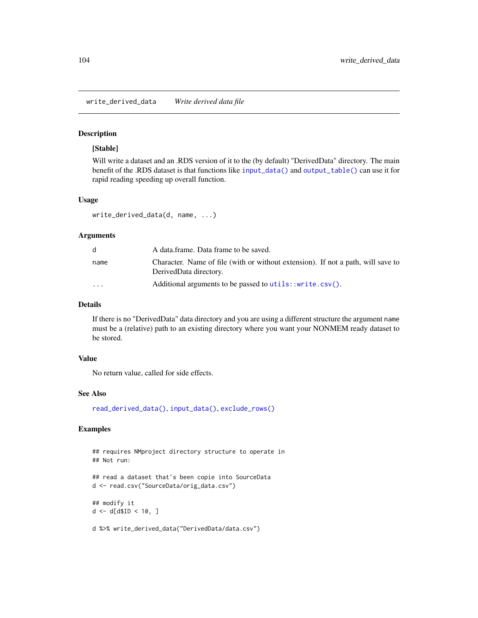<span id="page-103-1"></span><span id="page-103-0"></span>write\_derived\_data *Write derived data file*

# Description

#### [Stable]

Will write a dataset and an .RDS version of it to the (by default) "DerivedData" directory. The main benefit of the .RDS dataset is that functions like [input\\_data\(\)](#page-38-0) and [output\\_table\(\)](#page-68-0) can use it for rapid reading speeding up overall function.

#### Usage

```
write_derived_data(d, name, ...)
```
#### Arguments

| d.                      | A data.frame. Data frame to be saved.                                                                      |
|-------------------------|------------------------------------------------------------------------------------------------------------|
| name                    | Character. Name of file (with or without extension). If not a path, will save to<br>DerivedData directory. |
| $\cdot$ $\cdot$ $\cdot$ | Additional arguments to be passed to utils::write.csv().                                                   |

#### Details

If there is no "DerivedData" data directory and you are using a different structure the argument name must be a (relative) path to an existing directory where you want your NONMEM ready dataset to be stored.

#### Value

No return value, called for side effects.

#### See Also

[read\\_derived\\_data\(\)](#page-76-0), [input\\_data\(\)](#page-38-0), [exclude\\_rows\(\)](#page-31-0)

# Examples

```
## requires NMproject directory structure to operate in
## Not run:
## read a dataset that's been copie into SourceData
d <- read.csv("SourceData/orig_data.csv")
## modify it
d < -d[d$ID < 10, ]d %>% write_derived_data("DerivedData/data.csv")
```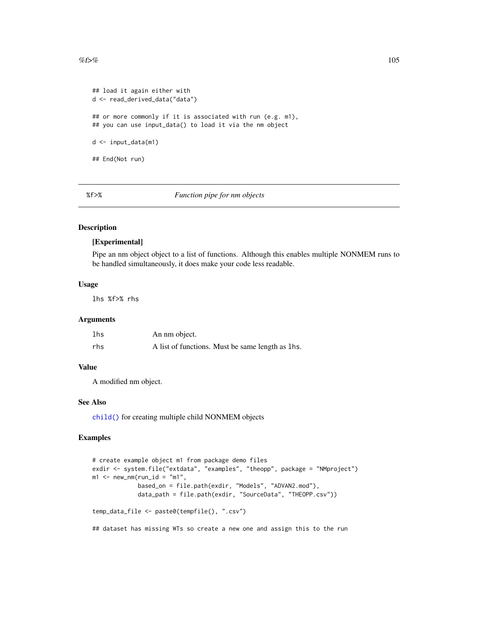```
## load it again either with
d <- read_derived_data("data")
## or more commonly if it is associated with run (e.g. m1),
## you can use input_data() to load it via the nm object
d <- input_data(m1)
## End(Not run)
```
%f>% *Function pipe for nm objects*

# Description

#### [Experimental]

Pipe an nm object object to a list of functions. Although this enables multiple NONMEM runs to be handled simultaneously, it does make your code less readable.

#### Usage

lhs %f>% rhs

#### Arguments

| lhs | An nm object.                                    |
|-----|--------------------------------------------------|
| rhs | A list of functions. Must be same length as lhs. |

# Value

A modified nm object.

# See Also

[child\(\)](#page-12-0) for creating multiple child NONMEM objects

# Examples

```
# create example object m1 from package demo files
exdir <- system.file("extdata", "examples", "theopp", package = "NMproject")
m1 <- new_nm(run_id = "m1",
             based_on = file.path(exdir, "Models", "ADVAN2.mod"),
             data_path = file.path(exdir, "SourceData", "THEOPP.csv"))
temp_data_file <- paste0(tempfile(), ".csv")
```
## dataset has missing WTs so create a new one and assign this to the run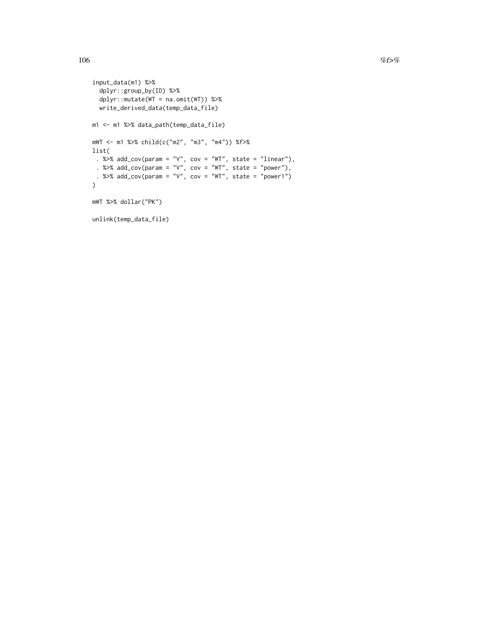```
input_data(m1) %>%
  dplyr::group_by(ID) %>%
  dplyr::mutate(WT = na.omit(WT)) %>%
  write_derived_data(temp_data_file)
m1 <- m1 %>% data_path(temp_data_file)
mWT <- m1 %>% child(c("m2", "m3", "m4")) %f>%
list(
 . %>% add_cov(param = "V", cov = "WT", state = "linear"),
 . %>% add_cov(param = "V", cov = "WT", state = "power"),
 . %>% add_cov(param = "V", cov = "WT", state = "power1")
\mathcal{L}mWT %>% dollar("PK")
unlink(temp_data_file)
```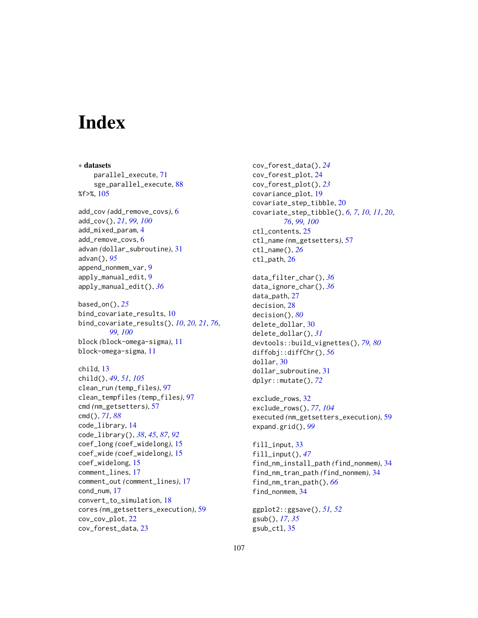# **Index**

∗ datasets parallel\_execute, [71](#page-70-0) sge\_parallel\_execute, [88](#page-87-0) %f>%, [105](#page-104-0) add\_cov *(*add\_remove\_covs*)*, [6](#page-5-1) add\_cov(), *[21](#page-20-0)*, *[99,](#page-98-1) [100](#page-99-0)* add\_mixed\_param, [4](#page-3-0) add\_remove\_covs, [6](#page-5-1) advan *(*dollar\_subroutine*)*, [31](#page-30-1) advan(), *[95](#page-94-0)* append\_nonmem\_var, [9](#page-8-0) apply\_manual\_edit, [9](#page-8-0) apply\_manual\_edit(), *[36](#page-35-0)* based\_on(), *[25](#page-24-0)* bind\_covariate\_results, [10](#page-9-1) bind\_covariate\_results(), *[10](#page-9-1)*, *[20,](#page-19-1) [21](#page-20-0)*, *[76](#page-75-0)*, *[99,](#page-98-1) [100](#page-99-0)* block *(*block-omega-sigma*)*, [11](#page-10-0) block-omega-sigma, [11](#page-10-0) child, [13](#page-12-1) child(), *[49](#page-48-0)*, *[51](#page-50-0)*, *[105](#page-104-0)* clean\_run *(*temp\_files*)*, [97](#page-96-0) clean\_tempfiles *(*temp\_files*)*, [97](#page-96-0) cmd *(*nm\_getsetters*)*, [57](#page-56-2) cmd(), *[71](#page-70-0)*, *[88](#page-87-0)* code\_library, [14](#page-13-1) code\_library(), *[38](#page-37-0)*, *[45](#page-44-1)*, *[87](#page-86-0)*, *[92](#page-91-0)* coef\_long *(*coef\_widelong*)*, [15](#page-14-0) coef\_wide *(*coef\_widelong*)*, [15](#page-14-0) coef\_widelong, [15](#page-14-0) comment\_lines, [17](#page-16-0) comment\_out *(*comment\_lines*)*, [17](#page-16-0) cond\_num, [17](#page-16-0) convert\_to\_simulation, [18](#page-17-0) cores *(*nm\_getsetters\_execution*)*, [59](#page-58-0) cov\_cov\_plot, [22](#page-21-0) cov\_forest\_data, [23](#page-22-0)

cov\_forest\_data(), *[24](#page-23-0)* cov\_forest\_plot, [24](#page-23-0) cov\_forest\_plot(), *[23](#page-22-0)* covariance\_plot, [19](#page-18-0) covariate\_step\_tibble, [20](#page-19-1) covariate\_step\_tibble(), *[6,](#page-5-1) [7](#page-6-0)*, *[10,](#page-9-1) [11](#page-10-0)*, *[20](#page-19-1)*, *[76](#page-75-0)*, *[99,](#page-98-1) [100](#page-99-0)* ctl\_contents, [25](#page-24-0) ctl\_name *(*nm\_getsetters*)*, [57](#page-56-2) ctl\_name(), *[26](#page-25-0)* ctl\_path, [26](#page-25-0) data\_filter\_char(), *[36](#page-35-0)* data\_ignore\_char(), *[36](#page-35-0)* data\_path, [27](#page-26-0) decision, [28](#page-27-1) decision(), *[80](#page-79-0)* delete\_dollar, [30](#page-29-0) delete\_dollar(), *[31](#page-30-1)* devtools::build\_vignettes(), *[79,](#page-78-0) [80](#page-79-0)* diffobj::diffChr(), *[56](#page-55-0)* dollar, [30](#page-29-0) dollar\_subroutine, [31](#page-30-1) dplyr::mutate(), *[72](#page-71-0)*

exclude\_rows, [32](#page-31-1) exclude\_rows(), *[77](#page-76-1)*, *[104](#page-103-1)* executed *(*nm\_getsetters\_execution*)*, [59](#page-58-0) expand.grid(), *[99](#page-98-1)*

fill\_input, [33](#page-32-0) fill\_input(), *[47](#page-46-0)* find\_nm\_install\_path *(*find\_nonmem*)*, [34](#page-33-0) find\_nm\_tran\_path *(*find\_nonmem*)*, [34](#page-33-0) find\_nm\_tran\_path(), *[66](#page-65-0)* find\_nonmem, [34](#page-33-0)

ggplot2::ggsave(), *[51,](#page-50-0) [52](#page-51-0)* gsub(), *[17](#page-16-0)*, *[35](#page-34-0)* gsub\_ctl, [35](#page-34-0)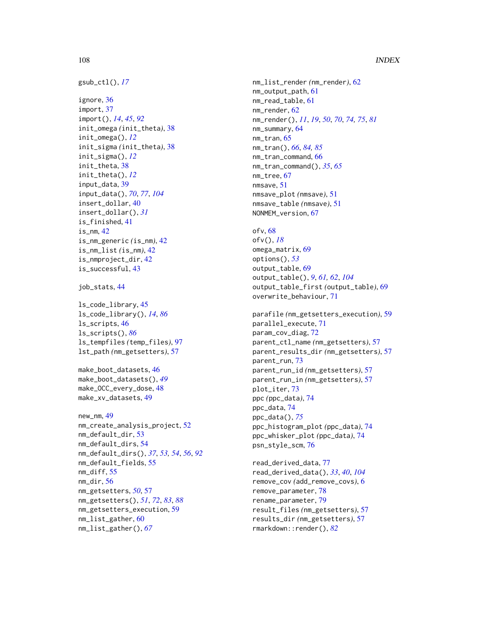# 108 INDEX

```
gsub_ctl(), 17
ignore, 36
import, 37
import(), 14, 45, 92
init_omega (init_theta), 38
init_omega(), 12
init_sigma (init_theta), 38
init_sigma(), 12
init_theta, 38
init_theta(), 12
input_data, 39
input_data(), 70, 77, 104
insert_dollar, 40
insert_dollar(), 31
is_finished, 41
is_nm, 42
is_nm_generic (is_nm), 42
is_nm_list (is_nm), 42
is_nmproject_dir, 42
is_successful, 43
job_stats, 44
ls_code_library, 45
```

```
ls_code_library(), 14, 86
ls_scripts, 46
ls_scripts(), 86
ls_tempfiles (temp_files), 97
lst_path (nm_getsetters), 57
```

```
make_boot_datasets, 46
make_boot_datasets(), 49
make_OCC_every_dose, 48
make_xv_datasets, 49
```

```
new_nm, 49
nm_create_analysis_project, 52
nm_default_dir, 53
nm_default_dirs, 54
nm_default_dirs(), 37, 53, 54, 56, 92
nm_default_fields, 55
nm_diff, 55
nm_dir, 56
nm_getsetters, 50, 57
nm_getsetters(), 51, 72, 83, 88
nm_getsetters_execution, 59
nm_list_gather, 60
nm_list_gather(), 67
```
nm\_list\_render *(*nm\_render*)*, [62](#page-61-1) nm\_output\_path, [61](#page-60-0) nm\_read\_table, [61](#page-60-0) nm\_render, [62](#page-61-1) nm\_render(), *[11](#page-10-0)*, *[19](#page-18-0)*, *[50](#page-49-0)*, *[70](#page-69-0)*, *[74,](#page-73-1) [75](#page-74-0)*, *[81](#page-80-0)* nm\_summary, [64](#page-63-0) nm\_tran, [65](#page-64-1) nm\_tran(), *[66](#page-65-0)*, *[84,](#page-83-0) [85](#page-84-0)* nm\_tran\_command, [66](#page-65-0) nm\_tran\_command(), *[35](#page-34-0)*, *[65](#page-64-1)* nm\_tree, [67](#page-66-0) nmsave, [51](#page-50-0) nmsave\_plot *(*nmsave*)*, [51](#page-50-0) nmsave\_table *(*nmsave*)*, [51](#page-50-0) NONMEM\_version, [67](#page-66-0)

ofv, [68](#page-67-0) ofv(), *[18](#page-17-0)* omega\_matrix, [69](#page-68-1) options(), *[53](#page-52-0)* output\_table, [69](#page-68-1) output\_table(), *[9](#page-8-0)*, *[61,](#page-60-0) [62](#page-61-1)*, *[104](#page-103-1)* output\_table\_first *(*output\_table*)*, [69](#page-68-1) overwrite\_behaviour, [71](#page-70-0)

parafile *(*nm\_getsetters\_execution*)*, [59](#page-58-0) parallel\_execute, [71](#page-70-0) param\_cov\_diag, [72](#page-71-0) parent\_ctl\_name *(*nm\_getsetters*)*, [57](#page-56-2) parent\_results\_dir *(*nm\_getsetters*)*, [57](#page-56-2) parent\_run, [73](#page-72-0) parent\_run\_id *(*nm\_getsetters*)*, [57](#page-56-2) parent\_run\_in *(*nm\_getsetters*)*, [57](#page-56-2) plot\_iter, [73](#page-72-0) ppc *(*ppc\_data*)*, [74](#page-73-1) ppc\_data, [74](#page-73-1) ppc\_data(), *[75](#page-74-0)* ppc\_histogram\_plot *(*ppc\_data*)*, [74](#page-73-1) ppc\_whisker\_plot *(*ppc\_data*)*, [74](#page-73-1) psn\_style\_scm, [76](#page-75-0)

read\_derived\_data, [77](#page-76-1) read\_derived\_data(), *[33](#page-32-0)*, *[40](#page-39-0)*, *[104](#page-103-1)* remove\_cov *(*add\_remove\_covs*)*, [6](#page-5-1) remove\_parameter, [78](#page-77-0) rename\_parameter, [79](#page-78-0) result\_files *(*nm\_getsetters*)*, [57](#page-56-2) results\_dir *(*nm\_getsetters*)*, [57](#page-56-2) rmarkdown::render(), *[82](#page-81-0)*